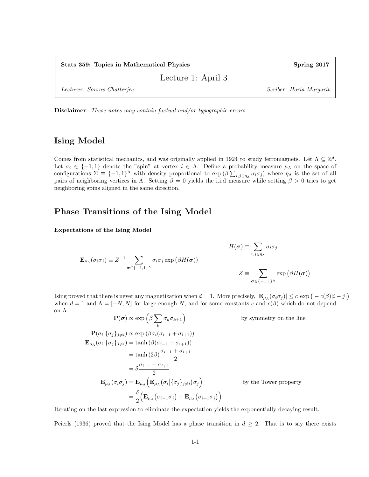Stats 359: Topics in Mathematical Physics Spring 2017

Lecture 1: April 3

Lecturer: Sourav Chatterjee Scriber: Horia Margarit

Disclaimer: These notes may contain factual and/or typographic errors.

### Ising Model

Comes from statistical mechanics, and was originally applied in 1924 to study ferromagnets. Let  $\Lambda \subseteq \mathbb{Z}^d$ . Let  $\sigma_i \in \{-1,1\}$  denote the "spin" at vertex  $i \in \Lambda$ . Define a probability measure  $\mu_\Lambda$  on the space of configurations  $\Sigma \equiv \{-1,1\}^{\Lambda}$  with density proportional to  $\exp(\beta \sum_{i,j \in \eta_{\Lambda}} \sigma_i \sigma_j)$  where  $\eta_{\Lambda}$  is the set of all pairs of neighboring vertices in  $\Lambda$ . Setting  $\beta = 0$  yields the i.i.d measure while setting  $\beta > 0$  tries to get neighboring spins aligned in the same direction.

### Phase Transitions of the Ising Model

Expectations of the Ising Model

$$
H(\boldsymbol{\sigma}) \equiv \sum_{i,j \in \eta_{\Lambda}} \sigma_i \sigma_j
$$
  

$$
\mathbf{E}_{\mu_{\Lambda}}(\sigma_i \sigma_j) \equiv Z^{-1} \sum_{\boldsymbol{\sigma} \in \{-1,1\}^{\Lambda}} \sigma_i \sigma_j \exp (\beta H(\boldsymbol{\sigma}))
$$
  

$$
Z \equiv \sum_{\boldsymbol{\sigma} \in \{-1,1\}^{\Lambda}} \exp (\beta H(\boldsymbol{\sigma}))
$$

Ising proved that there is never any magnetization when  $d = 1$ . More precisely,  $|\mathbf{E}_{\mu_{\Lambda}}(\sigma_i \sigma_j)| \leq c \exp(-c(\beta)|i - j|)$ when  $d = 1$  and  $\Lambda = [-N, N]$  for large enough N, and for some constants c and  $c(\beta)$  which do not depend on Λ.

$$
\mathbf{P}(\sigma) \propto \exp\left(\beta \sum_{k} \sigma_{k} \sigma_{k+1}\right)
$$
\n
$$
\mathbf{P}(\sigma_{i} | \{\sigma_{j}\}_{j \neq i}) \propto \exp\left(\beta \sigma_{i}(\sigma_{i-1} + \sigma_{i+1})\right)
$$
\n
$$
\mathbf{E}_{\mu_{\Lambda}}(\sigma_{i} | \{\sigma_{j}\}_{j \neq i}) = \tanh\left(\beta(\sigma_{i-1} + \sigma_{i+1})\right)
$$
\n
$$
= \tanh\left(2\beta\right) \frac{\sigma_{i-1} + \sigma_{i+1}}{2}
$$
\n
$$
= \delta \frac{\sigma_{i-1} + \sigma_{i+1}}{2}
$$
\n
$$
\mathbf{E}_{\mu_{\Lambda}}(\sigma_{i}\sigma_{j}) = \mathbf{E}_{\mu_{\Lambda}}\left(\mathbf{E}_{\mu_{\Lambda}}(\sigma_{i} | \{\sigma_{j}\}_{j \neq i})\sigma_{j}\right)
$$
\n
$$
= \frac{\delta}{2}\left(\mathbf{E}_{\mu_{\Lambda}}(\sigma_{i-1}\sigma_{j}) + \mathbf{E}_{\mu_{\Lambda}}(\sigma_{i+1}\sigma_{j})\right)
$$

by the Tower property

by symmetry on the line

Iterating on the last expression to eliminate the expectation yields the exponentially decaying result.

Peierls (1936) proved that the Ising Model has a phase transition in  $d \geq 2$ . That is to say there exists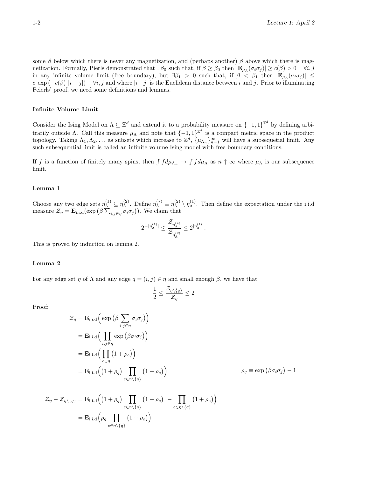some  $\beta$  below which there is never any magnetization, and (perhaps another)  $\beta$  above which there is magnetization. Formally, Pierls demonstrated that  $\exists \beta_0$  such that, if  $\beta \ge \beta_0$  then  $|\mathbf{E}_{\mu_\Lambda}(\sigma_i \sigma_j)| \ge c(\beta) > 0$   $\forall i, j$ in any infinite volume limit (free boundary), but  $\exists \beta_1 > 0$  such that, if  $\beta < \beta_1$  then  $|\mathbf{E}_{\mu_\Lambda}(\sigma_i \sigma_j)| \le$ c exp  $(-c(\beta) |i-j|)$   $\forall i, j$  and where  $|i-j|$  is the Euclidean distance between i and j. Prior to illuminating Peierls' proof, we need some definitions and lemmas.

#### Infinite Volume Limit

Consider the Ising Model on  $\Lambda \subseteq \mathbb{Z}^d$  and extend it to a probability measure on  $\{-1,1\}^{\mathbb{Z}^d}$  by defining arbitrarily outside Λ. Call this measure  $\mu_{\Lambda}$  and note that  $\{-1,1\}^{\mathbb{Z}^d}$  is a compact metric space in the product topology. Taking  $\Lambda_1, \Lambda_2, \ldots$  as subsets which increase to  $\mathbb{Z}^d$ ,  $\{\mu_{\Lambda_n}\}_{n=1}^{\infty}$  will have a subsequetial limit. Any such subsequential limit is called an infinite volume Ising model with free boundary conditions.

If f is a function of finitely many spins, then  $\int f d\mu_{\Lambda_n} \to \int f d\mu_{\Lambda}$  as  $n \uparrow \infty$  where  $\mu_{\Lambda}$  is our subsequence limit.

#### Lemma 1

Choose any two edge sets  $\eta_{\Lambda}^{(1)} \subseteq \eta_{\Lambda}^{(2)}$ <sup>(2)</sup>. Define  $\eta_{\Lambda}^{(*)} \equiv \eta_{\Lambda}^{(2)}$  $\stackrel{(2)}{\Lambda}\setminus\eta_\Lambda^{(1)}$  $\Lambda^{(1)}$ . Then define the expectation under the i.i.d measure  $\mathcal{Z}_{\eta} = \mathbf{E}_{i.i.d}(\exp\left(\beta \sum_{i,j \in \eta} \sigma_i \sigma_j\right))$ . We claim that

$$
2^{-|\eta_{\Lambda}^{(1)}|} \leq \frac{\mathcal{Z}_{\eta_{\Lambda}^{(*)}}}{\mathcal{Z}_{\eta_{\Lambda}^{(2)}}} \leq 2^{|\eta_{\Lambda}^{(1)}|}.
$$

This is proved by induction on lemma 2.

#### Lemma 2

For any edge set  $\eta$  of  $\Lambda$  and any edge  $q = (i, j) \in \eta$  and small enough  $\beta$ , we have that

$$
\frac{1}{2} \le \frac{\mathcal{Z}_{\eta \setminus \{q\}}}{\mathcal{Z}_{\eta}} \le 2
$$

Proof:

$$
\mathcal{Z}_{\eta} = \mathbf{E}_{i.i.d} \Big( \exp \Big( \beta \sum_{i,j \in \eta} \sigma_i \sigma_j \Big) \Big)
$$
  
\n
$$
= \mathbf{E}_{i.i.d} \Big( \prod_{i,j \in \eta} \exp \Big( \beta \sigma_i \sigma_j \Big) \Big)
$$
  
\n
$$
= \mathbf{E}_{i.i.d} \Big( \prod_{e \in \eta} (1 + \rho_e) \Big)
$$
  
\n
$$
= \mathbf{E}_{i.i.d} \Big( \Big( 1 + \rho_q \Big) \prod_{e \in \eta \setminus \{q\}} (1 + \rho_e) \Big) \qquad \qquad \rho_q \equiv \exp \Big( \beta \sigma_i \sigma_j \Big) - 1
$$

$$
\mathcal{Z}_{\eta} - \mathcal{Z}_{\eta \setminus \{q\}} = \mathbf{E}_{i.i.d} \Big( \big( 1 + \rho_q \big) \prod_{e \in \eta \setminus \{q\}} \big( 1 + \rho_e \big) - \prod_{e \in \eta \setminus \{q\}} \big( 1 + \rho_e \big) \Big)
$$

$$
= \mathbf{E}_{i.i.d} \Big( \rho_q \prod_{e \in \eta \setminus \{q\}} \big( 1 + \rho_e \big) \Big)
$$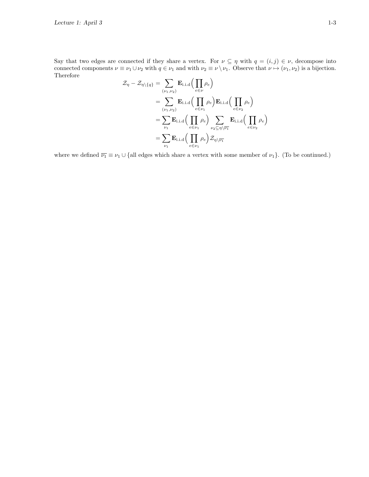Say that two edges are connected if they share a vertex. For  $\nu \subseteq \eta$  with  $q = (i, j) \in \nu$ , decompose into connected components  $\nu \equiv \nu_1 \cup \nu_2$  with  $q \in \nu_1$  and with  $\nu_2 \equiv \nu \setminus \nu_1$ . Observe that  $\nu \mapsto (\nu_1, \nu_2)$  is a bijection. Therefore

$$
\mathcal{Z}_{\eta} - \mathcal{Z}_{\eta \setminus \{q\}} = \sum_{(\nu_1, \nu_2)} \mathbf{E}_{i.i.d} \Big( \prod_{e \in \nu} \rho_e \Big)
$$
  
\n
$$
= \sum_{(\nu_1, \nu_2)} \mathbf{E}_{i.i.d} \Big( \prod_{e \in \nu_1} \rho_e \Big) \mathbf{E}_{i.i.d} \Big( \prod_{e \in \nu_2} \rho_e \Big)
$$
  
\n
$$
= \sum_{\nu_1} \mathbf{E}_{i.i.d} \Big( \prod_{e \in \nu_1} \rho_e \Big) \sum_{\nu_2 \subseteq \eta \setminus \overline{\nu_1}} \mathbf{E}_{i.i.d} \Big( \prod_{e \in \nu_2} \rho_e \Big)
$$
  
\n
$$
= \sum_{\nu_1} \mathbf{E}_{i.i.d} \Big( \prod_{e \in \nu_1} \rho_e \Big) \mathcal{Z}_{\eta \setminus \overline{\nu_1}} \Big( \prod_{e \in \nu_2} \rho_e \Big)
$$

where we defined  $\overline{\nu_1} \equiv \nu_1 \cup \{ \text{all edges which share a vertex with some member of } \nu_1 \}.$  (To be continued.)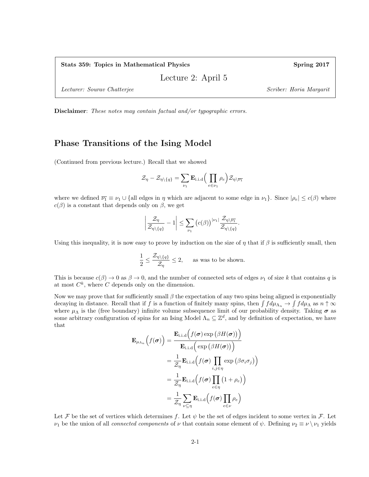Lecture 2: April 5

Lecturer: Sourav Chatterjee Scriber: Horia Margarit

Disclaimer: These notes may contain factual and/or typographic errors.

#### Phase Transitions of the Ising Model

(Continued from previous lecture.) Recall that we showed

$$
\mathcal{Z}_{\eta} - \mathcal{Z}_{\eta \setminus \{q\}} = \sum_{\nu_1} \mathbf{E}_{i.i.d} \Big( \prod_{e \in \nu_1} \rho_e \Big) \mathcal{Z}_{\eta \setminus \overline{\nu_1}}
$$

where we defined  $\overline{\nu_1} \equiv \nu_1 \cup \{ \text{all edges in } \eta \text{ which are adjacent to some edge in } \nu_1 \}.$  Since  $|\rho_e| \leq c(\beta)$  where  $c(\beta)$  is a constant that depends only on  $\beta$ , we get

$$
\left|\frac{\mathcal{Z}_{\eta}}{\mathcal{Z}_{\eta\setminus\{q\}}}-1\right|\leq \sum_{\nu_1}\left(c(\beta)\right)^{|\nu_1|}\frac{\mathcal{Z}_{\eta\setminus\overline{\nu_1}}}{\mathcal{Z}_{\eta\setminus\{q\}}}.
$$

Using this inequality, it is now easy to prove by induction on the size of  $\eta$  that if  $\beta$  is sufficiently small, then

$$
\frac{1}{2} \le \frac{\mathcal{Z}_{\eta \setminus \{q\}}}{\mathcal{Z}_{\eta}} \le 2, \quad \text{ as was to be shown.}
$$

This is because  $c(\beta) \to 0$  as  $\beta \to 0$ , and the number of connected sets of edges  $\nu_1$  of size k that contains q is at most  $C^k$ , where C depends only on the dimension.

Now we may prove that for sufficiently small  $\beta$  the expectation of any two spins being aligned is exponentially decaying in distance. Recall that if f is a function of finitely many spins, then  $\int f d\mu_{\Lambda_n} \to \int f d\mu_{\Lambda}$  as  $n \uparrow \infty$ where  $\mu_{\Lambda}$  is the (free boundary) infinite volume subsequence limit of our probability density. Taking  $\sigma$  as some arbitrary configuration of spins for an Ising Model  $\Lambda_n \subseteq \mathbb{Z}^d$ , and by definition of expectation, we have that

$$
\mathbf{E}_{\mu_{\Lambda_n}} \left( f(\boldsymbol{\sigma}) \right) = \frac{\mathbf{E}_{i.i.d} \left( f(\boldsymbol{\sigma}) \exp \left( \beta H(\boldsymbol{\sigma}) \right) \right)}{\mathbf{E}_{i.i.d} \left( \exp \left( \beta H(\boldsymbol{\sigma}) \right) \right)}
$$

$$
= \frac{1}{\mathcal{Z}_{\eta}} \mathbf{E}_{i.i.d} \left( f(\boldsymbol{\sigma}) \prod_{i,j \in \eta} \exp \left( \beta \sigma_i \sigma_j \right) \right)
$$

$$
= \frac{1}{\mathcal{Z}_{\eta}} \mathbf{E}_{i.i.d} \left( f(\boldsymbol{\sigma}) \prod_{e \in \eta} \left( 1 + \rho_e \right) \right)
$$

$$
= \frac{1}{\mathcal{Z}_{\eta}} \sum_{\nu \subseteq \eta} \mathbf{E}_{i.i.d} \left( f(\boldsymbol{\sigma}) \prod_{e \in \nu} \rho_e \right)
$$

Let F be the set of vertices which determines f. Let  $\psi$  be the set of edges incident to some vertex in F. Let  $\nu_1$  be the union of all *connected components* of  $\nu$  that contain some element of  $\psi$ . Defining  $\nu_2 \equiv \nu \setminus \nu_1$  yields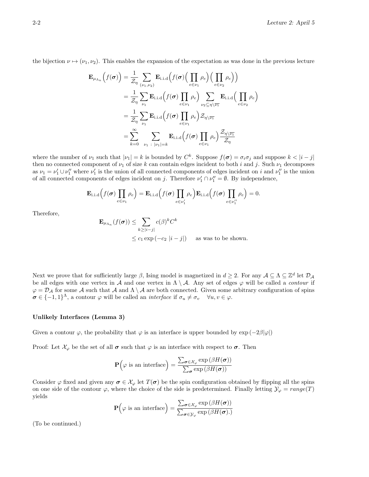the bijection  $\nu \mapsto (\nu_1, \nu_2)$ . This enables the expansion of the expectation as was done in the previous lecture

$$
\mathbf{E}_{\mu_{\Lambda_n}}\left(f(\boldsymbol{\sigma})\right) = \frac{1}{\mathcal{Z}_{\eta}} \sum_{(\nu_1, \nu_2)} \mathbf{E}_{\text{i.i.d}}\left(f(\boldsymbol{\sigma})\Big(\prod_{e \in \nu_1} \rho_e\Big)\Big(\prod_{e \in \nu_2} \rho_e\Big)\right)
$$
  
\n
$$
= \frac{1}{\mathcal{Z}_{\eta}} \sum_{\nu_1} \mathbf{E}_{\text{i.i.d}}\left(f(\boldsymbol{\sigma}) \prod_{e \in \nu_1} \rho_e\right) \sum_{\nu_2 \subseteq \eta \setminus \overline{\nu_1}} \mathbf{E}_{\text{i.i.d}}\left(\prod_{e \in \nu_2} \rho_e\right)
$$
  
\n
$$
= \frac{1}{\mathcal{Z}_{\eta}} \sum_{\nu_1} \mathbf{E}_{\text{i.i.d}}\left(f(\boldsymbol{\sigma}) \prod_{e \in \nu_1} \rho_e\right) \mathcal{Z}_{\eta \setminus \overline{\nu_1}}\right]
$$
  
\n
$$
= \sum_{k=0}^{\infty} \sum_{\nu_1} \sum_{\nu_1 |\nu_1| = k} \mathbf{E}_{\text{i.i.d}}\left(f(\boldsymbol{\sigma}) \prod_{e \in \nu_1} \rho_e\right) \frac{\mathcal{Z}_{\eta \setminus \overline{\nu_1}}}{\mathcal{Z}_{\eta}}
$$

where the number of  $\nu_1$  such that  $|\nu_1| = k$  is bounded by  $C^k$ . Suppose  $f(\sigma) = \sigma_i \sigma_j$  and suppose  $k < |i - j|$ then no connected component of  $\nu_1$  of size k can contain edges incident to both i and j. Such  $\nu_1$  decomposes as  $\nu_1 = \nu'_1 \cup \nu''_1$  where  $\nu'_1$  is the union of all connected components of edges incident on i and  $\nu''_1$  is the union of all connected components of edges incident on j. Therefore  $\nu'_1 \cap \nu''_1 = \emptyset$ . By independence,

$$
\mathbf{E}_{i.i.d}\Big(f(\boldsymbol{\sigma})\prod_{e\in\nu_1}\rho_e\Big)=\mathbf{E}_{i.i.d}\Big(f(\boldsymbol{\sigma})\prod_{e\in\nu'_1}\rho_e\Big)\mathbf{E}_{i.i.d}\Big(f(\boldsymbol{\sigma})\prod_{e\in\nu''_1}\rho_e\Big)=0.
$$

Therefore,

$$
\mathbf{E}_{\mu_{\Lambda_n}}(f(\boldsymbol{\sigma})) \le \sum_{k \ge |i-j|} c(\beta)^k C^k
$$
  
 
$$
\le c_1 \exp(-c_2 |i-j|) \quad \text{as was to be shown.}
$$

Next we prove that for sufficiently large  $\beta$ , Ising model is magnetized in  $d \geq 2$ . For any  $\mathcal{A} \subseteq \Lambda \subseteq \mathbb{Z}^d$  let  $\mathcal{D}_{\mathcal{A}}$ be all edges with one vertex in A and one vertex in  $\Lambda \setminus \mathcal{A}$ . Any set of edges  $\varphi$  will be called a *contour* if  $\varphi = \mathcal{D}_\mathcal{A}$  for some  $\mathcal A$  such that  $\mathcal A$  and  $\Lambda \setminus \mathcal A$  are both connected. Given some arbitrary configuration of spins  $\sigma \in \{-1,1\}^{\Lambda}$ , a contour  $\varphi$  will be called an *interface* if  $\sigma_u \neq \sigma_v \quad \forall u, v \in \varphi$ .

#### Unlikely Interfaces (Lemma 3)

Given a contour  $\varphi$ , the probability that  $\varphi$  is an interface is upper bounded by  $\exp(-2\beta|\varphi|)$ 

Proof: Let  $\mathcal{X}_{\varphi}$  be the set of all  $\sigma$  such that  $\varphi$  is an interface with respect to  $\sigma$ . Then

$$
\mathbf{P}\Big(\varphi \text{ is an interface}\Big) = \frac{\sum_{\pmb{\sigma} \in \mathcal{X}_{\varphi}} \exp\left(\beta H(\pmb{\sigma})\right)}{\sum_{\pmb{\sigma}} \exp\left(\beta H(\pmb{\sigma})\right)}
$$

Consider  $\varphi$  fixed and given any  $\sigma \in \mathcal{X}_{\varphi}$  let  $T(\sigma)$  be the spin configuration obtained by flipping all the spins on one side of the contour  $\varphi$ , where the choice of the side is predetermined. Finally letting  $\mathcal{Y}_{\varphi} = range(T)$ yields

$$
\mathbf{P}\Big(\varphi \text{ is an interface}\Big) = \frac{\sum_{\boldsymbol{\sigma} \in \mathcal{X}_{\varphi}} \exp\left(\beta H(\boldsymbol{\sigma})\right)}{\sum_{\boldsymbol{\sigma} \in \mathcal{Y}_{\varphi}} \exp\left(\beta H(\boldsymbol{\sigma})\right)}
$$

(To be continued.)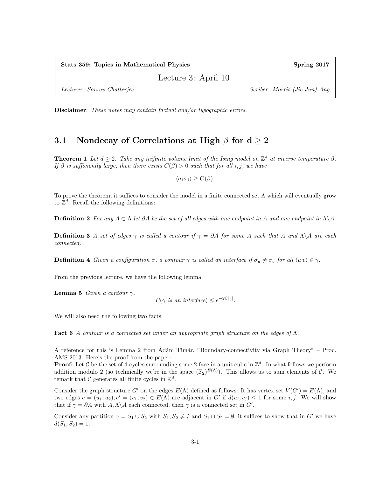Stats 359: Topics in Mathematical Physics Spring 2017

Lecture 3: April 10

Lecturer: Sourav Chatterjee Scriber: Morris (Jie Jun) Ang

Disclaimer: These notes may contain factual and/or typographic errors.

#### 3.1 Nondecay of Correlations at High  $\beta$  for  $d \geq 2$

**Theorem 1** Let  $d \geq 2$ . Take any inifinite volume limit of the Ising model on  $\mathbb{Z}^d$  at inverse temperature  $\beta$ . If  $\beta$  is sufficiently large, then there exists  $C(\beta) > 0$  such that for all i, j, we have

 $\langle \sigma_i \sigma_j \rangle \geq C(\beta).$ 

To prove the theorem, it suffices to consider the model in a finite connected set  $\Lambda$  which will eventually grow to  $\mathbb{Z}^d$ . Recall the following definitions:

**Definition 2** For any  $A \subset \Lambda$  let  $\partial A$  be the set of all edges with one endpoint in A and one endpoint in  $\Lambda \backslash A$ .

**Definition 3** A set of edges  $\gamma$  is called a contour if  $\gamma = \partial A$  for some A such that A and  $\Lambda \backslash A$  are each connected.

**Definition 4** Given a configuration  $\sigma$ , a contour  $\gamma$  is called an interface if  $\sigma_u \neq \sigma_v$  for all  $\langle uv \rangle \in \gamma$ .

From the previous lecture, we have the following lemma:

**Lemma 5** Given a contour  $\gamma$ ,

$$
P(\gamma \text{ is an interface}) \le e^{-2\beta |\gamma|}.
$$

We will also need the following two facts:

**Fact 6** A contour is a connected set under an appropriate graph structure on the edges of  $\Lambda$ .

A reference for this is Lemma 2 from Ádám Timár, "Boundary-connectivity via Graph Theory" – Proc. AMS 2013. Here's the proof from the paper:

**Proof:** Let C be the set of 4-cycles surrounding some 2-face in a unit cube in  $\mathbb{Z}^d$ . In what follows we perform addition modulo 2 (so technically we're in the space  $(\mathbb{F}_2)^{E(\Lambda)}$ ). This allows us to sum elements of C. We remark that  $\mathcal C$  generates all finite cycles in  $\mathbb Z^d$ .

Consider the graph structure G' on the edges  $E(\Lambda)$  defined as follows: It has vertex set  $V(G') = E(\Lambda)$ , and two edges  $e = (u_1, u_2), e' = (v_1, v_2) \in E(\Lambda)$  are adjacent in G' if  $d(u_i, v_j) \leq 1$  for some i, j. We will show that if  $\gamma = \partial A$  with  $A, \Lambda \backslash A$  each connected, then  $\gamma$  is a connected set in  $G'$ .

Consider any partition  $\gamma = S_1 \cup S_2$  with  $S_1, S_2 \neq \emptyset$  and  $S_1 \cap S_2 = \emptyset$ ; it suffices to show that in G' we have  $d(S_1, S_2) = 1.$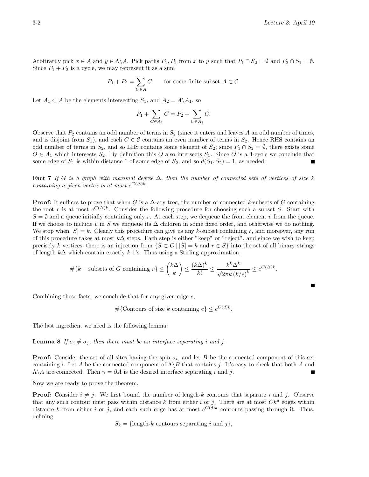П

Arbitrarily pick  $x \in A$  and  $y \in \Lambda \backslash A$ . Pick paths  $P_1, P_2$  from x to y such that  $P_1 \cap S_2 = \emptyset$  and  $P_2 \cap S_1 = \emptyset$ . Since  $P_1 + P_2$  is a cycle, we may represent it as a sum

$$
P_1 + P_2 = \sum_{C \in A} C \qquad \text{for some finite subset } A \subset C.
$$

Let  $A_1 \subset A$  be the elements intersecting  $S_1$ , and  $A_2 = A \setminus A_1$ , so

$$
P_1 + \sum_{C \in A_1} C = P_2 + \sum_{C \in A_2} C.
$$

Observe that  $P_2$  contains an odd number of terms in  $S_2$  (since it enters and leaves A an odd number of times, and is disjoint from  $S_1$ ), and each  $C \in \mathcal{C}$  contains an even number of terms in  $S_2$ . Hence RHS contains an odd number of terms in  $S_2$ , and so LHS contains some element of  $S_2$ ; since  $P_1 \cap S_2 = \emptyset$ , there exists some  $O \in A_1$  which intersects  $S_2$ . By definition this O also intersects  $S_1$ . Since O is a 4-cycle we conclude that some edge of  $S_1$  is within distance 1 of some edge of  $S_2$ , and so  $d(S_1, S_2) = 1$ , as needed.

Fact 7 If G is a graph with maximal degree  $\Delta$ , then the number of connected sets of vertices of size k containing a given vertex is at most  $e^{C(\Delta)k}$ .

**Proof:** It suffices to prove that when G is a  $\Delta$ -ary tree, the number of connected k-subsets of G containing the root r is at most  $e^{C(\Delta)k}$ . Consider the following procedure for choosing such a subset S. Start with  $S = \emptyset$  and a queue initially containing only r. At each step, we dequeue the front element v from the queue. If we choose to include v in S we enqueue its  $\Delta$  children in some fixed order, and otherwise we do nothing. We stop when  $|S| = k$ . Clearly this procedure can give us any k-subset containing r, and moreover, any run of this procedure takes at most k∆ steps. Each step is either "keep" or "reject", and since we wish to keep precisely k vertices, there is an injection from  $\{S \subset G \mid |S| = k \text{ and } r \in S\}$  into the set of all binary strings of length  $k\Delta$  which contain exactly k 1's. Thus using a Stirling approximation,

$$
\# \{ k-\text{subsets of } G \text{ containing } r \} \leq {k\Delta \choose k} \leq \frac{(k\Delta)^k}{k!} \leq \frac{k^k \Delta^k}{\sqrt{2\pi k} (k/e)^k} \leq e^{C(\Delta)k}.
$$

Combining these facts, we conclude that for any given edge  $e$ ,

#{Contours of size k containing  $e$ }  $\leq e^{C(d)k}$ .

The last ingredient we need is the following lemma:

**Lemma 8** If  $\sigma_i \neq \sigma_j$ , then there must be an interface separating i and j.

**Proof:** Consider the set of all sites having the spin  $\sigma_i$ , and let B be the connected component of this set containing i. Let A be the connected component of  $\Lambda \backslash B$  that contains j. It's easy to check that both A and  $\Lambda \backslash A$  are connected. Then  $\gamma = \partial A$  is the desired interface separating i and j.

Now we are ready to prove the theorem.

**Proof:** Consider  $i \neq j$ . We first bound the number of length-k contours that separate i and j. Observe that any such contour must pass within distance k from either i or j. There are at most  $Ck^d$  edges within distance k from either i or j, and each such edge has at most  $e^{C(d)k}$  contours passing through it. Thus, defining

$$
S_k = {\text{length-}k \text{ contours separating } i \text{ and } j},
$$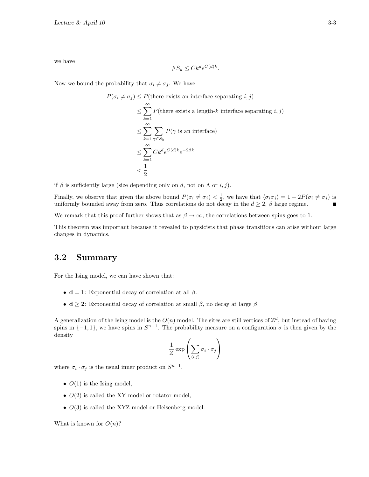we have

$$
\#S_k \le Ck^d e^{C(d)k}.
$$

Now we bound the probability that  $\sigma_i \neq \sigma_j$ . We have

$$
P(\sigma_i \neq \sigma_j) \leq P(\text{there exists an interface separating } i, j)
$$
  
\n
$$
\leq \sum_{k=1}^{\infty} P(\text{there exists a length-}k \text{ interface separating } i, j)
$$
  
\n
$$
\leq \sum_{k=1}^{\infty} \sum_{\gamma \in S_k} P(\gamma \text{ is an interface})
$$
  
\n
$$
\leq \sum_{k=1}^{\infty} Ck^d e^{C(d)k} e^{-2\beta k}
$$
  
\n
$$
< \frac{1}{2}
$$

if  $\beta$  is sufficiently large (size depending only on d, not on  $\Lambda$  or  $i, j$ ).

Finally, we observe that given the above bound  $P(\sigma_i \neq \sigma_j) < \frac{1}{2}$ , we have that  $\langle \sigma_i \sigma_j \rangle = 1 - 2P(\sigma_i \neq \sigma_j)$  is uniformly bounded away from zero. Thus correlations do not decay in the  $d \geq 2$ ,  $\beta$  large regime.

We remark that this proof further shows that as  $\beta \to \infty$ , the correlations between spins goes to 1.

This theorem was important because it revealed to physicists that phase transitions can arise without large changes in dynamics.

#### 3.2 Summary

For the Ising model, we can have shown that:

- $\mathbf{d} = 1$ : Exponential decay of correlation at all  $\beta$ .
- $\mathbf{d} \geq 2$ : Exponential decay of correlation at small  $\beta$ , no decay at large  $\beta$ .

A generalization of the Ising model is the  $O(n)$  model. The sites are still vertices of  $\mathbb{Z}^d$ , but instead of having spins in  $\{-1,1\}$ , we have spins in  $S^{n-1}$ . The probability measure on a configuration  $\sigma$  is then given by the density

$$
\frac{1}{Z} \exp \left( \sum_{\langle i \, j \rangle} \sigma_i \cdot \sigma_j \right)
$$

where  $\sigma_i \cdot \sigma_j$  is the usual inner product on  $S^{n-1}$ .

- $O(1)$  is the Ising model,
- $O(2)$  is called the XY model or rotator model,
- $\bullet$   $O(3)$  is called the XYZ model or Heisenberg model.

What is known for  $O(n)$ ?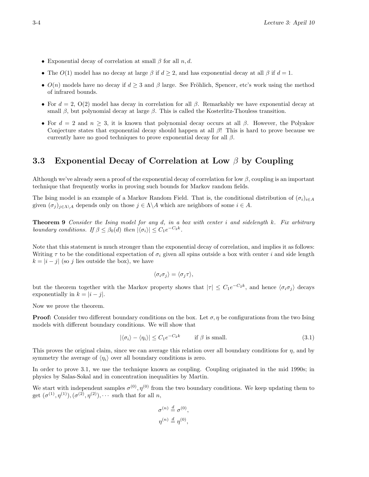- Exponential decay of correlation at small  $\beta$  for all  $n, d$ .
- The  $O(1)$  model has no decay at large  $\beta$  if  $d \geq 2$ , and has exponential decay at all  $\beta$  if  $d = 1$ .
- $O(n)$  models have no decay if  $d \geq 3$  and  $\beta$  large. See Fröhlich, Spencer, etc's work using the method of infrared bounds.
- For  $d = 2$ ,  $O(2)$  model has decay in correlation for all  $\beta$ . Remarkably we have exponential decay at small  $\beta$ , but polynomial decay at large  $\beta$ . This is called the Kosterlitz-Thouless transition.
- For  $d = 2$  and  $n \geq 3$ , it is known that polynomial decay occurs at all  $\beta$ . However, the Polyakov Conjecture states that exponential decay should happen at all  $\beta$ ! This is hard to prove because we currently have no good techniques to prove exponential decay for all  $\beta$ .

### 3.3 Exponential Decay of Correlation at Low  $\beta$  by Coupling

Although we've already seen a proof of the exponential decay of correlation for low  $\beta$ , coupling is an important technique that frequently works in proving such bounds for Markov random fields.

The Ising model is an example of a Markov Random Field. That is, the conditional distribution of  $(\sigma_i)_{i\in A}$ given  $(\sigma_j)_{j\in\Lambda\setminus A}$  depends only on those  $j\in\Lambda\setminus A$  which are neighbors of some  $i\in A$ .

**Theorem 9** Consider the Ising model for any d, in a box with center i and sidelength k. Fix arbitrary boundary conditions. If  $\beta \leq \beta_0(d)$  then  $|\langle \sigma_i \rangle| \leq C_1 e^{-C_2 k}$ .

Note that this statement is much stronger than the exponential decay of correlation, and implies it as follows: Writing  $\tau$  to be the conditional expectation of  $\sigma_i$  given all spins outside a box with center i and side length  $k = |i - j|$  (so j lies outside the box), we have

$$
\langle \sigma_i \sigma_j \rangle = \langle \sigma_j \tau \rangle,
$$

but the theorem together with the Markov property shows that  $|\tau| \leq C_1 e^{-C_2 k}$ , and hence  $\langle \sigma_i \sigma_j \rangle$  decays exponentially in  $k = |i - j|$ .

Now we prove the theorem.

**Proof:** Consider two different boundary conditions on the box. Let  $\sigma$ ,  $\eta$  be configurations from the two Ising models with different boundary conditions. We will show that

$$
|\langle \sigma_i \rangle - \langle \eta_i \rangle| \le C_1 e^{-C_2 k} \qquad \text{if } \beta \text{ is small.} \tag{3.1}
$$

This proves the original claim, since we can average this relation over all boundary conditions for  $\eta$ , and by symmetry the average of  $\langle \eta_i \rangle$  over all boundary conditions is zero.

In order to prove 3.1, we use the technique known as coupling. Coupling originated in the mid 1990s; in physics by Salas-Sokal and in concentration inequalities by Martin.

We start with independent samples  $\sigma^{(0)}$ ,  $\eta^{(0)}$  from the two boundary conditions. We keep updating them to get  $(\sigma^{(1)}, \eta^{(1)}), (\sigma^{(2)}, \eta^{(2)}), \cdots$  such that for all n,

$$
\sigma^{(n)} \stackrel{d}{=} \sigma^{(0)},
$$
  

$$
\eta^{(n)} \stackrel{d}{=} \eta^{(0)},
$$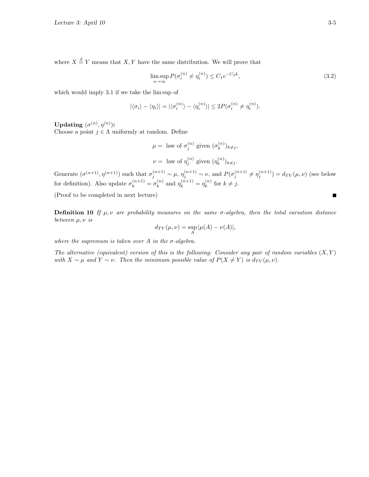where  $X \stackrel{d}{=} Y$  means that  $X, Y$  have the same distribution. We will prove that

$$
\limsup_{n \to \infty} P(\sigma_i^{(n)} \neq \eta_i^{(n)}) \leq C_1 e^{-C_2 k},\tag{3.2}
$$

which would imply 3.1 if we take the lim sup of

$$
|\langle \sigma_i \rangle - \langle \eta_i \rangle| = |\langle \sigma_i^{(n)} \rangle - \langle \eta_i^{(n)} \rangle| \leq 2P(\sigma_i^{(n)} \neq \eta_i^{(n)}).
$$

Updating  $(\sigma^{(n)}, \eta^{(n)})$ :

Choose a point  $j \in \Lambda$  uniformly at random. Define

$$
\mu = \text{ law of } \sigma_j^{(n)} \text{ given } (\sigma_k^{(n)})_{k \neq j},
$$
  

$$
\nu = \text{ law of } \eta_j^{(n)} \text{ given } (\eta_k^{(n)})_{k \neq j}.
$$

Generate  $(\sigma^{(n+1)}, \eta^{(n+1)})$  such that  $\sigma_j^{(n+1)} \sim \mu$ ,  $\eta_j^{(n+1)} \sim \nu$ , and  $P(\sigma_j^{(n+1)} \neq \eta_j^{(n+1)}) = d_{TV}(\mu, \nu)$  (see below for definition). Also update  $\sigma_k^{(n+1)} = \sigma_k^{(n)}$  $\eta_k^{(n)}$  and  $\eta_k^{(n+1)} = \eta_k^{(n)}$  $\int_k^{(n)}$  for  $k \neq j$ .

(Proof to be completed in next lecture)

**Definition 10** If  $\mu, \nu$  are probability measures on the same  $\sigma$ -algebra, then the total variation distance between  $\mu, \nu$  is

$$
d_{TV}(\mu, \nu) = \sup_A |\mu(A) - \nu(A)|,
$$

where the supremum is taken over A in the  $\sigma$ -algebra.

The alternative (equivalent) version of this is the following: Consider any pair of random variables  $(X, Y)$ with  $X \sim \mu$  and  $Y \sim \nu$ . Then the minimum possible value of  $P(X \neq Y)$  is  $d_{TV}(\mu, \nu)$ .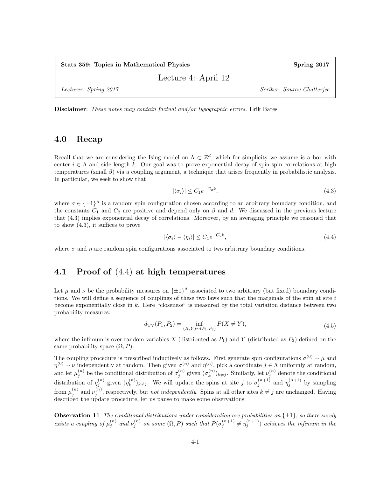Stats 359: Topics in Mathematical Physics Spring 2017

Lecture 4: April 12

Lecturer: Spring 2017 Scriber: Sourav Chatterjee

Disclaimer: These notes may contain factual and/or typographic errors. Erik Bates

#### 4.0 Recap

Recall that we are considering the Ising model on  $\Lambda \subset \mathbb{Z}^d$ , which for simplicity we assume is a box with center  $i \in \Lambda$  and side length k. Our goal was to prove exponential decay of spin-spin correlations at high temperatures (small  $\beta$ ) via a coupling argument, a technique that arises frequently in probabilistic analysis. In particular, we seek to show that

$$
|\langle \sigma_i \rangle| \le C_1 e^{-C_2 k},\tag{4.3}
$$

where  $\sigma \in {\pm 1}^{\Lambda}$  is a random spin configuration chosen according to an arbitrary boundary condition, and the constants  $C_1$  and  $C_2$  are positive and depend only on  $\beta$  and d. We discussed in the previous lecture that (4.3) implies exponential decay of correlations. Moreover, by an averaging principle we reasoned that to show (4.3), it suffices to prove

$$
|\langle \sigma_i \rangle - \langle \eta_i \rangle| \le C_1 e^{-C_2 k},\tag{4.4}
$$

where  $\sigma$  and  $\eta$  are random spin configurations associated to two arbitrary boundary conditions.

#### 4.1 Proof of (4.4) at high temperatures

Let  $\mu$  and  $\nu$  be the probability measures on  $\{\pm 1\}^{\Lambda}$  associated to two arbitrary (but fixed) boundary conditions. We will define a sequence of couplings of these two laws such that the marginals of the spin at site  $i$ become exponentially close in k. Here "closeness" is measured by the total variation distance between two probability measures:

$$
d_{\text{TV}}(P_1, P_2) = \inf_{(X, Y) \sim (P_1, P_2)} P(X \neq Y), \tag{4.5}
$$

where the infimum is over random variables X (distributed as  $P_1$ ) and Y (distributed as  $P_2$ ) defined on the same probability space  $(\Omega, P)$ .

The coupling procedure is prescribed inductively as follows. First generate spin configurations  $\sigma^{(0)} \sim \mu$  and  $\eta^{(0)} \sim \nu$  independently at random. Then given  $\sigma^{(n)}$  and  $\eta^{(n)}$ , pick a coordinate  $j \in \Lambda$  uniformly at random, and let  $\mu_j^{(n)}$  be the conditional distribution of  $\sigma_j^{(n)}$  given  $(\sigma_k^{(n)})$  $\binom{n}{k}$ <sub>k</sub> is Similarly, let  $\nu_j^{(n)}$  denote the conditional distribution of  $\eta_j^{(n)}$  given  $(\eta_k^{(n)})$  $\binom{n}{k}$ <sub>k</sub> $\neq j$ . We will update the spins at site j to  $\sigma_j^{(n+1)}$  and  $\eta_j^{(n+1)}$  by sampling from  $\mu_j^{(n)}$  and  $\nu_j^{(n)}$ , respectively, but *not independently*. Spins at all other sites  $k \neq j$  are unchanged. Having described the update procedure, let us pause to make some observations:

**Observation 11** The conditional distributions under consideration are probabilities on  $\{\pm 1\}$ , so there surely exists a coupling of  $\mu_j^{(n)}$  and  $\nu_j^{(n)}$  on some  $(\Omega, P)$  such that  $P(\sigma_j^{(n+1)} \neq \eta_j^{(n+1)})$  achieves the infimum in the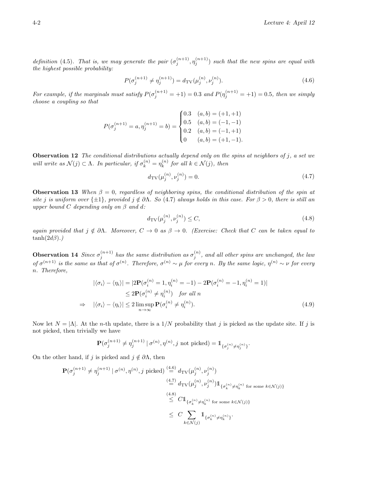definition (4.5). That is, we may generate the pair  $(\sigma_j^{(n+1)}, \eta_j^{(n+1)})$  such that the new spins are equal with the highest possible probability:

$$
P(\sigma_j^{(n+1)} \neq \eta_j^{(n+1)}) = d_{\text{TV}}(\mu_j^{(n)}, \nu_j^{(n)}).
$$
\n(4.6)

For example, if the marginals must satisfy  $P(\sigma_j^{(n+1)} = +1) = 0.3$  and  $P(\eta_j^{(n+1)} = +1) = 0.5$ , then we simply choose a coupling so that

$$
P(\sigma_j^{(n+1)} = a, \eta_j^{(n+1)} = b) = \begin{cases} 0.3 & (a, b) = (+1, +1) \\ 0.5 & (a, b) = (-1, -1) \\ 0.2 & (a, b) = (-1, +1) \\ 0 & (a, b) = (+1, -1). \end{cases}
$$

**Observation 12** The conditional distributions actually depend only on the spins at neighbors of  $j$ , a set we will write as  $\mathcal{N}(j) \subset \Lambda$ . In particular, if  $\sigma_k^{(n)} = \eta_k^{(n)}$  $\kappa^{(n)}$  for all  $k \in \mathcal{N}(j)$ , then

$$
d_{\text{TV}}(\mu_j^{(n)}, \nu_j^{(n)}) = 0. \tag{4.7}
$$

**Observation 13** When  $\beta = 0$ , regardless of neighboring spins, the conditional distribution of the spin at site j is uniform over  $\{\pm 1\}$ , provided  $j \notin \partial \Lambda$ . So (4.7) always holds in this case. For  $\beta > 0$ , there is still an upper bound C depending only on  $\beta$  and d:

$$
d_{\rm TV}(\mu_j^{(n)}, \nu_j^{(n)}) \le C,\tag{4.8}
$$

again provided that  $j \notin \partial \Lambda$ . Moreover,  $C \to 0$  as  $\beta \to 0$ . (Exercise: Check that C can be taken equal to  $tanh(2d\beta)$ .)

**Observation 14** Since  $\sigma_j^{(n+1)}$  has the same distribution as  $\sigma_j^{(n)}$ , and all other spins are unchanged, the law of  $\sigma^{(n+1)}$  is the same as that of  $\sigma^{(n)}$ . Therefore,  $\sigma^{(n)} \sim \mu$  for every n. By the same logic,  $\eta^{(n)} \sim \nu$  for every n. Therefore,

$$
|\langle \sigma_i \rangle - \langle \eta_i \rangle| = |2\mathbf{P}(\sigma_i^{(n)} = 1, \eta_i^{(n)} = -1) - 2\mathbf{P}(\sigma_i^{(n)} = -1, \eta_i^{(n)} = 1)|
$$
  
\n
$$
\leq 2\mathbf{P}(\sigma_i^{(n)} \neq \eta_i^{(n)}) \quad \text{for all } n
$$
  
\n
$$
\Rightarrow \quad |\langle \sigma_i \rangle - \langle \eta_i \rangle| \leq 2 \limsup_{n \to \infty} \mathbf{P}(\sigma_i^{(n)} \neq \eta_i^{(n)}).
$$
 (4.9)

Now let  $N = |\Lambda|$ . At the *n*-th update, there is a 1/N probability that j is picked as the update site. If j is not picked, then trivially we have

$$
\mathbf{P}(\sigma_j^{(n+1)} \neq \eta_j^{(n+1)} \mid \sigma^{(n)}, \eta^{(n)}, j \text{ not picked}) = \mathbb{1}_{\{\sigma_j^{(n)} \neq \eta_j^{(n)}\}}.
$$

On the other hand, if j is picked and  $j \notin \partial \Lambda$ , then

$$
\begin{split} \mathbf{P}(\sigma_j^{(n+1)} \neq \eta_j^{(n+1)} \mid \sigma^{(n)}, \eta^{(n)}, j \text{ picked}) \stackrel{(4.6)}{=} d_{\text{TV}}(\mu_j^{(n)}, \nu_j^{(n)}) \\ & \stackrel{(4.7)}{=} d_{\text{TV}}(\mu_j^{(n)}, \nu_j^{(n)}) \mathbb{1}_{\{\sigma_k^{(n)} \neq \eta_k^{(n)} \text{ for some } k \in \mathcal{N}(j)\}} \\ & \stackrel{(4.8)}{\leq} C \mathbb{1}_{\{\sigma_k^{(n)} \neq \eta_k^{(n)} \text{ for some } k \in \mathcal{N}(j)\}} \\ & \leq C \sum_{k \in \mathcal{N}(j)} \mathbb{1}_{\{\sigma_k^{(n)} \neq \eta_k^{(n)}\}}. \end{split}
$$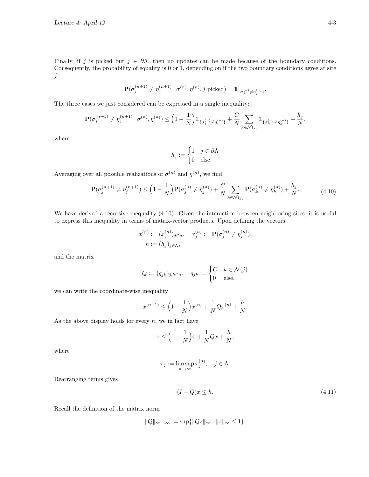Finally, if j is picked but  $j \in \partial \Lambda$ , then no updates can be made because of the boundary conditions. Consequently, the probability of equality is 0 or 1, depending on if the two boundary conditions agree at site j:

$$
\mathbf{P}(\sigma_j^{(n+1)} \neq \eta_j^{(n+1)} \mid \sigma^{(n)}, \eta^{(n)}, j \text{ picked}) = \mathbb{1}_{\{\sigma_j^{(n)} \neq \eta_j^{(n)}\}}.
$$

The three cases we just considered can be expressed in a single inequality:

$$
\mathbf{P}(\sigma_j^{(n+1)} \neq \eta_j^{(n+1)} \mid \sigma^{(n)}, \eta^{(n)}) \leq \left(1 - \frac{1}{N}\right) \mathbb{1}_{\{\sigma_j^{(n)} \neq \eta_j^{(n)}\}} + \frac{C}{N} \sum_{k \in \mathcal{N}(j)} \mathbb{1}_{\{\sigma_k^{(n)} \neq \eta_k^{(n)}\}} + \frac{h_j}{N},
$$

where

$$
h_j := \begin{cases} 1 & j \in \partial \Lambda \\ 0 & \text{else.} \end{cases}
$$

Averaging over all possible realizations of  $\sigma^{(n)}$  and  $\eta^{(n)}$ , we find

$$
\mathbf{P}(\sigma_j^{(n+1)} \neq \eta_j^{(n+1)}) \leq \left(1 - \frac{1}{N}\right) \mathbf{P}(\sigma_j^{(n)} \neq \eta_j^{(n)}) + \frac{C}{N} \sum_{k \in \mathcal{N}(j)} \mathbf{P}(\sigma_k^{(n)} \neq \eta_k^{(n)}) + \frac{h_j}{N}.
$$
 (4.10)

We have derived a recursive inequality (4.10). Given the interaction between neighboring sites, it is useful to express this inequality in terms of matrix-vector products. Upon defining the vectors

$$
x^{(n)} := (x_j^{(n)})_{j \in \Lambda}, \quad x_j^{(n)} := \mathbf{P}(\sigma_j^{(n)} \neq \eta_j^{(n)}),
$$
  

$$
h := (h_j)_{j \in \Lambda},
$$

and the matrix

$$
Q := (q_{jk})_{j,k \in \Lambda}, \quad q_{jk} := \begin{cases} C & k \in \mathcal{N}(j) \\ 0 & \text{else,} \end{cases}
$$

we can write the coordinate-wise inequality

$$
x^{(n+1)} \le \left(1 - \frac{1}{N}\right)x^{(n)} + \frac{1}{N}Qx^{(n)} + \frac{h}{N}.
$$

As the above display holds for every  $n$ , we in fact have

$$
x \le \left(1 - \frac{1}{N}\right)x + \frac{1}{N}Qx + \frac{h}{N},
$$

where

$$
x_j := \limsup_{n \to \infty} x_j^{(n)}, \quad j \in \Lambda.
$$

Rearranging terms gives

$$
(I - Q)x \le h. \tag{4.11}
$$

Recall the definition of the matrix norm

$$
||Q||_{\infty \to \infty} := \sup \{ ||Qz||_{\infty} : ||z||_{\infty} \le 1 \}.
$$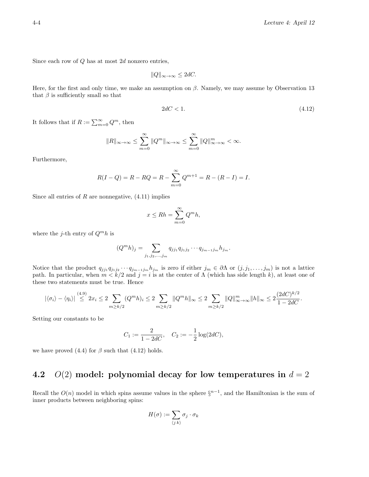Since each row of  $Q$  has at most  $2d$  nonzero entries,

$$
||Q||_{\infty \to \infty} \le 2dC.
$$

Here, for the first and only time, we make an assumption on  $\beta$ . Namely, we may assume by Observation 13 that  $\beta$  is sufficiently small so that

$$
2dC < 1.\tag{4.12}
$$

It follows that if  $R := \sum_{m=0}^{\infty} Q^m$ , then

$$
||R||_{\infty\to\infty}\leq \sum_{m=0}^\infty ||Q^m||_{\infty\to\infty}\leq \sum_{m=0}^\infty ||Q||_{\infty\to\infty}^m<\infty.
$$

Furthermore,

$$
R(I - Q) = R - RQ = R - \sum_{m=0}^{\infty} Q^{m+1} = R - (R - I) = I.
$$

Since all entries of  $R$  are nonnegative,  $(4.11)$  implies

$$
x \le Rh = \sum_{m=0}^{\infty} Q^m h,
$$

where the *j*-th entry of  $Q^m h$  is

$$
(Q^m h)_j = \sum_{j_1, j_2, \dots, j_m} q_{j j_1} q_{j_1 j_2} \cdots q_{j_{m-1} j_m} h_{j_m}.
$$

Notice that the product  $q_{jj_1}q_{j_1j_2}\cdots q_{j_{m-1}j_m}h_{j_m}$  is zero if either  $j_m\in\partial\Lambda$  or  $(j, j_1,\ldots,j_m)$  is not a lattice path. In particular, when  $m < k/2$  and  $j = i$  is at the center of  $\Lambda$  (which has side length k), at least one of these two statements must be true. Hence

$$
|\langle \sigma_i \rangle - \langle \eta_i \rangle| \stackrel{(4.9)}{\leq} 2x_i \leq 2 \sum_{m \geq k/2} (Q^m h)_i \leq 2 \sum_{m \geq k/2} \|Q^m h\|_{\infty} \leq 2 \sum_{m \geq k/2} \|Q\|_{\infty \to \infty}^m \|h\|_{\infty} \leq 2 \frac{(2dC)^{k/2}}{1 - 2dC}.
$$

Setting our constants to be

$$
C_1 := \frac{2}{1 - 2dC}, \quad C_2 := -\frac{1}{2}\log(2dC),
$$

we have proved (4.4) for  $\beta$  such that (4.12) holds.

### 4.2  $O(2)$  model: polynomial decay for low temperatures in  $d = 2$

Recall the  $O(n)$  model in which spins assume values in the sphere  $\S^{n-1}$ , and the Hamiltonian is the sum of inner products between neighboring spins:

$$
H(\sigma) := \sum_{\langle j \, k \rangle} \sigma_j \cdot \sigma_k
$$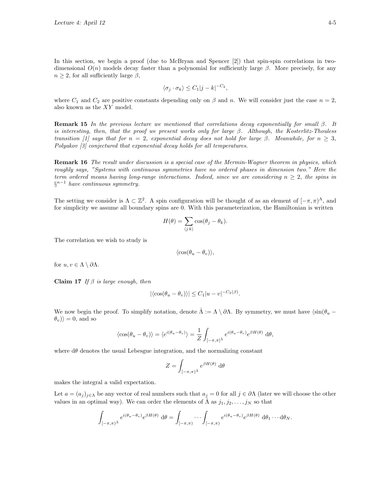In this section, we begin a proof (due to McBryan and Spencer [2]) that spin-spin correlations in twodimensional  $O(n)$  models decay faster than a polynomial for sufficiently large  $\beta$ . More precisely, for any  $n \geq 2$ , for all sufficiently large  $\beta$ ,

$$
\langle \sigma_j \cdot \sigma_k \rangle \leq C_1 |j - k|^{-C_2},
$$

where  $C_1$  and  $C_2$  are positive constants depending only on  $\beta$  and n. We will consider just the case  $n = 2$ , also known as the XY model.

**Remark 15** In the previous lecture we mentioned that correlations decay exponentially for small  $\beta$ . It is interesting, then, that the proof we present works only for large  $\beta$ . Although, the Kosterlitz-Thouless transition [1] says that for  $n = 2$ , exponential decay does not hold for large β. Meanwhile, for  $n \geq 3$ , Polyakov [3] conjectured that exponential decay holds for all temperatures.

Remark 16 The result under discussion is a special case of the Mermin-Wagner theorem in physics, which roughly says, "Systems with continuous symmetries have no ordered phases in dimension two." Here the term ordered means having long-range interactions. Indeed, since we are considering  $n \geq 2$ , the spins in  $\S^{n-1}$  have continuous symmetry.

The setting we consider is  $\Lambda \subset \mathbb{Z}^2$ . A spin configuration will be thought of as an element of  $[-\pi, \pi)^\Lambda$ , and for simplicity we assume all boundary spins are 0. With this parameterization, the Hamiltonian is written

$$
H(\theta) = \sum_{\langle j \rangle} \cos(\theta_j - \theta_k).
$$

The correlation we wish to study is

$$
\langle \cos(\theta_u - \theta_v) \rangle,
$$

for  $u, v \in \Lambda \setminus \partial \Lambda$ .

Claim 17 If  $\beta$  is large enough, then

$$
|\langle \cos(\theta_u - \theta_v) \rangle| \le C_1 |u - v|^{-C_2(\beta)}.
$$

We now begin the proof. To simplify notation, denote  $\Lambda := \Lambda \setminus \partial \Lambda$ . By symmetry, we must have  $\langle \sin(\theta_u - \Lambda) \rangle$  $\langle \theta_v \rangle = 0$ , and so

$$
\langle \cos(\theta_u - \theta_v) \rangle = \langle e^{i(\theta_u - \theta_v)} \rangle = \frac{1}{Z} \int_{[-\pi,\pi]^{\hat{\Lambda}}} e^{i(\theta_u - \theta_v)} e^{\beta H(\theta)} d\theta,
$$

where  $d\theta$  denotes the usual Lebesgue integration, and the normalizing constant

$$
Z = \int_{[-\pi,\pi)^{\hat{\Lambda}}} e^{\beta H(\theta)} d\theta
$$

makes the integral a valid expectation.

Let  $a = (a_j)_{j \in \Lambda}$  be any vector of real numbers such that  $a_j = 0$  for all  $j \in \partial \Lambda$  (later we will choose the other values in an optimal way). We can order the elements of  $\Lambda$  as  $j_1, j_2, \ldots, j_N$  so that

$$
\int_{[-\pi,\pi)^{\hat{\Lambda}}} e^{i(\theta_u - \theta_v)} e^{\beta H(\theta)} d\theta = \int_{[-\pi,\pi)} \cdots \int_{[-\pi,\pi)} e^{i(\theta_u - \theta_v)} e^{\beta H(\theta)} d\theta_1 \cdots d\theta_N.
$$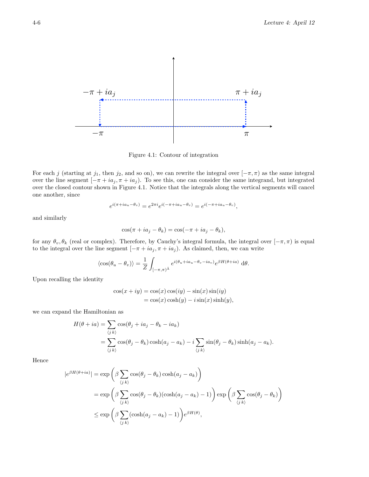

Figure 4.1: Contour of integration

For each j (starting at  $j_1$ , then  $j_2$ , and so on), we can rewrite the integral over  $[-\pi, \pi)$  as the same integral over the line segment  $[-\pi + ia_j, \pi + ia_j]$ . To see this, one can consider the same integrand, but integrated over the closed contour shown in Figure 4.1. Notice that the integrals along the vertical segments will cancel one another, since

$$
e^{i(\pi + i a_u - \theta_v)} = e^{2\pi i} e^{i(-\pi + i a_u - \theta_v)} = e^{i(-\pi + i a_u - \theta_v)},
$$

and similarly

$$
\cos(\pi + ia_j - \theta_k) = \cos(-\pi + ia_j - \theta_k),
$$

for any  $\theta_v, \theta_k$  (real or complex). Therefore, by Cauchy's integral formula, the integral over  $[-\pi, \pi)$  is equal to the integral over the line segment  $[-\pi + ia_j, \pi + ia_j]$ . As claimed, then, we can write

$$
\langle \cos(\theta_u - \theta_v) \rangle = \frac{1}{Z} \int_{[-\pi,\pi)\mathring{A}} e^{i(\theta_u + ia_u - \theta_v - ia_v)} e^{\beta H(\theta + ia)} d\theta.
$$

Upon recalling the identity

$$
\cos(x + iy) = \cos(x)\cos(iy) - \sin(x)\sin(iy)
$$
  
= 
$$
\cos(x)\cosh(y) - i\sin(x)\sinh(y),
$$

we can expand the Hamiltonian as

$$
H(\theta + ia) = \sum_{\langle j,k \rangle} \cos(\theta_j + ia_j - \theta_k - ia_k)
$$
  
= 
$$
\sum_{\langle j,k \rangle} \cos(\theta_j - \theta_k) \cosh(a_j - a_k) - i \sum_{\langle j,k \rangle} \sin(\theta_j - \theta_k) \sinh(a_j - a_k).
$$

Hence

$$
|e^{\beta H(\theta + ia)}| = \exp\left(\beta \sum_{\langle j,k\rangle} \cos(\theta_j - \theta_k) \cosh(a_j - a_k)\right)
$$
  
= 
$$
\exp\left(\beta \sum_{\langle j,k\rangle} \cos(\theta_j - \theta_k) (\cosh(a_j - a_k) - 1)\right) \exp\left(\beta \sum_{\langle j,k\rangle} \cos(\theta_j - \theta_k)\right)
$$
  

$$
\leq \exp\left(\beta \sum_{\langle j,k\rangle} (\cosh(a_j - a_k) - 1)\right) e^{\beta H(\theta)},
$$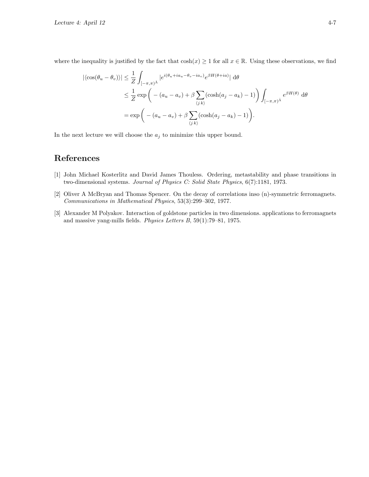where the inequality is justified by the fact that  $\cosh(x) \geq 1$  for all  $x \in \mathbb{R}$ . Using these observations, we find

$$
\left| \langle \cos(\theta_u - \theta_v) \rangle \right| \leq \frac{1}{Z} \int_{[-\pi,\pi)^{\tilde{\Lambda}}} \left| e^{i(\theta_u + ia_u - \theta_v - ia_v)} e^{\beta H(\theta + ia)} \right| d\theta
$$
  
\n
$$
\leq \frac{1}{Z} \exp\left( - (a_u - a_v) + \beta \sum_{\langle j,k \rangle} (\cosh(a_j - a_k) - 1) \right) \int_{[-\pi,\pi)^{\tilde{\Lambda}}} e^{\beta H(\theta)} d\theta
$$
  
\n
$$
= \exp\left( - (a_u - a_v) + \beta \sum_{\langle j,k \rangle} (\cosh(a_j - a_k) - 1) \right).
$$

In the next lecture we will choose the  $a_j$  to minimize this upper bound.

## References

- [1] John Michael Kosterlitz and David James Thouless. Ordering, metastability and phase transitions in two-dimensional systems. Journal of Physics C: Solid State Physics, 6(7):1181, 1973.
- [2] Oliver A McBryan and Thomas Spencer. On the decay of correlations inso (n)-symmetric ferromagnets. Communications in Mathematical Physics, 53(3):299–302, 1977.
- [3] Alexander M Polyakov. Interaction of goldstone particles in two dimensions. applications to ferromagnets and massive yang-mills fields. Physics Letters B, 59(1):79–81, 1975.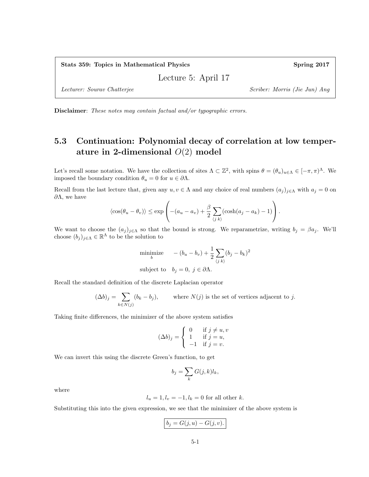Lecture 5: April 17

Lecturer: Sourav Chatterjee Scriber: Morris (Jie Jun) Ang

Disclaimer: These notes may contain factual and/or typographic errors.

# 5.3 Continuation: Polynomial decay of correlation at low temperature in 2-dimensional  $O(2)$  model

Let's recall some notation. We have the collection of sites  $\Lambda \subset \mathbb{Z}^2$ , with spins  $\theta = (\theta_u)_{u \in \Lambda} \in [-\pi, \pi)^\Lambda$ . We imposed the boundary condition  $\theta_u=0$  for  $u\in \partial \Lambda.$ 

Recall from the last lecture that, given any  $u, v \in \Lambda$  and any choice of real numbers  $(a_i)_{i \in \Lambda}$  with  $a_i = 0$  on  $\partial$ Λ, we have

$$
\langle \cos(\theta_u - \theta_v) \rangle \le \exp\left(- (a_u - a_v) + \frac{\beta}{2} \sum_{\langle j,k \rangle} (\cosh(a_j - a_k) - 1) \right).
$$

We want to choose the  $(a_j)_{j\in\Lambda}$  so that the bound is strong. We reparametrize, writing  $b_j = \beta a_j$ . We'll choose  $(b_j)_{j\in\Lambda}\in\mathbb{R}^{\Lambda}$  to be the solution to

minimize 
$$
-(b_u - b_v) + \frac{1}{2} \sum_{\langle j \rangle} (b_j - b_k)^2
$$
  
subject to  $b_j = 0, j \in \partial \Lambda$ .

Recall the standard definition of the discrete Laplacian operator

$$
(\Delta b)_j = \sum_{k \in N(j)} (b_k - b_j), \qquad \text{where } N(j) \text{ is the set of vertices adjacent to } j.
$$

Taking finite differences, the minimizer of the above system satisfies

$$
(\Delta b)_j = \begin{cases} 0 & \text{if } j \neq u, v \\ 1 & \text{if } j = u, \\ -1 & \text{if } j = v. \end{cases}
$$

We can invert this using the discrete Green's function, to get

$$
b_j = \sum_k G(j,k)l_k,
$$

where

$$
l_u = 1, l_v = -1, l_k = 0
$$
 for all other k.

Substituting this into the given expression, we see that the minimizer of the above system is

$$
b_j = G(j, u) - G(j, v).
$$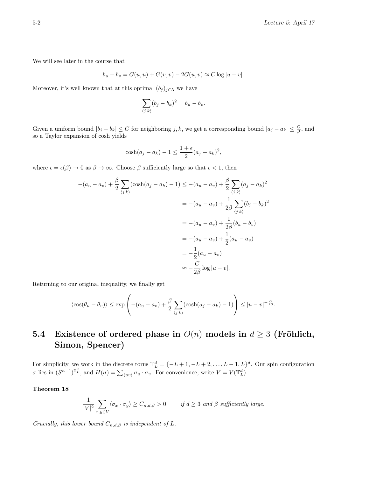We will see later in the course that

$$
b_u - b_v = G(u, u) + G(v, v) - 2G(u, v) \approx C \log |u - v|.
$$

Moreover, it's well known that at this optimal  $(b_j)_{j\in\Lambda}$  we have

$$
\sum_{\langle j\ k\rangle} (b_j - b_k)^2 = b_u - b_v.
$$

Given a uniform bound  $|b_j - b_k| \leq C$  for neighboring j, k, we get a corresponding bound  $|a_j - a_k| \leq \frac{C}{\beta}$ , and so a Taylor expansion of cosh yields

$$
\cosh(a_j - a_k) - 1 \le \frac{1 + \epsilon}{2} (a_j - a_k)^2
$$

where  $\epsilon = \epsilon(\beta) \to 0$  as  $\beta \to \infty$ . Choose  $\beta$  sufficiently large so that  $\epsilon < 1$ , then

$$
-(a_u - a_v) + \frac{\beta}{2} \sum_{\langle j \ k \rangle} (\cosh(a_j - a_k) - 1) \le -(a_u - a_v) + \frac{\beta}{2} \sum_{\langle j \ k \rangle} (a_j - a_k)^2
$$
  

$$
= -(a_u - a_v) + \frac{1}{2\beta} \sum_{\langle j \ k \rangle} (b_j - b_k)^2
$$
  

$$
= -(a_u - a_v) + \frac{1}{2\beta} (b_u - b_v)
$$
  

$$
= -(a_u - a_v) + \frac{1}{2} (a_u - a_v)
$$
  

$$
= -\frac{1}{2} (a_u - a_v)
$$
  

$$
\approx -\frac{C}{2\beta} \log |u - v|.
$$

Returning to our original inequality, we finally get

$$
\langle \cos(\theta_u - \theta_v) \rangle \le \exp\left(- (a_u - a_v) + \frac{\beta}{2} \sum_{\langle j,k \rangle} (\cosh(a_j - a_k) - 1) \right) \le |u - v|^{-\frac{C}{2\beta}}.
$$

# 5.4 Existence of ordered phase in  $O(n)$  models in  $d \geq 3$  (Fröhlich, Simon, Spencer)

For simplicity, we work in the discrete torus  $\mathbb{T}_L^d = \{-L+1, -L+2, \ldots, L-1, L\}^d$ . Our spin configuration  $\sigma$  lies in  $(S^{n-1})^{\mathbb{T}_L^d}$ , and  $H(\sigma) = \sum_{\langle uv \rangle} \sigma_u \cdot \sigma_v$ . For convenience, write  $V = V(\mathbb{T}_L^d)$ .

#### Theorem 18

$$
\frac{1}{|V|^2} \sum_{x,y \in V} \langle \sigma_x \cdot \sigma_y \rangle \ge C_{n,d,\beta} > 0 \qquad \text{if } d \ge 3 \text{ and } \beta \text{ sufficiently large.}
$$

Crucially, this lower bound  $C_{n,d,\beta}$  is independent of L.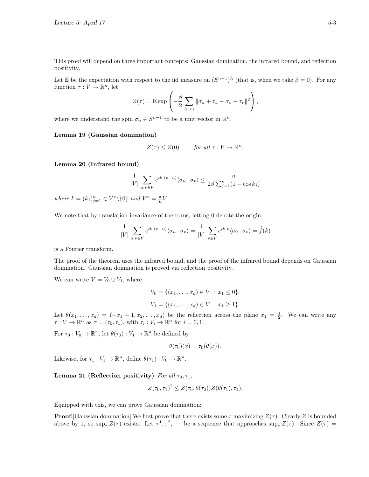This proof will depend on three important concepts: Gaussian domination, the infrared bound, and reflection positivity.

Let E be the expectation with respect to the iid measure on  $(S^{n-1})^{\Lambda}$  (that is, when we take  $\beta = 0$ ). For any function  $\tau: V \to \mathbb{R}^n$ , let

$$
Z(\tau) = \mathbb{E} \exp \left(-\frac{\beta}{2} \sum_{\langle u \ v \rangle} \|\sigma_u + \tau_u - \sigma_v - \tau_v\|^2\right),\,
$$

where we understand the spin  $\sigma_u \in S^{n-1}$  to be a unit vector in  $\mathbb{R}^n$ .

#### Lemma 19 (Gaussian domination)

$$
Z(\tau) \leq Z(0) \qquad \text{for all } \tau : V \to \mathbb{R}^n.
$$

#### Lemma 20 (Infrared bound)

$$
\frac{1}{|V|} \sum_{u,v \in V} e^{ik \cdot (v-u)} \langle \sigma_u \cdot \sigma_v \rangle \le \frac{n}{2\beta \sum_{j=1}^n (1 - \cos k_j)}
$$

where  $k = (k_j)_{j=1}^n \in V^* \setminus \{0\}$  and  $V^* = \frac{\pi}{L}V$ .

We note that by translation invariance of the torus, letting 0 denote the origin,

$$
\frac{1}{|V|} \sum_{u,v \in V} e^{ik \cdot (v-u)} \langle \sigma_u \cdot \sigma_v \rangle = \frac{1}{|V|} \sum_{v \in V} e^{ik \cdot v} \langle \sigma_0 \cdot \sigma_v \rangle = \hat{f}(k)
$$

is a Fourier transform.

The proof of the theorem uses the infrared bound, and the proof of the infrared bound depends on Gaussian domination. Gaussian domination is proved via reflection positivity.

We can write  $V = V_0 \cup V_1$ , where

$$
V_0 = \{(x_1, \dots, x_d) \in V : x_1 \le 0\},\
$$
  

$$
V_1 = \{(x_1, \dots, x_d) \in V : x_1 \ge 1\}.
$$

Let  $\theta(x_1,\ldots,x_d) = (-x_1+1,x_2,\ldots,x_d)$  be the reflection across the plane  $x_1 = \frac{1}{2}$ . We can write any  $\tau: V \to \mathbb{R}^n$  as  $\tau = (\tau_0, \tau_1)$ , with  $\tau_i: V_i \to \mathbb{R}^n$  for  $i = 0, 1$ .

For  $\tau_0 : V_0 \to \mathbb{R}^n$ , let  $\theta(\tau_0) : V_1 \to \mathbb{R}^n$  be defined by

$$
\theta(\tau_0)(x) = \tau_0(\theta(x)).
$$

Likewise, for  $\tau_1 : V_1 \to \mathbb{R}^n$ , define  $\theta(\tau_1) : V_0 \to \mathbb{R}^n$ .

Lemma 21 (Reflection positivity) For all  $\tau_0, \tau_1$ ,

$$
Z(\tau_0, \tau_1)^2 \leq Z(\tau_0, \theta(\tau_0))Z(\theta(\tau_1), \tau_1).
$$

Equipped with this, we can prove Gaussian domination:

**Proof:** [Gaussian domination] We first prove that there exists some  $\tau$  maximizing  $Z(\tau)$ . Clearly Z is bounded above by 1, so  $\sup_{\tau} Z(\tau)$  exists. Let  $\tau^1, \tau^2, \cdots$  be a sequence that approaches  $\sup_{\tau} Z(\tau)$ . Since  $Z(\tau)$  =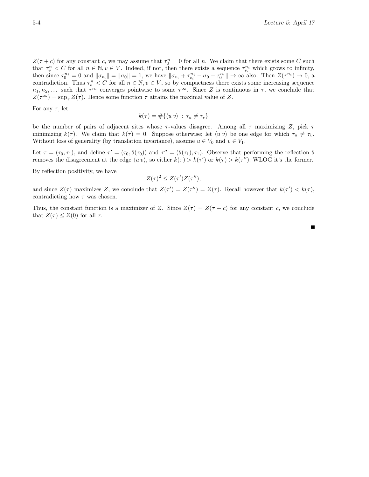$Z(\tau + c)$  for any constant c, we may assume that  $\tau_0^n = 0$  for all n. We claim that there exists some C such that  $\tau_v^n < C$  for all  $n \in \mathbb{N}, v \in V$ . Indeed, if not, then there exists a sequence  $\tau_{v_i}^{n_i}$  which grows to infinity, then since  $\tau_0^{n_i} = 0$  and  $\|\sigma_{v_i}\| = \|\sigma_0\| = 1$ , we have  $\|\sigma_{v_i} + \tau_{v_i}^{n_i} - \sigma_0 - \tau_0^{n_i}\| \to \infty$  also. Then  $Z(\tau^{n_i}) \to 0$ , a contradiction. Thus  $\tau_v^n < C$  for all  $n \in \mathbb{N}, v \in V$ , so by compactness there exists some increasing sequence  $n_1, n_2, \ldots$  such that  $\tau^{n_i}$  converges pointwise to some  $\tau^{\infty}$ . Since Z is continuous in  $\tau$ , we conclude that  $Z(\tau^{\infty}) = \sup_{\tau} Z(\tau)$ . Hence some function  $\tau$  attains the maximal value of Z.

For any  $\tau$ , let

$$
k(\tau) = \#\{\langle u \, v \rangle \, : \, \tau_u \neq \tau_v\}
$$

be the number of pairs of adjacent sites whose  $\tau$ -values disagree. Among all  $\tau$  maximizing Z, pick  $\tau$ minimizing  $k(\tau)$ . We claim that  $k(\tau) = 0$ . Suppose otherwise; let  $\langle u v \rangle$  be one edge for which  $\tau_u \neq \tau_v$ . Without loss of generality (by translation invariance), assume  $u \in V_0$  and  $v \in V_1$ .

Let  $\tau = (\tau_0, \tau_1)$ , and define  $\tau' = (\tau_0, \theta(\tau_0))$  and  $\tau'' = (\theta(\tau_1), \tau_1)$ . Observe that performing the reflection  $\theta$ removes the disagreement at the edge  $\langle u v \rangle$ , so either  $k(\tau) > k(\tau')$  or  $k(\tau) > k(\tau'')$ ; WLOG it's the former.

By reflection positivity, we have

$$
Z(\tau)^2 \leq Z(\tau')Z(\tau''),
$$

and since  $Z(\tau)$  maximizes Z, we conclude that  $Z(\tau') = Z(\tau'') = Z(\tau)$ . Recall however that  $k(\tau') < k(\tau)$ , contradicting how  $\tau$  was chosen.

Thus, the constant function is a maximizer of Z. Since  $Z(\tau) = Z(\tau + c)$  for any constant c, we conclude that  $Z(\tau) \leq Z(0)$  for all  $\tau$ .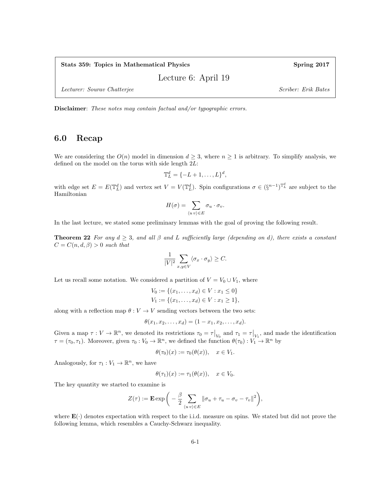Stats 359: Topics in Mathematical Physics Spring 2017

Lecture 6: April 19

Lecturer: Sourav Chatterjee Scriber: Erik Bates

Disclaimer: These notes may contain factual and/or typographic errors.

#### 6.0 Recap

We are considering the  $O(n)$  model in dimension  $d \geq 3$ , where  $n \geq 1$  is arbitrary. To simplify analysis, we defined on the model on the torus with side length 2L:

$$
\mathbb{T}_L^d = \{-L+1,\ldots,L\}^d,
$$

with edge set  $E = E(\mathbb{T}_L^d)$  and vertex set  $V = V(\mathbb{T}_L^d)$ . Spin configurations  $\sigma \in (\S^{n-1})^{\mathbb{T}_L^d}$  are subject to the Hamiltonian

$$
H(\sigma) = \sum_{\langle u,v \rangle \in E} \sigma_u \cdot \sigma_v.
$$

In the last lecture, we stated some preliminary lemmas with the goal of proving the following result.

**Theorem 22** For any  $d \geq 3$ , and all  $\beta$  and L sufficiently large (depending on d), there exists a constant  $C = C(n, d, \beta) > 0$  such that

$$
\frac{1}{|V|^2} \sum_{x,y \in V} \langle \sigma_x \cdot \sigma_y \rangle \ge C.
$$

Let us recall some notation. We considered a partition of  $V = V_0 \cup V_1$ , where

$$
V_0 := \{(x_1, \dots, x_d) \in V : x_1 \le 0\}
$$
  

$$
V_1 := \{(x_1, \dots, x_d) \in V : x_1 \ge 1\},\
$$

along with a reflection map  $\theta : V \to V$  sending vectors between the two sets:

$$
\theta(x_1, x_2, \dots, x_d) = (1 - x_1, x_2, \dots, x_d).
$$

Given a map  $\tau: V \to \mathbb{R}^n$ , we denoted its restrictions  $\tau_0 = \tau|_{V_0}$  and  $\tau_1 = \tau|_{V_1}$ , and made the identification  $\tau = (\tau_0, \tau_1)$ . Moreover, given  $\tau_0 : V_0 \to \mathbb{R}^n$ , we defined the function  $\theta(\tau_0) : V_1 \to \mathbb{R}^n$  by

$$
\theta(\tau_0)(x) := \tau_0(\theta(x)), \quad x \in V_1.
$$

Analogously, for  $\tau_1 : V_1 \to \mathbb{R}^n$ , we have

$$
\theta(\tau_1)(x) := \tau_1(\theta(x)), \quad x \in V_0.
$$

The key quantity we started to examine is

$$
Z(\tau) := \mathbf{E} \exp \bigg( -\frac{\beta}{2} \sum_{\langle uv \rangle \in E} ||\sigma_u + \tau_u - \sigma_v - \tau_v||^2 \bigg),
$$

where  $\mathbf{E}(\cdot)$  denotes expectation with respect to the i.i.d. measure on spins. We stated but did not prove the following lemma, which resembles a Cauchy-Schwarz inequality.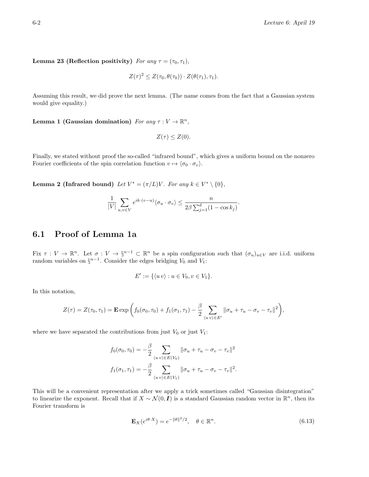Lemma 23 (Reflection positivity) For any  $\tau = (\tau_0, \tau_1)$ ,

$$
Z(\tau)^{2} \leq Z(\tau_{0}, \theta(\tau_{0})) \cdot Z(\theta(\tau_{1}), \tau_{1}).
$$

Assuming this result, we did prove the next lemma. (The name comes from the fact that a Gaussian system would give equality.)

Lemma 1 (Gaussian domination) For any  $\tau: V \to \mathbb{R}^n$ ,

$$
Z(\tau) \leq Z(0).
$$

Finally, we stated without proof the so-called "infrared bound", which gives a uniform bound on the nonzero Fourier coefficients of the spin correlation function  $v \mapsto \langle \sigma_0 \cdot \sigma_v \rangle$ .

**Lemma 2 (Infrared bound)** Let  $V^* = (\pi/L)V$ . For any  $k \in V^* \setminus \{0\}$ ,

$$
\frac{1}{|V|} \sum_{u,v \in V} e^{ik \cdot (v-u)} \langle \sigma_u \cdot \sigma_v \rangle \le \frac{n}{2\beta \sum_{j=1}^d (1 - \cos k_j)}.
$$

#### 6.1 Proof of Lemma 1a

Fix  $\tau: V \to \mathbb{R}^n$ . Let  $\sigma: V \to \S^{n-1} \subset \mathbb{R}^n$  be a spin configuration such that  $(\sigma_u)_{u \in V}$  are i.i.d. uniform random variables on  $\S^{n-1}$ . Consider the edges bridging  $V_0$  and  $V_1$ :

$$
E' := \{ \langle u \, v \rangle : u \in V_0, v \in V_1 \}.
$$

In this notation,

$$
Z(\tau) = Z(\tau_0, \tau_1) = \mathbf{E} \exp\left(f_0(\sigma_0, \tau_0) + f_1(\sigma_1, \tau_1) - \frac{\beta}{2} \sum_{\langle uv \rangle \in E'} ||\sigma_u + \tau_u - \sigma_v - \tau_v||^2\right),
$$

where we have separated the contributions from just  $V_0$  or just  $V_1$ :

$$
f_0(\sigma_0, \tau_0) = -\frac{\beta}{2} \sum_{\langle u, v \rangle \in E(V_0)} ||\sigma_u + \tau_u - \sigma_v - \tau_v||^2
$$
  

$$
f_1(\sigma_1, \tau_1) = -\frac{\beta}{2} \sum_{\langle u, v \rangle \in E(V_1)} ||\sigma_u + \tau_u - \sigma_v - \tau_v||^2.
$$

This will be a convenient representation after we apply a trick sometimes called "Gaussian disintegration" to linearize the exponent. Recall that if  $X \sim \mathcal{N}(0, I)$  is a standard Gaussian random vector in  $\mathbb{R}^n$ , then its Fourier transform is

$$
\mathbf{E}_X(e^{i\theta \cdot X}) = e^{-\|\theta\|^2/2}, \quad \theta \in \mathbb{R}^n. \tag{6.13}
$$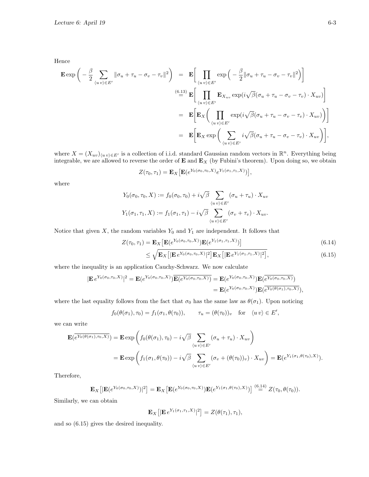Hence

$$
\mathbf{E} \exp \bigg( -\frac{\beta}{2} \sum_{\langle uv \rangle \in E'} ||\sigma_u + \tau_u - \sigma_v - \tau_v||^2 \bigg) = \mathbf{E} \bigg[ \prod_{\langle uv \rangle \in E'} \exp \bigg( -\frac{\beta}{2} ||\sigma_u + \tau_u - \sigma_v - \tau_v||^2 \bigg) \bigg]
$$
  
\n
$$
\stackrel{(6.13)}{=} \mathbf{E} \bigg[ \prod_{\langle uv \rangle \in E'} \mathbf{E}_{X_{uv}} \exp(i\sqrt{\beta}(\sigma_u + \tau_u - \sigma_v - \tau_v) \cdot X_{uv}) \bigg]
$$
  
\n
$$
= \mathbf{E} \bigg[ \mathbf{E}_X \bigg( \prod_{\langle uv \rangle \in E'} \exp(i\sqrt{\beta}(\sigma_u + \tau_u - \sigma_v - \tau_v) \cdot X_{uv}) \bigg) \bigg]
$$
  
\n
$$
= \mathbf{E} \bigg[ \mathbf{E}_X \exp \bigg( \sum_{\langle uv \rangle \in E'} i\sqrt{\beta}(\sigma_u + \tau_u - \sigma_v - \tau_v) \cdot X_{uv} \bigg) \bigg],
$$

where  $X = (X_{uv})_{(uv) \in E'}$  is a collection of i.i.d. standard Gaussian random vectors in  $\mathbb{R}^n$ . Everything being integrable, we are allowed to reverse the order of  $E$  and  $E<sub>X</sub>$  (by Fubini's theorem). Upon doing so, we obtain

$$
Z(\tau_0, \tau_1) = \mathbf{E}_X \big[ \mathbf{E} (e^{Y_0(\sigma_0, \tau_0, X)} e^{Y_1(\sigma_1, \tau_1, X)}) \big],
$$

where

$$
Y_0(\sigma_0, \tau_0, X) := f_0(\sigma_0, \tau_0) + i\sqrt{\beta} \sum_{\langle uv \rangle \in E'} (\sigma_u + \tau_u) \cdot X_{uv}
$$
  

$$
Y_1(\sigma_1, \tau_1, X) := f_1(\sigma_1, \tau_1) - i\sqrt{\beta} \sum_{\langle uv \rangle \in E'} (\sigma_v + \tau_v) \cdot X_{uv}.
$$

Notice that given  $X$ , the random variables  $Y_0$  and  $Y_1$  are independent. It follows that

$$
Z(\tau_0, \tau_1) = \mathbf{E}_X \left[ \mathbf{E}(e^{Y_0(\sigma_0, \tau_0, X)}) \mathbf{E}(e^{Y_1(\sigma_1, \tau_1, X)}) \right] \leq \sqrt{\mathbf{E}_X \left[ |\mathbf{E} e^{Y_0(\sigma_0, \tau_0, X)}|^2 \right] \mathbf{E}_X \left[ |\mathbf{E} e^{Y_1(\sigma_1, \tau_1, X)}|^2 \right]},
$$
\n(6.14)

where the inequality is an application Cauchy-Schwarz. We now calculate

$$
|\mathbf{E} e^{Y_0(\sigma_0,\tau_0,X)}|^2 = \mathbf{E}(e^{Y_0(\sigma_0,\tau_0,X)})\overline{\mathbf{E}(e^{Y_0(\sigma_0,\tau_0,X)})} = \mathbf{E}(e^{Y_0(\sigma_0,\tau_0,X)})\mathbf{E}(\overline{e^{Y_0(\sigma_0,\tau_0,X)}}) = \mathbf{E}(e^{Y_0(\sigma_0,\tau_0,X)})\mathbf{E}(\overline{e^{Y_0(\sigma_0,\tau_0,X)}}),
$$

where the last equality follows from the fact that  $\sigma_0$  has the same law as  $\theta(\sigma_1)$ . Upon noticing

$$
f_0(\theta(\sigma_1), \tau_0) = f_1(\sigma_1, \theta(\tau_0)), \qquad \tau_u = (\theta(\tau_0))_v \quad \text{for} \quad \langle uv \rangle \in E',
$$

we can write

$$
\mathbf{E}(\overline{e^{Y_0(\theta(\sigma_1), \tau_0, X)}}) = \mathbf{E} \exp \left( f_0(\theta(\sigma_1), \tau_0) - i \sqrt{\beta} \sum_{\langle uv \rangle \in E'} (\sigma_u + \tau_u) \cdot X_{uv} \right)
$$
  
= 
$$
\mathbf{E} \exp \left( f_1(\sigma_1, \theta(\tau_0)) - i \sqrt{\beta} \sum_{\langle uv \rangle \in E'} (\sigma_v + (\theta(\tau_0))_v) \cdot X_{uv} \right) = \mathbf{E}(e^{Y_1(\sigma_1, \theta(\tau_0), X)}).
$$

Therefore,

$$
\mathbf{E}_X\big[|\mathbf{E}(e^{Y_0(\sigma_0,\tau_0,X)})|^2\big] = \mathbf{E}_X\big[\mathbf{E}(e^{Y_0(\sigma_0,\tau_0,X)})\mathbf{E}(e^{Y_1(\sigma_1,\theta(\tau_0),X)})\big] \stackrel{(6.14)}{=} Z(\tau_0,\theta(\tau_0)).
$$

Similarly, we can obtain

$$
\mathbf{E}_X\big[|\mathbf{E} e^{Y_1(\sigma_1,\tau_1,X)}|^2\big] = Z(\theta(\tau_1),\tau_1),
$$

and so (6.15) gives the desired inequality.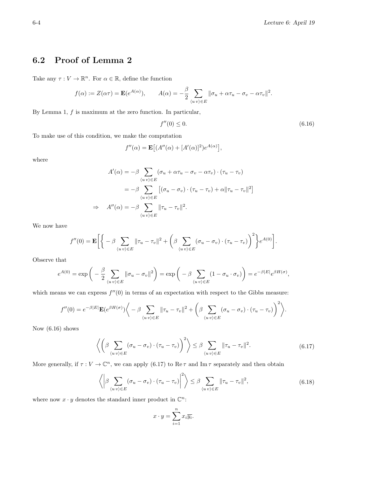## 6.2 Proof of Lemma 2

Take any  $\tau: V \to \mathbb{R}^n$ . For  $\alpha \in \mathbb{R}$ , define the function

$$
f(\alpha) := Z(\alpha \tau) = \mathbf{E}(e^{A(\alpha)}), \qquad A(\alpha) = -\frac{\beta}{2} \sum_{\langle uv \rangle \in E} ||\sigma_u + \alpha \tau_u - \sigma_v - \alpha \tau_v||^2.
$$

By Lemma 1,  $f$  is maximum at the zero function. In particular,

$$
f''(0) \le 0. \tag{6.16}
$$

To make use of this condition, we make the computation

$$
f''(\alpha) = \mathbf{E}\big[(A''(\alpha) + [A'(\alpha)]^2)e^{A(\alpha)}\big],
$$

where

$$
A'(\alpha) = -\beta \sum_{\langle uv \rangle \in E} (\sigma_u + \alpha \tau_u - \sigma_v - \alpha \tau_v) \cdot (\tau_u - \tau_v)
$$
  

$$
= -\beta \sum_{\langle uv \rangle \in E} [(\sigma_u - \sigma_v) \cdot (\tau_u - \tau_v) + \alpha ||\tau_u - \tau_v||^2]
$$
  

$$
\Rightarrow A''(\alpha) = -\beta \sum_{\langle uv \rangle \in E} ||\tau_u - \tau_v||^2.
$$

We now have

$$
f''(0) = \mathbf{E}\bigg[\bigg\{-\beta \sum_{\langle uv \rangle \in E} ||\tau_u - \tau_v||^2 + \bigg(\beta \sum_{\langle uv \rangle \in E} (\sigma_u - \sigma_v) \cdot (\tau_u - \tau_v)\bigg)^2\bigg\}e^{A(0)}\bigg].
$$

Observe that

$$
e^{A(0)} = \exp\bigg(-\frac{\beta}{2} \sum_{\langle uv \rangle \in E} ||\sigma_u - \sigma_v||^2\bigg) = \exp\bigg(-\beta \sum_{\langle uv \rangle \in E} (1 - \sigma_u \cdot \sigma_v)\bigg) = e^{-\beta |E|} e^{\beta H(\sigma)},
$$

which means we can express  $f''(0)$  in terms of an expectation with respect to the Gibbs measure:

$$
f''(0) = e^{-\beta|E|} \mathbf{E}(e^{\beta H(\sigma)}) \Bigg\langle -\beta \sum_{\langle uv \rangle \in E} ||\tau_u - \tau_v||^2 + \Bigg(\beta \sum_{\langle uv \rangle \in E} (\sigma_u - \sigma_v) \cdot (\tau_u - \tau_v) \Bigg)^2 \Bigg\rangle.
$$

Now (6.16) shows

$$
\left\langle \left( \beta \sum_{\langle uv \rangle \in E} (\sigma_u - \sigma_v) \cdot (\tau_u - \tau_v) \right)^2 \right\rangle \leq \beta \sum_{\langle uv \rangle \in E} ||\tau_u - \tau_v||^2. \tag{6.17}
$$

More generally, if  $\tau: V \to \mathbb{C}^n$ , we can apply (6.17) to Re  $\tau$  and Im  $\tau$  separately and then obtain

$$
\left\langle \left| \beta \sum_{\langle uv \rangle \in E} (\sigma_u - \sigma_v) \cdot (\tau_u - \tau_v) \right|^2 \right\rangle \leq \beta \sum_{\langle uv \rangle \in E} ||\tau_u - \tau_v||^2, \tag{6.18}
$$

where now  $x \cdot y$  denotes the standard inner product in  $\mathbb{C}^n$ :

$$
x \cdot y = \sum_{i=1}^{n} x_i \overline{y_i}.
$$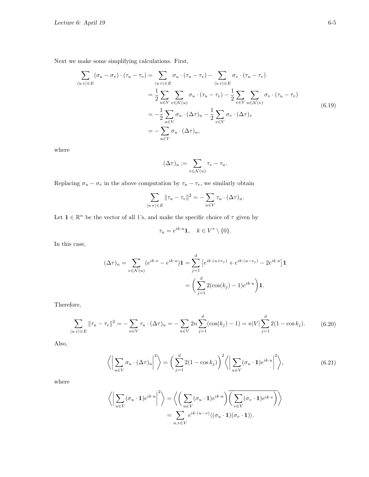Next we make some simplifying calculations. First,

$$
\sum_{\langle uv \rangle \in E} (\sigma_u - \sigma_v) \cdot (\tau_u - \tau_v) = \sum_{\langle uv \rangle \in E} \sigma_u \cdot (\tau_u - \tau_v) - \sum_{\langle uv \rangle \in E} \sigma_v \cdot (\tau_u - \tau_v)
$$
\n
$$
= \frac{1}{2} \sum_{u \in V} \sum_{v \in \mathcal{N}(u)} \sigma_u \cdot (\tau_u - \tau_v) - \frac{1}{2} \sum_{v \in V} \sum_{u \in \mathcal{N}(v)} \sigma_v \cdot (\tau_u - \tau_v)
$$
\n
$$
= -\frac{1}{2} \sum_{u \in V} \sigma_u \cdot (\Delta \tau)_u - \frac{1}{2} \sum_{v \in V} \sigma_v \cdot (\Delta \tau)_v
$$
\n
$$
= -\sum_{u \in V} \sigma_u \cdot (\Delta \tau)_u,
$$
\n(6.19)

where

$$
(\Delta \tau)_u := \sum_{v \in \mathcal{N}(u)} \tau_v - \tau_u.
$$

Replacing  $\sigma_u - \sigma_v$  in the above computation by  $\tau_u - \tau_v$ , we similarly obtain

$$
\sum_{\langle uv \rangle \in E} ||\tau_u - \tau_v||^2 = -\sum_{u \in V} \tau_u \cdot (\Delta \tau)_u.
$$

Let  $\mathbf{1} \in \mathbb{R}^n$  be the vector of all 1's, and make the specific choice of  $\tau$  given by

$$
\tau_u = e^{ik \cdot u} \mathbf{1}, \quad k \in V^* \setminus \{0\}.
$$

In this case,

$$
(\Delta \tau)_u = \sum_{v \in \mathcal{N}(u)} (e^{ik \cdot v} - e^{ik \cdot u}) \mathbf{1} = \sum_{j=1}^d \left[ e^{ik \cdot (u + e_j)} + e^{ik \cdot (u - e_j)} - 2e^{ik \cdot u} \right] \mathbf{1}
$$

$$
= \left( \sum_{j=1}^d 2(\cos(k_j) - 1)e^{ik \cdot u} \right) \mathbf{1}.
$$

Therefore,

$$
\sum_{\langle uv \rangle \in E} ||\tau_u - \tau_v||^2 = -\sum_{u \in V} \tau_u \cdot (\Delta \tau)_u = -\sum_{u \in V} 2n \sum_{j=1}^d (\cos(k_j) - 1) = n|V| \sum_{j=1}^d 2(1 - \cos k_j). \tag{6.20}
$$

Also,

$$
\left\langle \left| \sum_{u \in V} \sigma_u \cdot (\Delta \tau)_u \right|^2 \right\rangle = \left( \sum_{j=1}^d 2(1 - \cos k_j) \right)^2 \left\langle \left| \sum_{u \in V} (\sigma_u \cdot \mathbf{1}) e^{ik \cdot u} \right|^2 \right\rangle, \tag{6.21}
$$

where

$$
\left\langle \left| \sum_{u \in V} (\sigma_u \cdot \mathbf{1}) e^{ik \cdot u} \right|^2 \right\rangle = \left\langle \left( \sum_{u \in V} (\sigma_u \cdot \mathbf{1}) e^{ik \cdot u} \right) \overline{\left( \sum_{v \in V} (\sigma_v \cdot \mathbf{1}) e^{ik \cdot v} \right)} \right\rangle
$$

$$
= \sum_{u,v \in V} e^{ik \cdot (u-v)} \langle (\sigma_u \cdot \mathbf{1}) (\sigma_v \cdot \mathbf{1}) \rangle.
$$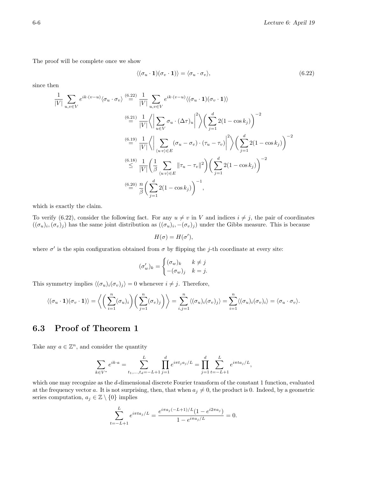The proof will be complete once we show

$$
\langle (\sigma_u \cdot \mathbf{1})(\sigma_v \cdot \mathbf{1}) \rangle = \langle \sigma_u \cdot \sigma_v \rangle, \tag{6.22}
$$

since then

$$
\frac{1}{|V|} \sum_{u,v \in V} e^{ik \cdot (v-u)} \langle \sigma_u \cdot \sigma_v \rangle \stackrel{(6.22)}{=} \frac{1}{|V|} \sum_{u,v \in V} e^{ik \cdot (v-u)} \langle (\sigma_u \cdot \mathbf{1})(\sigma_v \cdot \mathbf{1}) \rangle
$$
\n
$$
\stackrel{(6.21)}{=} \frac{1}{|V|} \left\langle \left| \sum_{u \in V} \sigma_u \cdot (\Delta \tau)_u \right|^2 \right\rangle \left( \sum_{j=1}^d 2(1 - \cos k_j) \right)^{-2}
$$
\n
$$
\stackrel{(6.19)}{=} \frac{1}{|V|} \left\langle \left| \sum_{\langle uv \rangle \in E} (\sigma_u - \sigma_v) \cdot (\tau_u - \tau_v) \right|^2 \right\rangle \left( \sum_{j=1}^d 2(1 - \cos k_j) \right)^{-2}
$$
\n
$$
\stackrel{(6.18)}{\leq} \frac{1}{|V|} \left( \frac{1}{\beta} \sum_{\langle uv \rangle \in E} ||\tau_u - \tau_v||^2 \right) \left( \sum_{j=1}^d 2(1 - \cos k_j) \right)^{-2}
$$
\n
$$
\stackrel{(6.20)}{=} \frac{n}{\beta} \left( \sum_{j=1}^d 2(1 - \cos k_j) \right)^{-1},
$$

which is exactly the claim.

To verify (6.22), consider the following fact. For any  $u \neq v$  in V and indices  $i \neq j$ , the pair of coordinates  $((\sigma_u)_i, (\sigma_v)_j)$  has the same joint distribution as  $((\sigma_u)_i, -(\sigma_v)_j)$  under the Gibbs measure. This is because

$$
H(\sigma) = H(\sigma'),
$$

where  $\sigma'$  is the spin configuration obtained from  $\sigma$  by flipping the j-th coordinate at every site:

$$
(\sigma'_w)_k = \begin{cases} (\sigma_w)_k & k \neq j \\ -(\sigma_w)_j & k = j. \end{cases}
$$

This symmetry implies  $\langle (\sigma_u)_i(\sigma_v)_j \rangle = 0$  whenever  $i \neq j$ . Therefore,

$$
\langle (\sigma_u \cdot \mathbf{1})(\sigma_v \cdot \mathbf{1}) \rangle = \left\langle \left( \sum_{i=1}^n (\sigma_u)_i \right) \left( \sum_{j=1}^n (\sigma_v)_j \right) \right\rangle = \sum_{i,j=1}^n \langle (\sigma_u)_i (\sigma_v)_j \rangle = \sum_{i=1}^n \langle (\sigma_u)_i (\sigma_v)_i \rangle = \langle \sigma_u \cdot \sigma_v \rangle.
$$

### 6.3 Proof of Theorem 1

Take any  $a \in \mathbb{Z}^n$ , and consider the quantity

$$
\sum_{k \in V^*} e^{ik \cdot a} = \sum_{t_1, \dots, t_d = -L+1}^{L} \prod_{j=1}^d e^{i\pi t_j a_j/L} = \prod_{j=1}^d \sum_{t=-L+1}^{L} e^{i\pi t a_j/L},
$$

which one may recognize as the d-dimensional discrete Fourier transform of the constant 1 function, evaluated at the frequency vector a. It is not surprising, then, that when  $a_j \neq 0$ , the product is 0. Indeed, by a geometric series computation,  $a_j \in \mathbb{Z} \setminus \{0\}$  implies

$$
\sum_{t=-L+1}^{L} e^{i\pi ta_j/L} = \frac{e^{i\pi a_j(-L+1)/L}(1 - e^{i2\pi a_j})}{1 - e^{i\pi a_j/L}} = 0.
$$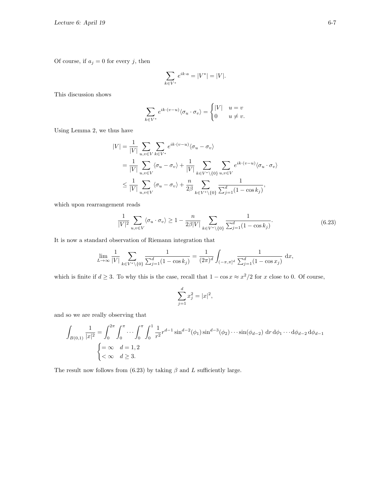Of course, if  $a_j = 0$  for every j, then

$$
\sum_{k \in V^*} e^{ik \cdot a} = |V^*| = |V|.
$$

This discussion shows

$$
\sum_{k \in V^*} e^{ik \cdot (v-u)} \langle \sigma_u \cdot \sigma_v \rangle = \begin{cases} |V| & u = v \\ 0 & u \neq v. \end{cases}
$$

Using Lemma 2, we thus have

$$
|V| = \frac{1}{|V|} \sum_{u,v \in V} \sum_{k \in V^*} e^{ik \cdot (v-u)} \langle \sigma_u - \sigma_v \rangle
$$
  
= 
$$
\frac{1}{|V|} \sum_{u,v \in V} \langle \sigma_u - \sigma_v \rangle + \frac{1}{|V|} \sum_{k \in V^* \setminus \{0\}} \sum_{u,v \in V} e^{ik \cdot (v-u)} \langle \sigma_u \cdot \sigma_v \rangle
$$
  

$$
\leq \frac{1}{|V|} \sum_{u,v \in V} \langle \sigma_u - \sigma_v \rangle + \frac{n}{2\beta} \sum_{k \in V^* \setminus \{0\}} \frac{1}{\sum_{j=1}^d (1 - \cos k_j)},
$$

which upon rearrangement reads

$$
\frac{1}{|V|^2} \sum_{u,v \in V} \langle \sigma_u \cdot \sigma_v \rangle \ge 1 - \frac{n}{2\beta |V|} \sum_{k \in V^* \setminus \{0\}} \frac{1}{\sum_{j=1}^d (1 - \cos k_j)}.
$$
(6.23)

It is now a standard observation of Riemann integration that

$$
\lim_{L \to \infty} \frac{1}{|V|} \sum_{k \in V^* \setminus \{0\}} \frac{1}{\sum_{j=1}^d (1 - \cos k_j)} = \frac{1}{(2\pi)^d} \int_{(-\pi, \pi]^d} \frac{1}{\sum_{j=1}^d (1 - \cos x_j)} dx,
$$

which is finite if  $d \geq 3$ . To why this is the case, recall that  $1 - \cos x \approx x^2/2$  for x close to 0. Of course,

$$
\sum_{j=1}^{d} x_j^2 = |x|^2,
$$

and so we are really observing that

$$
\int_{B(0,1)} \frac{1}{|x|^2} = \int_0^{2\pi} \int_0^{\pi} \cdots \int_0^{\pi} \int_0^1 \frac{1}{r^2} r^{d-1} \sin^{d-2}(\phi_1) \sin^{d-3}(\phi_2) \cdots \sin(\phi_{d-2}) \, dr \, d\phi_1 \cdots d\phi_{d-2} \, d\phi_{d-1}
$$
\n
$$
\begin{cases}\n= \infty & d = 1, 2 \\
< \infty & d \ge 3.\n\end{cases}
$$

The result now follows from (6.23) by taking  $\beta$  and L sufficiently large.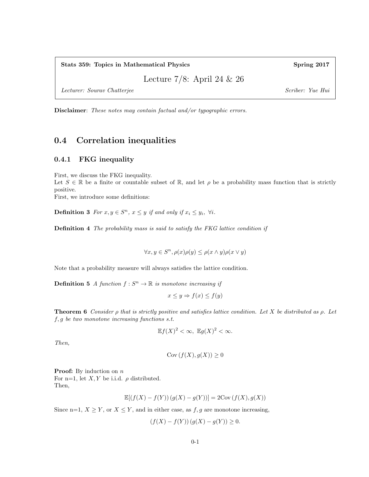Stats 359: Topics in Mathematical Physics Spring 2017

Lecture 7/8: April 24 & 26

Lecturer: Sourav Chatterjee Scriber: Yue Hui

Disclaimer: These notes may contain factual and/or typographic errors.

#### 0.4 Correlation inequalities

#### 0.4.1 FKG inequality

First, we discuss the FKG inequality.

Let  $S \in \mathbb{R}$  be a finite or countable subset of  $\mathbb{R}$ , and let  $\rho$  be a probability mass function that is strictly positive.

First, we introduce some definitions:

**Definition 3** For  $x, y \in S^n$ ,  $x \leq y$  if and only if  $x_i \leq y_i$ ,  $\forall i$ .

**Definition 4** The probability mass is said to satisfy the FKG lattice condition if

 $\forall x, y \in S^n, \rho(x)\rho(y) \leq \rho(x \wedge y)\rho(x \vee y)$ 

Note that a probability measure will always satisfies the lattice condition.

**Definition 5** A function  $f : S^n \to \mathbb{R}$  is monotone increasing if

$$
x \le y \Rightarrow f(x) \le f(y)
$$

**Theorem 6** Consider  $\rho$  that is strictly positive and satisfies lattice condition. Let X be distributed as  $\rho$ . Let f, g be two monotone increasing functions s.t.

$$
\mathbb{E}f(X)^2 < \infty, \ \mathbb{E}g(X)^2 < \infty.
$$

Then,

$$
Cov(f(X), g(X)) \ge 0
$$

**Proof:** By induction on  $n$ For n=1, let  $X, Y$  be i.i.d.  $\rho$  distributed. Then,

$$
\mathbb{E}[(f(X)-f(Y))\left(g(X)-g(Y)\right)]=2\mathrm{Cov}\left(f(X),g(X)\right)
$$

Since n=1,  $X \geq Y$ , or  $X \leq Y$ , and in either case, as  $f, g$  are monotone increasing,

$$
(f(X) - f(Y)) (g(X) - g(Y)) \ge 0.
$$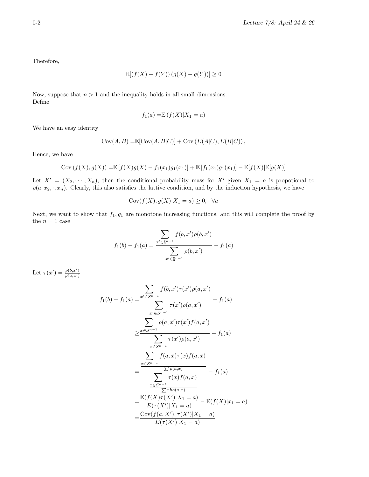Therefore,

$$
\mathbb{E}[(f(X) - f(Y)) (g(X) - g(Y))] \ge 0
$$

Now, suppose that  $n > 1$  and the inequality holds in all small dimensions. Define

$$
f_1(a) = \mathbb{E}\left(f(X)|X_1 = a\right)
$$

We have an easy identity

$$
Cov(A, B) = \mathbb{E}[Cov(A, B|C)] + Cov(E(A|C), E(B|C)),
$$

Hence, we have

Cov 
$$
(f(X), g(X)) = \mathbb{E}[f(X)g(X) - f_1(x_1)g_1(x_1)] + \mathbb{E}[f_1(x_1)g_1(x_1)] - \mathbb{E}[f(X)]\mathbb{E}[g(X)]
$$

Let  $X' = (X_2, \dots, X_n)$ , then the conditional probability mass for  $X'$  given  $X_1 = a$  is propotional to  $\rho(a, x_2, \cdot, x_n)$ . Clearly, this also satisfies the lattive condition, and by the induction hypothesis, we have

$$
Cov(f(X), g(X)|X_1 = a) \ge 0, \quad \forall a
$$

Next, we want to show that  $f_1, g_1$  are monotone increasing functions, and this will complete the proof by the  $n = 1$  case

$$
f_1(b) - f_1(a) = \frac{\sum_{x' \in \S^{n-1}} f(b, x')\rho(b, x')}{\sum_{x' \in \S^{n-1}} \rho(b, x')} - f_1(a)
$$

Let  $\tau(x') = \frac{\rho(b,x')}{\rho(a,x')}$ 

$$
f_1(b) - f_1(a) = \frac{\sum_{x' \in S^{n-1}} f(b, x')\tau(x')\rho(a, x')}{\sum_{x' \in S^{n-1}} \tau(x')\rho(a, x')} - f_1(a)
$$
  

$$
\geq \frac{\sum_{x \in S^{n-1}} \rho(a, x')\tau(x')f(a, x')}{\sum_{x \in S^{n-1}} \tau(x')\rho(a, x')} - f_1(a)
$$
  

$$
= \frac{\sum_{x \in S^{n-1}} f(a, x)\tau(x)f(a, x)}{\sum_{x \in S^{n-1}} \tau(x)f(a, x)} - f_1(a)
$$
  

$$
= \frac{\sum_{x \in S^{n-1}} \tau(x)f(a, x)}{\sum_{x \in S^{n-1}} \tau(x)f(a, x)} - f_1(a)
$$
  

$$
= \frac{\mathbb{E}(f(X)\tau(X')|X_1 = a)}{E(\tau(X')|X_1 = a)} - \mathbb{E}(f(X)|x_1 = a)}
$$
  

$$
= \frac{\text{Cov}(f(a, X'), \tau(X')|X_1 = a)}{E(\tau(X')|X_1 = a)}
$$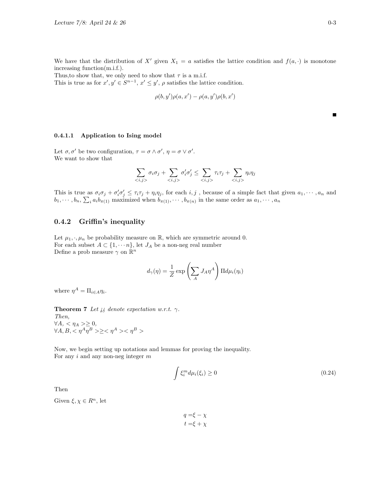Thus, to show that, we only need to show that  $\tau$  is a m.i.f. This is true as for  $x', y' \in S^{n-1}$ ,  $x' \leq y'$ ,  $\rho$  satisfies the lattice condition.

$$
\rho(b,y')\rho(a,x')-\rho(a,y')\rho(b,x')
$$

0.4.1.1 Application to Ising model

Let  $\sigma, \sigma'$  be two configuration,  $\tau = \sigma \wedge \sigma', \eta = \sigma \vee \sigma'.$ We want to show that

$$
\sum_{\langle i,j\rangle} \sigma_i \sigma_j + \sum_{\langle i,j\rangle} \sigma'_i \sigma'_j \le \sum_{\langle i,j\rangle} \tau_i \tau_j + \sum_{\langle i,j\rangle} \eta_i \eta_j
$$

This is true as  $\sigma_i \sigma_j + \sigma'_i \sigma'_j \leq \tau_i \tau_j + \eta_i \eta_j$ , for each  $i, j$ , because of a simple fact that given  $a_1, \dots, a_n$  and  $b_1, \dots, b_n$ ,  $\sum_i a_i b_{\pi(1)}$  maximized when  $b_{\pi(1)}, \dots, b_{\pi(n)}$  in the same order as  $a_1, \dots, a_n$ 

#### 0.4.2 Griffin's inequality

Let  $\mu_1, \cdot, \mu_n$  be probability measure on  $\mathbb{R}$ , which are symmetric around 0. For each subset  $A \subset \{1, \dots n\}$ , let  $J_A$  be a non-neg real number Define a prob measure  $\gamma$  on  $\mathbb{R}^n$ 

$$
d_{\gamma}(\eta) = \frac{1}{Z} \exp\left(\sum_{A} J_{A} \eta^{A}\right) \Pi d\mu_{i}(\eta_{i})
$$

where  $\eta^A = \Pi_{i \in A} \eta_i$ .

**Theorem 7** Let  $i\phi$  denote expectation w.r.t.  $\gamma$ .

Then,  $\forall A, \langle \eta_A \rangle \geq 0,$  $\forall A, B, \langle \eta^A \eta^B \rangle \ge \langle \eta^A \rangle \langle \eta^B \rangle$ 

Now, we begin setting up notations and lemmas for proving the inequality. For any  $i$  and any non-neg integer  $m$ 

$$
\int \xi_i^m d\mu_i(\xi_i) \ge 0 \tag{0.24}
$$

Then

Given  $\xi, \chi \in R^n$ , let

 $q = \xi - \chi$  $t = \xi + \chi$ 

 $\blacksquare$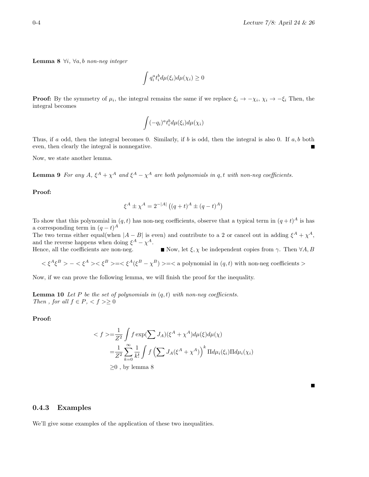**Lemma 8**  $\forall i, \forall a, b \text{ non-neg integer}$ 

$$
\int q_i^a t_i^b d\mu(\xi_i) d\mu(\chi_i) \ge 0
$$

**Proof:** By the symmetry of  $\mu_i$ , the integral remains the same if we replace  $\xi_i \to -\chi_i$ ,  $\chi_i \to -\xi_i$ . Then, the integral becomes

$$
\int (-q_i)^a t_i^b d\mu(\xi_i)d\mu(\chi_i)
$$

Thus, if a odd, then the integral becomes 0. Similarly, if b is odd, then the integral is also 0. If a, b both even, then clearly the integral is nonnegative.

Now, we state another lemma.

**Lemma 9** For any  $A$ ,  $\xi^A + \chi^A$  and  $\xi^A - \chi^A$  are both polynomials in q, t with non-neg coefficients.

Proof:

$$
\xi^{A} \pm \chi^{A} = 2^{-|A|} ((q+t)^{A} \pm (q-t)^{A})
$$

To show that this polynomial in  $(q, t)$  has non-neg coefficients, observe that a typical term in  $(q + t)^A$  is has a corresponding term in  $(q-t)^A$ The two terms either equal(when  $|A - B|$  is even) and contribute to a 2 or cancel out in adding  $\xi^A + \chi^A$ , and the reverse happens when doing  $\xi^A - \chi^A$ . Hence, all the coefficients are non-neg. Now, let  $\xi, \chi$  be independent copies from  $\gamma$ . Then  $\forall A, B$ 

 $<\xi^A \xi^B> - <\xi^A> <\xi^B> = <\xi^A(\xi^B - \chi^B)> = <$  a polynomial in  $(q, t)$  with non-neg coefficients >

Now, if we can prove the following lemma, we will finish the proof for the inequality.

**Lemma 10** Let P be the set of polynomials in  $(q, t)$  with non-neg coefficients. Then, for all  $f \in P$ ,  $\langle f \rangle \ge 0$ 

Proof:

$$
\langle f \rangle = \frac{1}{Z^2} \int f \exp(\sum J_A) (\xi^A + \chi^A) d\mu(\xi) d\mu(\chi)
$$
  
= 
$$
\frac{1}{Z^2} \sum_{k=0}^{\infty} \frac{1}{k!} \int f \left(\sum J_A(\xi^A + \chi^A)\right)^k \Pi d\mu_i(\xi_i) \Pi d\mu_i(\chi_i)
$$
  

$$
\geq 0, \text{ by lemma 8}
$$

0.4.3 Examples

We'll give some examples of the application of these two inequalities.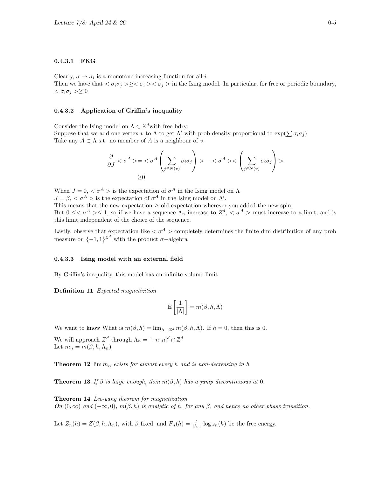#### 0.4.3.1 FKG

Clearly,  $\sigma \to \sigma_i$  is a monotone increasing function for all i Then we have that  $\langle \sigma_i \sigma_j \rangle \ge \langle \sigma_i \rangle \langle \sigma_j \rangle$  in the Ising model. In particular, for free or periodic boundary,  $<\sigma_i\sigma_j>\geq 0$ 

#### 0.4.3.2 Application of Griffin's inequality

Consider the Ising model on  $\Lambda\subset\mathbb{Z}^d$  with free bdry. Suppose that we add one vertex v to  $\Lambda$  to get  $\Lambda'$  with prob density proportional to  $\exp(\sum \sigma_i \sigma_j)$ Take any  $A \subset \Lambda$  s.t. no member of A is a neighbour of v.

$$
\frac{\partial}{\partial J} < \sigma^A > = < \sigma^A \left( \sum_{j \in N(v)} \sigma_i \sigma_j \right) > - < \sigma^A > < \left( \sum_{j \in N(v)} \sigma_i \sigma_j \right) > \\
\geq 0
$$

When  $J = 0, \langle \sigma^A \rangle$  is the expectation of  $\sigma^A$  in the Ising model on  $\Lambda$  $J = \beta$ ,  $\langle \sigma^A \rangle$  is the expectation of  $\sigma^A$  in the Ising model on  $\Lambda'$ . This means that the new expectation  $\geq$  old expectation wherever you added the new spin.

But  $0 \leq \sigma^A \geq 1$ , so if we have a sequence  $\Lambda_n$  increase to  $Z^d$ ,  $\lt \sigma^A$  > must increase to a limit, and is this limit independent of the choice of the sequence.

Lastly, observe that expectation like  $\langle \sigma^A \rangle$  completely determines the finite dim distribution of any prob measure on  $\{-1,1\}^{\mathbb{Z}^d}$  with the product  $\sigma$ -algebra

#### 0.4.3.3 Ising model with an external field

By Griffin's inequality, this model has an infinite volume limit.

Definition 11 Expected magnetizition

$$
\mathbb{E}\left[\frac{1}{|\Lambda|}\right] = m(\beta, h, \Lambda)
$$

We want to know What is  $m(\beta, h) = \lim_{\Lambda \to \mathbb{Z}^d} m(\beta, h, \Lambda)$ . If  $h = 0$ , then this is 0.

We will approach  $Z^d$  through  $\Lambda_n = [-n, n]^d \cap \mathbb{Z}^d$ Let  $m_n = m(\beta, h, \Lambda_n)$ 

**Theorem 12**  $\lim_{n}$  exists for almost every h and is non-decreasing in h

**Theorem 13** If  $\beta$  is large enough, then  $m(\beta, h)$  has a jump discontinuous at 0.

Theorem 14 Lee-yang theorem for magnetization On  $(0, \infty)$  and  $(-\infty, 0)$ ,  $m(\beta, h)$  is analytic of h, for any  $\beta$ , and hence no other phase transition.

Let  $Z_n(h) = Z(\beta, h, \Lambda_n)$ , with  $\beta$  fixed, and  $F_n(h) = \frac{1}{|\Lambda_n|} \log z_n(h)$  be the free energy.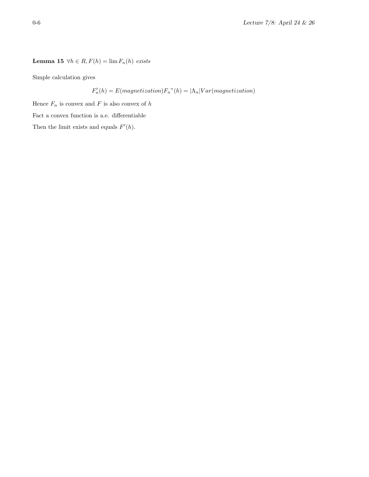Lemma 15 $\,\forall h \in R, F(h) = \lim F_n(h) \, \; exists$ 

Simple calculation gives

$$
F'_n(h) = E(magnetization)F_n" (h) = |\Lambda_n| Var(magnetization)
$$

Hence  ${\cal F}_n$  is convex and  ${\cal F}$  is also convex of  $h$ 

Fact a convex function is a.e. differentiable

Then the limit exists and equals  $F'(h)$ .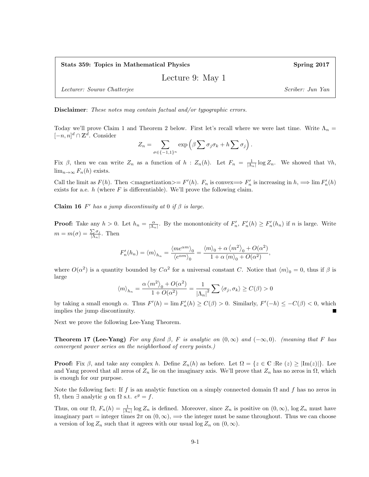Stats 359: Topics in Mathematical Physics Spring 2017

Lecture 9: May 1

Lecturer: Sourav Chatterjee Scriber: Jun Yan Scriber: Jun Yan

Disclaimer: These notes may contain factual and/or typographic errors.

Today we'll prove Claim 1 and Theorem 2 below. First let's recall where we were last time. Write  $\Lambda_n =$  $[-n, n]^d \cap \mathbb{Z}^d$ . Consider

$$
Z_n = \sum_{\sigma \in \{-1,1\}^n} \exp \left( \beta \sum \sigma_j \sigma_k + h \sum \sigma_j \right).
$$

Fix  $\beta$ , then we can write  $Z_n$  as a function of  $h : Z_n(h)$ . Let  $F_n = \frac{1}{|A_n|} \log Z_n$ . We showed that  $\forall h$ ,  $\lim_{n\to\infty} F_n(h)$  exists.

Call the limit as  $F(h)$ . Then  $\langle \text{magnetication} \rangle = F'(h)$ .  $F_n$  is convex $\Longrightarrow F'_n$  is increasing in  $h \Longrightarrow \lim F'_n(h)$ exists for a.e.  $h$  (where  $F$  is differentiable). We'll prove the following claim.

Claim 16 F' has a jump discontinuity at 0 if  $\beta$  is large.

**Proof:** Take any  $h > 0$ . Let  $h_n = \frac{\alpha}{|\Lambda_n|}$ . By the monontonicity of  $F'_n$ ,  $F'_n(h) \ge F'_n(h_n)$  if n is large. Write  $m = m(\sigma) = \frac{\sum \sigma_j}{\vert \Lambda \vert}$  $\frac{\sum \sigma_j}{|\Lambda_n|}$ . Then

$$
F_n'(h_n) = \langle m \rangle_{h_n} = \frac{\langle m e^{\alpha m} \rangle_0}{\langle e^{\alpha m} \rangle_0} = \frac{\langle m \rangle_0 + \alpha \langle m^2 \rangle_0 + O(\alpha^2)}{1 + \alpha \langle m \rangle_0 + O(\alpha^2)},
$$

where  $O(\alpha^2)$  is a quantity bounded by  $C\alpha^2$  for a universal constant C. Notice that  $\langle m \rangle_0 = 0$ , thus if  $\beta$  is large

$$
\langle m \rangle_{h_n} = \frac{\alpha \langle m^2 \rangle_0 + O(\alpha^2)}{1 + O(\alpha^2)} = \frac{1}{|\Lambda_n|^2} \sum \langle \sigma_j, \sigma_k \rangle \ge C(\beta) > 0
$$

by taking a small enough  $\alpha$ . Thus  $F'(h) = \lim F'_n(h) \ge C(\beta) > 0$ . Similarly,  $F'(-h) \le -C(\beta) < 0$ , which implies the jump discontinuity.

Next we prove the following Lee-Yang Theorem.

**Theorem 17 (Lee-Yang)** For any fixed  $\beta$ , F is analytic on  $(0, \infty)$  and  $(-\infty, 0)$ . (meaning that F has convergent power series on the neighborhood of every points.)

**Proof:** Fix  $\beta$ , and take any complex h. Define  $Z_n(h)$  as before. Let  $\Omega = \{z \in \mathbb{C} : \text{Re}(z) \geq |\text{Im}(z)|\}$ . Lee and Yang proved that all zeros of  $Z_n$  lie on the imaginary axis. We'll prove that  $Z_n$  has no zeros in  $\Omega$ , which is enough for our purpose.

Note the following fact: If f is an analytic function on a simply connected domain  $\Omega$  and f has no zeros in  $\Omega$ , then  $\exists$  analytic g on  $\Omega$  s.t.  $e^g = f$ .

Thus, on our  $\Omega$ ,  $F_n(h) = \frac{1}{|\Lambda_n|} \log Z_n$  is defined. Moreover, since  $Z_n$  is positive on  $(0, \infty)$ ,  $\log Z_n$  must have imaginary part = integer times  $2\pi$  on  $(0,\infty)$ ,  $\implies$  the integer must be same throughout. Thus we can choose a version of  $\log Z_n$  such that it agrees with our usual  $\log Z_n$  on  $(0, \infty)$ .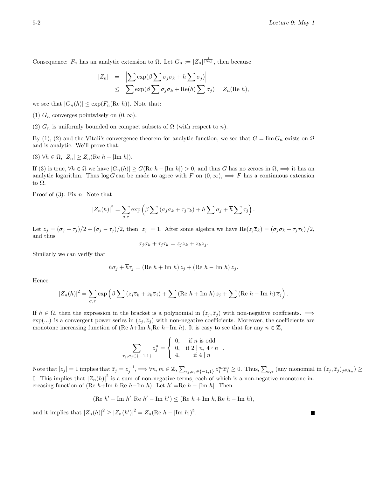П

Consequence:  $F_n$  has an analytic extension to  $\Omega$ . Let  $G_n := |Z_n|^{\frac{1}{|\Lambda_n|}}$ , then because

$$
|Z_n| = \left| \sum \exp(\beta \sum \sigma_j \sigma_k + h \sum \sigma_j) \right|
$$
  
 
$$
\leq \sum \exp(\beta \sum \sigma_j \sigma_k + \text{Re}(h) \sum \sigma_j) = Z_n(\text{Re } h),
$$

we see that  $|G_n(h)| \leq \exp(F_n(\text{Re } h))$ . Note that:

(1)  $G_n$  converges pointwisely on  $(0, \infty)$ .

(2)  $G_n$  is uniformly bounded on compact subsets of  $\Omega$  (with respect to n).

By (1), (2) and the Vitali's convergence theorem for analytic function, we see that  $G = \lim G_n$  exists on  $\Omega$ and is analytic. We'll prove that:

$$
(3) \ \forall h \in \Omega, \ |Z_n| \ge Z_n(\text{Re } h - |\text{Im } h|).
$$

If (3) is true,  $\forall h \in \Omega$  we have  $|G_n(h)| \ge G(\text{Re } h - |\text{Im } h|) > 0$ , and thus G has no zeroes in  $\Omega$ ,  $\implies$  it has an analytic logarithm. Thus log G can be made to agree with F on  $(0, \infty)$ ,  $\implies$  F has a continuous extension to Ω.

Proof of  $(3)$ : Fix n. Note that

$$
|Z_n(h)|^2 = \sum_{\sigma,\tau} \exp \left( \beta \sum (\sigma_j \sigma_k + \tau_j \tau_k) + h \sum \sigma_j + \overline{h} \sum \tau_j \right).
$$

Let  $z_j = (\sigma_j + \tau_j)/2 + (\sigma_j - \tau_j)/2$ , then  $|z_j| = 1$ . After some algebra we have  $\text{Re}(z_j \overline{z}_k) = (\sigma_j \sigma_k + \tau_j \tau_k)/2$ , and thus

$$
\sigma_j \sigma_k + \tau_j \tau_k = z_j \overline{z}_k + z_k \overline{z}_j.
$$

Similarly we can verify that

$$
h\sigma_j + \overline{h}\tau_j = (\text{Re } h + \text{Im } h) z_j + (\text{Re } h - \text{Im } h) \overline{z}_j.
$$

Hence

$$
|Z_n(h)|^2 = \sum_{\sigma,\tau} \exp\left(\beta \sum (z_j \overline{z}_k + z_k \overline{z}_j) + \sum (\text{Re } h + \text{Im } h) z_j + \sum (\text{Re } h - \text{Im } h) \overline{z}_j\right).
$$

If  $h \in \Omega$ , then the expression in the bracket is a polynomial in  $(z_j, \overline{z}_j)$  with non-negative coeffcients.  $\implies$  $\exp(...)$  is a convergent power series in  $(z_i, \overline{z}_i)$  with non-negative coefficients. Moreover, the coefficients are monotone increasing function of (Re h+Im h,Re h-Im h). It is easy to see that for any  $n \in \mathbb{Z}$ ,

$$
\sum_{\tau_j, \sigma_j \in \{-1, 1\}} z_j^n = \begin{cases} 0, & \text{if } n \text{ is odd} \\ 0, & \text{if } 2 \mid n, 4 \nmid n \\ 4, & \text{if } 4 \mid n \end{cases}
$$

Note that  $|z_j|=1$  implies that  $\overline{z}_j=z_j^{-1}$ ,  $\implies \forall n,m\in\mathbb{Z},\sum_{\tau_j,\sigma_j\in\{-1,1\}}z_j^m\overline{z}_j^n\geq 0$ . Thus,  $\sum_{\sigma,\tau}$  (any monomial in  $(z_j,\overline{z}_j)_{j\in\Lambda_n}\geq 0$ 0. This implies that  $|Z_n(h)|^2$  is a sum of non-negative terms, each of which is a non-negative monotone increasing function of (Re  $h+{\rm Im} h$ ,Re  $h-{\rm Im} h$ ). Let  $h'=$ Re  $h-|{\rm Im} h|$ . Then

.

(Re 
$$
h'
$$
 + Im  $h'$ , Re  $h'$  - Im  $h'$ )  $\leq$  (Re  $h$  + Im  $h$ , Re  $h$  - Im  $h$ ),

and it implies that  $|Z_n(h)|^2 \geq |Z_n(h')|^2 = Z_n(\text{Re } h - |\text{Im } h|)^2$ .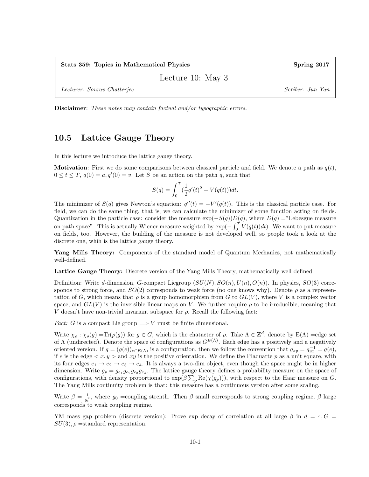Stats 359: Topics in Mathematical Physics Spring 2017

Lecture 10: May 3

Lecturer: Sourav Chatterjee Scriber: Jun Yan Scriber: Jun Yan

Disclaimer: These notes may contain factual and/or typographic errors.

#### 10.5 Lattice Gauge Theory

In this lecture we introduce the lattice gauge theory.

**Motivation:** First we do some comparisons between classical particle and field. We denote a path as  $q(t)$ ,  $0 \le t \le T$ ,  $q(0) = a$ ,  $q'(0) = v$ . Let S be an action on the path q, such that

$$
S(q) = \int_0^T \left(\frac{1}{2}q'(t)^2 - V(q(t))\right)dt.
$$

The minimizer of  $S(q)$  gives Newton's equation:  $q''(t) = -V'(q(t))$ . This is the classical particle case. For field, we can do the same thing, that is, we can calculate the minimizer of some function acting on fields. Quantization in the particle case: consider the measure  $\exp(-S(q))D(q)$ , where  $D(q) =$ "Lebesgue measure on path space". This is actually Wiener measure weighted by  $\exp(-\int_0^T V(q(t))dt)$ . We want to put measure on fields, too. However, the building of the measure is not developed well, so people took a look at the discrete one, whih is the lattice gauge theory.

Yang Mills Theory: Components of the standard model of Quantum Mechanics, not mathematically well-defined.

Lattice Gauge Theory: Discrete version of the Yang Mills Theory, mathematically well defined.

Definition: Write d-dimension, G-compact Liegroup  $(SU(N), SO(n), U(n), O(n))$ . In physics,  $SO(3)$  corresponds to strong force, and  $SO(2)$  corresponds to weak force (no one knows why). Denote  $\rho$  as a representation of G, which means that  $\rho$  is a group homomorphism from G to  $GL(V)$ , where V is a complex vector space, and  $GL(V)$  is the inversible linear maps on V. We further require  $\rho$  to be irreducible, meaning that V doesn't have non-trivial invariant subspace for  $\rho$ . Recall the following fact:

*Fact:* G is a compact Lie group  $\Longrightarrow$  V must be finite dimensional.

Write  $\chi_{\rho} : \chi_{\rho}(g) = \text{Tr}(\rho(g))$  for  $g \in G$ , which is the chatacter of  $\rho$ . Take  $\Lambda \in \mathbb{Z}^d$ , denote by  $E(\Lambda) =$ edge set of  $\Lambda$  (undirected). Denote the space of configurations as  $G^{E(\Lambda)}$ . Each edge has a positively and a negatively oriented version. If  $g = (g(e))_{e \in E(\Lambda)}$  is a configuration, then we follow the convention that  $g_{xy} = g_{yx}^{-1} = g(e)$ , if e is the edge  $\langle x, y \rangle$  and  $xy$  is the positive orientation. We define the Plaquatte p as a unit square, with its four edges  $e_1 \rightarrow e_2 \rightarrow e_3 \rightarrow e_4$ . It is always a two-dim object, even though the space might be in higher dimension. Write  $g_p = g_{e_1} g_{e_2} g_{e_3} g_{e_4}$ . The lattice gauge theory defines a probability measure on the space of configurations, with density proportional to  $\exp(\beta \sum_{p} \text{Re}(\chi(g_p)))$ , with respect to the Haar measure on G. The Yang Mills continuity problem is that: this measure has a continuous version after some scaling.

Write  $\beta = \frac{1}{g_0^2}$ , where  $g_0$  =coupling strenth. Then  $\beta$  small corresponds to strong coupling regime,  $\beta$  large corresponds to weak coupling regime.

YM mass gap problem (discrete version): Prove exp decay of correlation at all large  $\beta$  in  $d = 4, G =$  $SU(3)$ ,  $\rho$  =standard representation.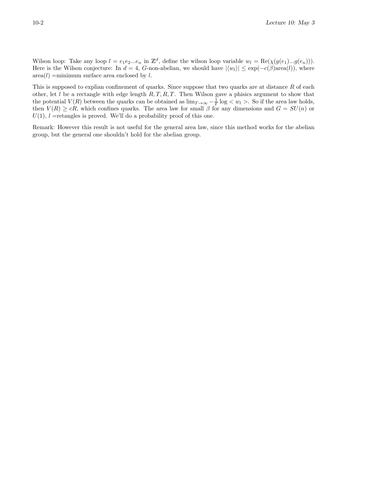Wilson loop: Take any loop  $l = e_1 e_2 ... e_n$  in  $\mathbb{Z}^d$ , define the wilson loop variable  $w_l = \text{Re}(\chi(g(e_1)...g(e_n)))$ . Here is the Wilson conjecture: In  $d = 4$ , G-non-abelian, we should have  $|\langle w_l \rangle| \leq \exp(-c(\beta)\text{area}(l))$ , where  $area(l) =$ minimum surface area enclosed by l.

This is supposed to explian confinement of quarks. Since suppose that two quarks are at distance  $R$  of each other, let  $l$  be a rectangle with edge length  $R, T, R, T$ . Then Wilson gave a phisics argument to show that the potential  $V(R)$  between the quarks can be obtained as  $\lim_{T\to\infty} -\frac{1}{T} \log < w_l >$ . So if the area law holds, then  $V(R) \geq cR$ , which confines quarks. The area law for small  $\beta$  for any dimensions and  $G = SU(n)$  or  $U(1)$ ,  $l$  =retangles is proved. We'll do a probability proof of this one.

Remark: However this result is not useful for the general area law, since this method works for the abelian group, but the general one shouldn't hold for the abelian group.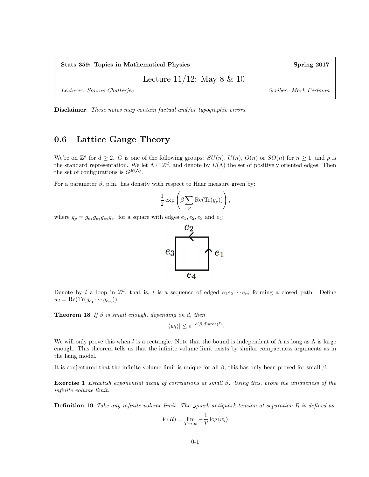Stats 359: Topics in Mathematical Physics Spring 2017

Lecture 11/12: May 8 & 10

Lecturer: Sourav Chatterjee Scriber: Mark Perlman

Disclaimer: These notes may contain factual and/or typographic errors.

#### 0.6 Lattice Gauge Theory

We're on  $\mathbb{Z}^d$  for  $d \geq 2$ . G is one of the following groups:  $SU(n)$ ,  $U(n)$ ,  $O(n)$  or  $SO(n)$  for  $n \geq 1$ , and  $\rho$  is the standard representation. We let  $\Lambda \subset \mathbb{Z}^d$ , and denote by  $E(\Lambda)$  the set of positively oriented edges. Then the set of configurations is  $G^{E(\Lambda)}$ .

For a parameter  $\beta$ , p.m. has density with respect to Haar measure given by:

$$
\frac{1}{2} \exp \left( \beta \sum_{p} \text{Re}(\text{Tr}(g_p)) \right),\,
$$

where  $g_p = g_{e_1} g_{e_2} g_{e_3} g_{e_4}$  for a square with edges  $e_1, e_2, e_3$  and  $e_4$ :



Denote by l a loop in  $\mathbb{Z}^d$ , that is, l is a sequence of edged  $e_1e_2\cdots e_m$  forming a closed path. Define  $w_l = \text{Re}(\text{Tr}(g_{e_1} \cdots g_{e_m})).$ 

**Theorem 18** If  $\beta$  is small enough, depending on d, then

$$
|\langle w_l \rangle| \le e^{-c(\beta,d)\text{area}(l)}.
$$

We will only prove this when l is a rectangle. Note that the bound is independent of  $\Lambda$  as long as  $\Lambda$  is large enough. This theorem tells us that the infinite volume limit exists by similar compactness arguments as in the Ising model.

It is conjectured that the infinite volume limit is unique for all  $\beta$ ; this has only been proved for small  $\beta$ .

**Exercise 1** Establish exponential decay of correlations at small  $\beta$ . Using this, prove the uniqueness of the infinite volume limit.

**Definition 19** Take any infinite volume limit. The  $\alpha$ -quark-antiquark tension at separation R is defined as

$$
V(R) = \lim_{T \to \infty} -\frac{1}{T} \log \langle w_l \rangle
$$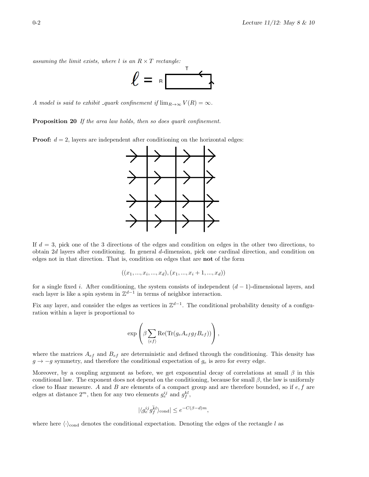assuming the limit exists, where  $l$  is an  $R \times T$  rectangle:



A model is said to exhibit quark confinement if  $\lim_{R\to\infty} V(R) = \infty$ .

Proposition 20 If the area law holds, then so does quark confinement.

**Proof:**  $d = 2$ , layers are independent after conditioning on the horizontal edges:



If  $d = 3$ , pick one of the 3 directions of the edges and condition on edges in the other two directions, to obtain 2d layers after conditioning. In general d-dimension, pick one cardinal direction, and condition on edges not in that direction. That is, condition on edges that are not of the form

$$
((x_1, ..., x_i, ..., x_d), (x_1, ..., x_i + 1, ..., x_d))
$$

for a single fixed i. After conditioning, the system consists of independent  $(d-1)$ -dimensional layers, and each layer is like a spin system in  $\mathbb{Z}^{d-1}$  in terms of neighbor interaction.

Fix any layer, and consider the edges as vertices in  $\mathbb{Z}^{d-1}$ . The conditional probability density of a configuration within a layer is proportional to

$$
\exp\left(\beta \sum_{\langle ef\rangle} \text{Re}(\text{Tr}(g_e A_{ef}g_f B_{ef}))\right),\,
$$

where the matrices  $A_{ef}$  and  $B_{ef}$  are deterministic and defined through the conditioning. This density has  $g \to -g$  symmetry, and therefore the conditional expectation of  $g_e$  is zero for every edge.

Moreover, by a coupling argument as before, we get exponential decay of correlations at small  $\beta$  in this conditional law. The exponent does not depend on the conditioning, because for small  $\beta$ , the law is uniformly close to Haar measure. A and  $B$  are elements of a compact group and are therefore bounded, so if  $e, f$  are edges at distance  $2^m$ , then for any two elements  $g_e^{ij}$  and  $g_f^{kl}$ ,

$$
|\langle g^{ij}_e g^{ \bar k l}_f \rangle_{\rm cond}| \le e^{-C(\beta-d)m},
$$

where here  $\langle \cdot \rangle_{\text{cond}}$  denotes the conditional expectation. Denoting the edges of the rectangle l as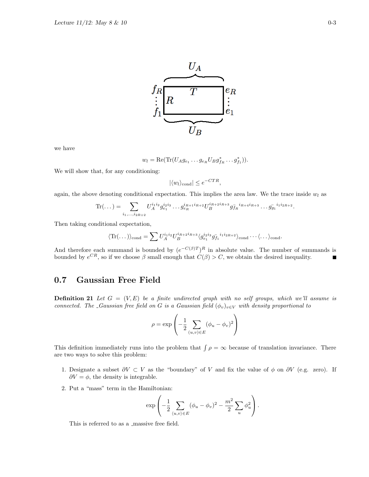

we have

$$
w_l = \text{Re}(\text{Tr}(U_A g_{e_1} \dots g_{e_R} U_B g_{f_R}^* \dots g_{f_1}^*)).
$$

We will show that, for any conditioning:

$$
|\langle w_l \rangle_{\text{cond}}| \le e^{-CTR},
$$

again, the above denoting conditional expectation. This implies the area law. We the trace inside  $w_l$  as

$$
\text{Tr}(\dots) = \sum_{i_1,\dots,i_{2R+2}} U_A^{i_1 i_2} g_{e_1}^{i_2 i_3} \dots g_{e_R}^{i_{R+1} i_{R+2}} U_B^{i_{R+2} i_{R+3}} g_{f_R}^{-i_{R+4} i_{R+3}} \dots g_{g_1}^{-i_1 i_{2R+2}}.
$$

Then taking conditional expectation,

$$
\langle \text{Tr}(\dots) \rangle_{\text{cond}} = \sum U_A^{i_1 i_2} U_B^{i_{R+2} i_{R+3}} \langle g_{e_1}^{i_2 i_3} g_{f_1}^{i_1 i_2 R+2} \rangle_{\text{cond}} \cdots \langle \dots \rangle_{\text{cond}}.
$$

And therefore each summand is bounded by  $(e^{-C(\beta)T})^R$  in absolute value. The number of summands is bounded by  $e^{CR}$ , so if we choose  $\beta$  small enough that  $C(\beta) > C$ , we obtain the desired inequality.

### 0.7 Gaussian Free Field

**Definition 21** Let  $G = (V, E)$  be a finite undirected graph with no self groups, which we'll assume is connected. The \_Gaussian free field on G is a Gaussian field  $(\phi_v)_{v\in V}$  with density proportional to

$$
\rho = \exp\left(-\frac{1}{2} \sum_{(u,v)\in E} (\phi_u - \phi_v)^2\right)
$$

This definition immediately runs into the problem that  $\int \rho = \infty$  because of translation invariance. There are two ways to solve this problem:

- 1. Designate a subset  $\partial V \subset V$  as the "boundary" of V and fix the value of  $\phi$  on  $\partial V$  (e.g. zero). If  $\partial V = \phi$ , the density is integrable.
- 2. Put a "mass" term in the Hamiltonian:

$$
\exp\left(-\frac{1}{2}\sum_{\langle u,v\rangle\in E}(\phi_u - \phi_v)^2 - \frac{m^2}{2}\sum_u \phi_u^2\right).
$$

This is referred to as a  $_{\rm massive}$  free field.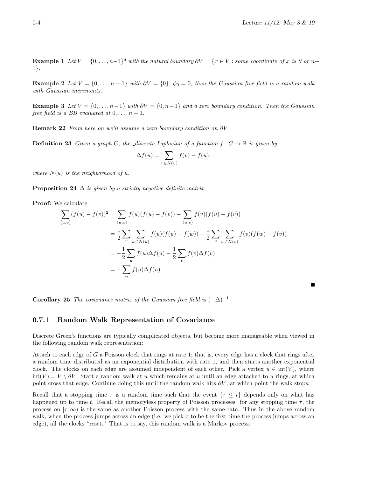**Example 1** Let  $V = \{0, \ldots, n-1\}^d$  with the natural boundary  $\partial V = \{x \in V : \text{some coordinate of } x \text{ is 0 or } n-1\}$ 1}.

Example 2 Let  $V = \{0, \ldots, n-1\}$  with  $\partial V = \{0\}$ ,  $\phi_0 = 0$ , then the Gaussian free field is a random walk with Gaussian increments.

**Example 3** Let  $V = \{0, \ldots, n-1\}$  with  $\partial V = \{0, n-1\}$  and a zero boundary condition. Then the Gaussian free field is a BB evaluated at  $0, \ldots, n-1$ .

**Remark 22** From here on we'll assume a zero boundary condition on  $\partial V$ .

**Definition 23** Given a graph G, the discrete Laplacian of a function  $f : G \to \mathbb{R}$  is given by

$$
\Delta f(u) = \sum_{v \in N(u)} f(v) - f(u),
$$

where  $N(u)$  is the neighborhood of u.

**Proposition 24**  $\Delta$  is given by a strictly negative definite matrix.

Proof: We calculate

$$
\sum_{\langle u,v \rangle} (f(u) - f(v))^2 = \sum_{\langle u,v \rangle} f(u)(f(u) - f(v)) - \sum_{\langle u,v \rangle} f(v)(f(u) - f(v))
$$
  
=  $\frac{1}{2} \sum_u \sum_{w \in N(u)} f(u)(f(u) - f(w)) - \frac{1}{2} \sum_v \sum_{w \in N(v)} f(v)(f(w) - f(v))$   
=  $-\frac{1}{2} \sum_u f(u) \Delta f(u) - \frac{1}{2} \sum_v f(v) \Delta f(v)$   
=  $-\sum_u f(u) \Delta f(u).$ 

**Corollary 25** The covariance matrix of the Gaussian free field is  $(-\Delta)^{-1}$ .

#### 0.7.1 Random Walk Representation of Covariance

Discrete Green's functions are typically complicated objects, but become more manageable when viewed in the following random walk representation:

Attach to each edge of G a Poisson clock that rings at rate 1; that is, every edge has a clock that rings after a random time distributed as an exponential distribution with rate 1, and then starts another exponential clock. The clocks on each edge are assumed independent of each other. Pick a vertex  $u \in \text{int}(V)$ , where  $\text{int}(V) = V \setminus \partial V$ . Start a random walk at u which remains at u until an edge attached to u rings, at which point cross that edge. Continue doing this until the random walk hits  $\partial V$ , at which point the walk stops.

Recall that a stopping time  $\tau$  is a random time such that the event  $\{\tau \leq t\}$  depends only on what has happened up to time t. Recall the memoryless property of Poisson processes: for any stopping time  $\tau$ , the process on  $[\tau, \infty)$  is the same as another Poisson process with the same rate. Thus in the above random walk, when the process jumps across an edge (i.e. we pick  $\tau$  to be the first time the process jumps across an edge), all the clocks "reset." That is to say, this random walk is a Markov process.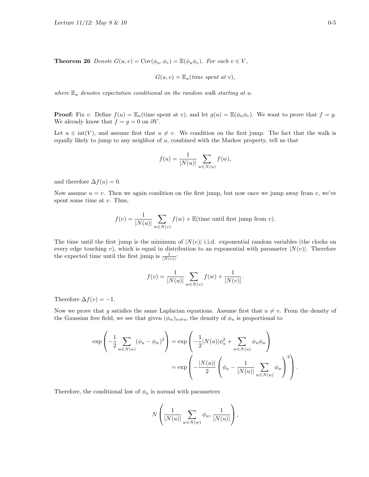**Theorem 26** Denote  $G(u, v) = \text{Cov}(\phi_u, \phi_v) = \mathbb{E}(\phi_u, \phi_v)$ . For each  $v \in V$ ,

$$
G(u, v) = \mathbb{E}_u(\text{time spent at } v),
$$

where  $\mathbb{E}_u$  denotes expectation conditional on the random walk starting at u.

**Proof:** Fix v. Define  $f(u) = \mathbb{E}_u$  (time spent at v), and let  $g(u) = \mathbb{E}(\phi_u \phi_v)$ . We want to prove that  $f = g$ . We already know that  $f = g = 0$  on  $\partial V$ .

Let  $u \in \text{int}(V)$ , and assume first that  $u \neq v$ . We condition on the first jump. The fact that the walk is equally likely to jump to any neighbor of u, combined with the Markov property, tell us that

$$
f(u) = \frac{1}{|N(u)|} \sum_{w \in N(u)} f(w),
$$

and therefore  $\Delta f(u) = 0$ .

Now assume  $u = v$ . Then we again condition on the first jump, but now once we jump away from v, we've spent some time at  $v$ . Thus,

$$
f(v) = \frac{1}{|N(u)|} \sum_{w \in N(v)} f(w) + \mathbb{E}(\text{time until first jump from } v).
$$

The time until the first jump is the minimum of  $|N(v)|$  i.i.d. exponential random variables (the clocks on every edge touching v), which is equal in distribution to an exponential with parameter  $|N(v)|$ . Therefore the expected time until the first jump is  $\frac{1}{|N(v)|}$ :

$$
f(v) = \frac{1}{|N(u)|} \sum_{w \in N(v)} f(w) + \frac{1}{|N(v)|}.
$$

Therefore  $\Delta f(v) = -1$ .

Now we prove that g satisfies the same Laplacian equations. Assume first that  $u \neq v$ . From the density of the Gaussian free field, we see that given  $(\phi_w)_{w\neq u}$ , the density of  $\phi_u$  is proportional to

$$
\exp\left(-\frac{1}{2}\sum_{w \in N(u)} (\phi_u - \phi_w)^2\right) = \exp\left(-\frac{1}{2}|N(u)|\phi_u^2 + \sum_{w \in N(u)} \phi_u \phi_w\right) \\
= \exp\left(-\frac{|N(u)|}{2}\left(\phi_u - \frac{1}{|N(u)|}\sum_{w \in N(u)} \phi_w\right)^2\right).
$$

Therefore, the conditional law of  $\phi_u$  is normal with parameters

$$
N\left(\frac{1}{|N(u)|}\sum_{w\in N(w)}\phi_w,\frac{1}{|N(u)|}\right),\,
$$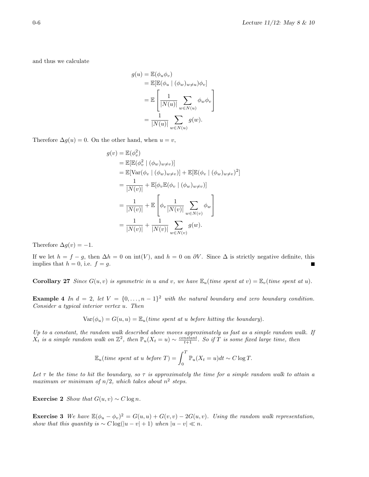and thus we calculate

$$
g(u) = \mathbb{E}(\phi_u \phi_v)
$$
  
=  $\mathbb{E}[\mathbb{E}(\phi_u \mid (\phi_w)_{w \neq u})\phi_v]$   
=  $\mathbb{E}\left[\frac{1}{|N(u)|}\sum_{w \in N(u)} \phi_w \phi_v\right]$   
=  $\frac{1}{|N(u)|}\sum_{w \in N(u)} g(w).$ 

Therefore  $\Delta g(u) = 0$ . On the other hand, when  $u = v$ ,

$$
g(v) = \mathbb{E}(\phi_v^2)
$$
  
\n
$$
= \mathbb{E}[\mathbb{E}(\phi_v^2 | (\phi_w)_{w \neq v})]
$$
  
\n
$$
= \mathbb{E}[\text{Var}(\phi_v | (\phi_w)_{w \neq v})] + \mathbb{E}[\mathbb{E}(\phi_v | (\phi_w)_{w \neq v})^2]
$$
  
\n
$$
= \frac{1}{|N(v)|} + \mathbb{E}[\phi_v \mathbb{E}(\phi_v | (\phi_w)_{w \neq v})]
$$
  
\n
$$
= \frac{1}{|N(v)|} + \mathbb{E}\left[\phi_v \frac{1}{|N(v)|} \sum_{w \in N(v)} \phi_w\right]
$$
  
\n
$$
= \frac{1}{|N(v)|} + \frac{1}{|N(v)|} \sum_{w \in N(v)} g(w).
$$

Therefore  $\Delta g(v) = -1$ .

If we let  $h = f - g$ , then  $\Delta h = 0$  on int(V), and  $h = 0$  on  $\partial V$ . Since  $\Delta$  is strictly negative definite, this implies that  $h = 0$ , i.e.  $f = g$ .

**Corollary 27** Since  $G(u, v)$  is symmetric in u and v, we have  $\mathbb{E}_u$  (time spent at v) =  $\mathbb{E}_v$  (time spent at u).

**Example 4** In  $d = 2$ , let  $V = \{0, ..., n-1\}^2$  with the natural boundary and zero boundary condition. Consider a typical interior vertex u. Then

 $Var(\phi_u) = G(u, u) = \mathbb{E}_u$  (time spent at u before hitting the boundary).

Up to a constant, the random walk described above moves approximately as fast as a simple random walk. If  $X_t$  is a simple random walk on  $\mathbb{Z}^2$ , then  $\mathbb{P}_u(X_t = u) \sim \frac{constant}{t+1}$ . So if T is some fixed large time, then

$$
\mathbb{E}_u(\text{time spent at u before } T) = \int_0^T \mathbb{P}_u(X_t = u) dt \sim C \log T.
$$

Let  $\tau$  be the time to hit the boundary, so  $\tau$  is approximately the time for a simple random walk to attain a maximum or minimum of  $n/2$ , which takes about  $n^2$  steps.

Exercise 2 Show that  $G(u, v) \sim C \log n$ .

**Exercise 3** We have  $\mathbb{E}(\phi_u - \phi_v)^2 = G(u, u) + G(v, v) - 2G(u, v)$ . Using the random walk representation, show that this quantity is  $\sim C \log(|u - v| + 1)$  when  $|u - v| \ll n$ .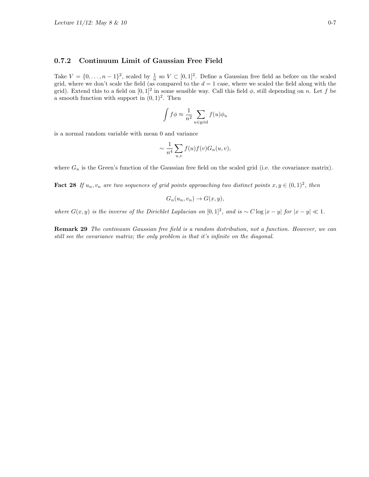#### 0.7.2 Continuum Limit of Gaussian Free Field

Take  $V = \{0, \ldots, n-1\}^2$ , scaled by  $\frac{1}{n}$  so  $V \subset [0,1]^2$ . Define a Gaussian free field as before on the scaled grid, where we don't scale the field (as compared to the  $d = 1$  case, where we scaled the field along with the grid). Extend this to a field on  $[0,1]^2$  in some sensible way. Call this field  $\phi$ , still depending on n. Let f be a smooth function with support in  $(0, 1)^2$ . Then

$$
\int f \phi \approx \frac{1}{n^2} \sum_{u \in \text{grid}} f(u) \phi_u
$$

is a normal random variable with mean 0 and variance

$$
\sim \frac{1}{n^4} \sum_{u,v} f(u) f(v) G_n(u,v),
$$

where  $G_n$  is the Green's function of the Gaussian free field on the scaled grid (i.e. the covariance matrix).

**Fact 28** If  $u_n, v_n$  are two sequences of grid points approaching two distinct points  $x, y \in (0, 1)^2$ , then

$$
G_n(u_n, v_n) \to G(x, y),
$$

where  $G(x, y)$  is the inverse of the Dirichlet Laplacian on  $[0, 1]^2$ , and is ~  $C \log |x - y|$  for  $|x - y| \ll 1$ .

Remark 29 The continuum Gaussian free field is a random distribution, not a function. However, we can still see the covariance matrix; the only problem is that it's infinite on the diagonal.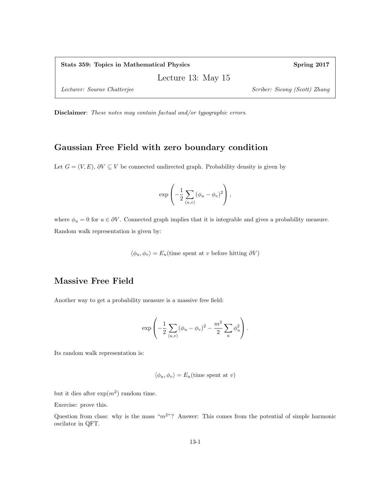Lecture 13: May 15

Lecturer: Sourav Chatterjee Scriber: Sicong (Scott) Zhang

Disclaimer: These notes may contain factual and/or typographic errors.

### Gaussian Free Field with zero boundary condition

Let  $G = (V, E), \partial V \subseteq V$  be connected undirected graph. Probability density is given by

$$
\exp\left(-\frac{1}{2}\sum_{\langle u,v\rangle}(\phi_u-\phi_v)^2\right),\,
$$

where  $\phi_u = 0$  for  $u \in \partial V$ . Connected graph implies that it is integrable and gives a probability measure. Random walk representation is given by:

 $\langle \phi_u, \phi_v \rangle = E_u$ (time spent at v before hitting  $\partial V$ )

### Massive Free Field

Another way to get a probability measure is a massive free field:

$$
\exp\left(-\frac{1}{2}\sum_{\langle u,v\rangle}(\phi_u-\phi_v)^2-\frac{m^2}{2}\sum_u\phi_u^2\right).
$$

Its random walk representation is:

$$
\langle \phi_u, \phi_v \rangle = E_u(\text{time spent at } v)
$$

but it dies after  $\exp(m^2)$  random time.

Exercise: prove this.

Question from class: why is the mass " $m^{2}$ "? Answer: This comes from the potential of simple harmonic oscilator in QFT.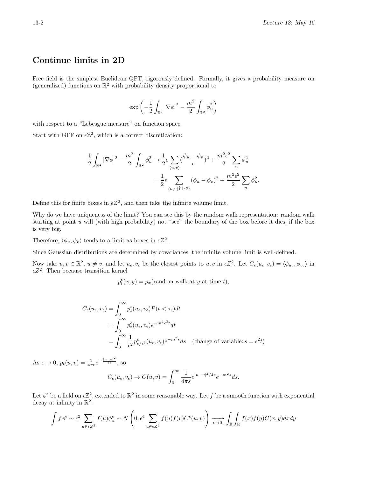## Continue limits in 2D

Free field is the simplest Euclidean QFT, rigorously defined. Formally, it gives a probability measure on (generalized) functions on  $\mathbb{R}^2$  with probability density proportional to

$$
\exp\left(-\frac{1}{2}\int_{\mathbb{R}^2}|\nabla \phi|^2-\frac{m^2}{2}\int_{\mathbb{R}^2}\phi_u^2\right)
$$

with respect to a "Lebesgue measure" on function space.

Start with GFF on  $\epsilon \mathbb{Z}^2$ , which is a correct discretization:

$$
\frac{1}{2} \int_{\mathbb{R}^2} |\nabla \phi|^2 - \frac{m^2}{2} \int_{\mathbb{R}^2} \phi_u^2 \to \frac{1}{2} \epsilon \sum_{\langle u, v \rangle} (\frac{\phi_u - \phi_v}{\epsilon})^2 + \frac{m^2 \epsilon^2}{2} \sum_u \phi_u^2
$$

$$
= \frac{1}{2} \epsilon \sum_{\langle u, v \rangle \text{ in } \epsilon \mathbb{Z}^2} (\phi_u - \phi_v)^2 + \frac{m^2 \epsilon^2}{2} \sum_u \phi_u^2.
$$

Define this for finite boxes in  $\epsilon Z^2$ , and then take the infinite volume limit.

Why do we have uniqueness of the limit? You can see this by the random walk representation: random walk starting at point u will (with high probability) not "see" the boundary of the box before it dies, if the box is very big.

Therefore,  $\langle \phi_u, \phi_v \rangle$  tends to a limit as boxes in  $\epsilon Z^2$ .

Since Gaussian distributions are determined by covariances, the infinite volume limit is well-defined.

Now take  $u, v \in \mathbb{R}^2$ ,  $u \neq v$ , and let  $u_{\epsilon}, v_{\epsilon}$  be the closest points to  $u, v$  in  $\epsilon Z^2$ . Let  $C_{\epsilon}(u_{\epsilon}, v_{\epsilon}) = \langle \phi_{u_{\epsilon}}, \phi_{v_{\epsilon}} \rangle$  in  $\epsilon Z^2$ . Then because transition kernel

 $p_t^{\epsilon}(x, y) = p_x(\text{random walk at } y \text{ at time } t),$ 

$$
C_{\epsilon}(u_{\epsilon}, v_{\epsilon}) = \int_0^{\infty} p_t^{\epsilon}(u_{\epsilon}, v_{\epsilon}) P(t < \tau_{\epsilon}) dt
$$
  
= 
$$
\int_0^{\infty} p_t^{\epsilon}(u_{\epsilon}, v_{\epsilon}) e^{-m^2 \epsilon^2 t} dt
$$
  
= 
$$
\int_0^{\infty} \frac{1}{\epsilon^2} p_{s/\epsilon^2}^{\epsilon}(u_{\epsilon}, v_{\epsilon}) e^{-m^2 s} ds \quad \text{(change of variable: } s = \epsilon^2 t)
$$

As  $\epsilon \to 0$ ,  $p_t(u, v) = \frac{1}{4\pi t} e^{-\frac{|u - v|^2}{4t}}$ , so

$$
C_{\epsilon}(u_{\epsilon}, v_{\epsilon}) \to C(u, v) = \int_0^{\infty} \frac{1}{4\pi s} e^{|u - v|^2/4s} e^{-m^2 s} ds.
$$

Let  $\phi^{\epsilon}$  be a field on  $\epsilon \mathbb{Z}^2$ , extended to  $\mathbb{R}^2$  in some reasonable way. Let f be a smooth function with exponential decay at infinity in  $\mathbb{R}^2$ .

$$
\int f \phi^{\epsilon} \sim \epsilon^2 \sum_{u \in \epsilon Z^2} f(u) \phi_u^{\epsilon} \sim N \left( 0, \epsilon^4 \sum_{u \in \epsilon Z^2} f(u) f(v) C^{\epsilon}(u, v) \right) \xrightarrow[\epsilon \to 0]{} \int_{\mathbb{R}} \int_{\mathbb{R}} f(x) f(y) C(x, y) dx dy
$$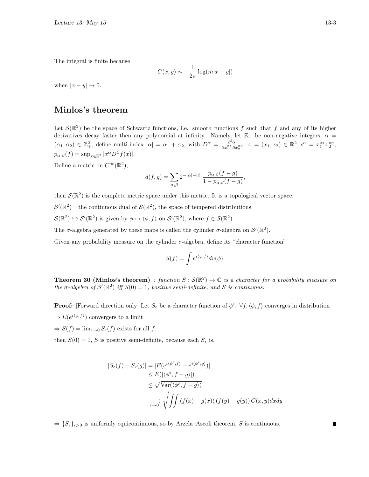The integral is finite because

$$
C(x,y) \sim -\frac{1}{2\pi} \log(m|x-y|)
$$

when  $|x - y| \to 0$ .

### Minlos's theorem

Let  $\mathcal{S}(\mathbb{R}^2)$  be the space of Schwartz functions, i.e. smooth functions f such that f and any of its higher derivatives decay faster then any polynomial at infinity. Namely, let  $\mathbb{Z}_+$  be non-negative integers,  $\alpha =$  $(\alpha_1, \alpha_2) \in \mathbb{Z}^2_+$ , define multi-index  $|\alpha| = \alpha_1 + \alpha_2$ , with  $D^{\alpha} = \frac{\partial |\alpha|}{\partial x_1^{\alpha_1} \partial x_2^{\alpha_2}}$  $\frac{\partial^{\alpha} \alpha}{\partial x_1^{\alpha_1} \partial x_2^{\alpha_2}}, x = (x_1, x_2) \in \mathbb{R}^2, x^{\alpha} = x_1^{\alpha_1} x_2^{\alpha_2},$  $p_{\alpha,\beta}(f) = \sup_{x \in \mathbb{R}^2} |x^{\alpha} D^{\beta} f(x)|.$ 

Define a metric on  $C^{\infty}(\mathbb{R}^2)$ ,

$$
d(f,g) = \sum_{\alpha,\beta} 2^{-|\alpha|-|\beta|} \frac{p_{\alpha,\beta}(f-g)}{1 - p_{\alpha,\beta}(f-g)},
$$

then  $\mathcal{S}(\mathbb{R}^2)$  is the complete metric space under this metric. It is a topological vector space.

 $\mathcal{S}'(\mathbb{R}^2)$  = the continuous dual of  $\mathcal{S}(\mathbb{R}^2)$ , the space of tempered distributions.

 $S(\mathbb{R}^2) \hookrightarrow S'(\mathbb{R}^2)$  is given by  $\phi \mapsto \langle \phi, f \rangle$  on  $S'(\mathbb{R}^2)$ , where  $f \in S(\mathbb{R}^2)$ .

The  $\sigma$ -algebra generated by these maps is called the cylinder  $\sigma$ -algebra on  $\mathcal{S}'(\mathbb{R}^2)$ .

Given any probability measure on the cylinder  $\sigma$ -algebra, define its "character function"

$$
S(f) = \int e^{i\langle \phi, f \rangle} dv(\phi).
$$

**Theorem 30 (Minlos's theorem)** : function  $S : \mathcal{S}(\mathbb{R}^2) \to \mathbb{C}$  is a character for a probability measure on the  $\sigma$ -algebra of  $\mathcal{S}'(\mathbb{R}^2)$  iff  $S(0) = 1$ , positive semi-definite, and S is continuous.

**Proof:** [Forward direction only] Let  $S_{\epsilon}$  be a character function of  $\phi^{\epsilon}$ .  $\forall f, \langle \phi, f \rangle$  converges in distribution  $\Rightarrow E(e^{i\langle \phi, f \rangle})$  convergers to a limit

 $\Rightarrow S(f) = \lim_{\epsilon \to 0} S_{\epsilon}(f)$  exists for all f.

then  $S(0) = 1$ , S is positive semi-definite, because each  $S_{\epsilon}$  is.

$$
|S_{\epsilon}(f) - S_{\epsilon}(g)| = |E(e^{i\langle \phi^{\epsilon}, f \rangle} - e^{i\langle \phi^{\epsilon}, g \rangle})|
$$
  
\n
$$
\leq E(|\langle \phi^{\epsilon}, f - g \rangle|)
$$
  
\n
$$
\leq \sqrt{\text{Var}(\langle \phi^{\epsilon}, f - g \rangle)}
$$
  
\n
$$
\xrightarrow[\epsilon \to 0]{} \sqrt{\iint (f(x) - g(x)) (f(y) - g(y)) C(x, y) dx dy}
$$

 $\Rightarrow$  { $S_{\epsilon}$ }<sub> $\epsilon > 0$ </sub> is uniformly equicontinuous, so by Arzela–Ascoli theorem, S is continuous.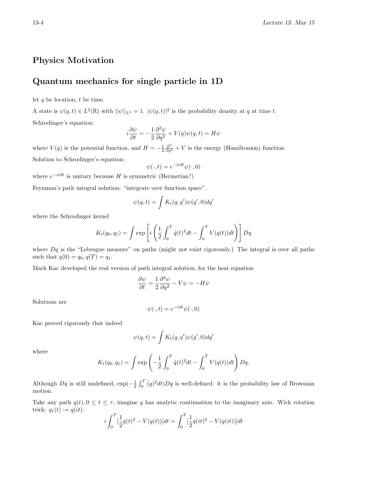### Physics Motivation

### Quantum mechanics for single particle in 1D

let  $q$  be location,  $t$  be time.

A state is  $\psi(q,t) \in L^2(\mathbb{R})$  with  $||\psi||_{L^2} = 1$ .  $|\psi(q,t)|^2$  is the probability density at q at time t. Schrodinger's equation:

$$
i\frac{\partial \psi}{\partial t} = -\frac{1}{2}\frac{\partial^2 \psi}{\partial q^2} + V(q)\psi(q, t) = H\psi
$$

where  $V(q)$  is the potential function, and  $H = -\frac{1}{2} \frac{\partial^2}{\partial q^2} + V$  is the energy (Hamiltonion) function. Solution to Schrodinger's equation:

$$
\psi(\cdot,t) = e^{-itH}\psi(\cdot,0)
$$

where  $e^{-itH}$  is unitary because H is symmetric (Hermetian?)

Feynman's path integral solution: "integrate over function space".

$$
\psi(q,t) = \int K_t(q,q')\psi(q',0)dq'
$$

where the Schrodinger kernel

$$
K_t(q_0, q_1) = \int \exp \left[ i \left( \frac{1}{2} \int_0^T \dot{q}(t)^2 dt - \int_0^T V(q(t)) dt \right) \right] Dq
$$

where  $Dq$  is the "Lebesgue measure" on paths (might not exist rigorously.) The integral is over all paths such that  $q(0) = q_0, q(T) = q_1$ .

Mark Kac developed the real version of path integral solution, for the heat equation

$$
\frac{\partial \psi}{\partial t} = \frac{1}{2} \frac{\partial^2 \psi}{\partial q^2} - V\psi = -H\psi
$$

Solutions are

$$
\psi(\cdot, t) = e^{-tH}\psi(\cdot, 0)
$$

Kac proved rigorously that indeed

$$
\psi(q,t)=\int K_t(q,q')\psi(q',0)dq'
$$

where

$$
K_t(q_0, q_1) = \int \exp\left(-\frac{1}{2} \int_0^T \dot{q}(t)^2 dt - \int_0^T V(q(t)) dt\right) Dq.
$$

Although  $Dq$  is still undefined,  $\exp(-\frac{1}{2}\int_0^T(q)^2dt)Dq$  is well-defined: it is the probability law of Brownian motion.

Take any path  $q(t), 0 \le t \le \tau$ , imagine q has analytic continuation to the imaginary axis. Wick rotation trick:  $q_1(t) := q(it)$ .

$$
i\int_0^T \left[\frac{1}{2}\dot{q}(t)^2 - V(q(t))\right]dt = \int_0^T \left[\frac{1}{2}\dot{q}(it)^2 - V(q(it))\right]dt
$$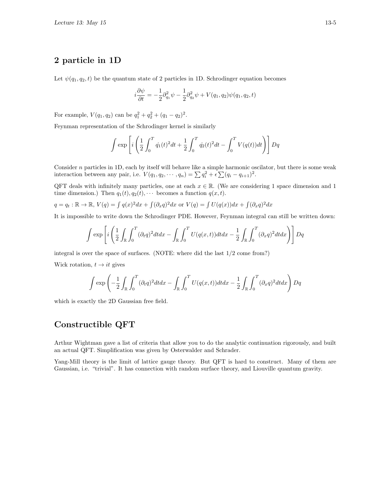## 2 particle in 1D

Let  $\psi(q_1, q_2, t)$  be the quantum state of 2 particles in 1D. Schrodinger equation becomes

$$
i\frac{\partial \psi}{\partial t} = -\frac{1}{2}\partial_{q_1}^2 \psi - \frac{1}{2}\partial_{q_2}^2 \psi + V(q_1, q_2)\psi(q_1, q_2, t)
$$

For example,  $V(q_1, q_2)$  can be  $q_1^2 + q_2^2 + (q_1 - q_2)^2$ .

Feynman representation of the Schrodinger kernel is similarly

$$
\int \exp \left[ i \left( \frac{1}{2} \int_0^T \dot{q_1}(t)^2 dt + \frac{1}{2} \int_0^T \dot{q_2}(t)^2 dt - \int_0^T V(q(t)) dt \right) \right] Dq
$$

Consider  $n$  particles in 1D, each by itself will behave like a simple harmonic oscilator, but there is some weak interaction between any pair, i.e.  $V(q_1, q_2, \dots, q_n) = \sum q_i^2 + \epsilon \sum (q_i - q_{i+1})^2$ .

QFT deals with infinitely many particles, one at each  $x \in \mathbb{R}$ . (We are considering 1 space dimension and 1 time dimension.) Then  $q_1(t), q_2(t), \cdots$  becomes a function  $q(x, t)$ .

$$
q = q_t : \mathbb{R} \to \mathbb{R}, V(q) = \int q(x)^2 dx + \int (\partial_x q)^2 dx \text{ or } V(q) = \int U(q(x)) dx + \int (\partial_x q)^2 dx
$$

It is impossible to write down the Schrodinger PDE. However, Feynman integral can still be written down:

$$
\int \exp\left[i\left(\frac{1}{2}\int_{\mathbb{R}}\int_0^T(\partial_t q)^2dtdx - \int_{\mathbb{R}}\int_0^T U(q(x,t))dtdx - \frac{1}{2}\int_{\mathbb{R}}\int_0^T(\partial_x q)^2dtdx\right)\right]Dq
$$

integral is over the space of surfaces. (NOTE: where did the last 1/2 come from?)

Wick rotation,  $t \rightarrow it$  gives

$$
\int \exp\left(-\frac{1}{2}\int_{\mathbb{R}}\int_0^T(\partial_t q)^2dtdx - \int_{\mathbb{R}}\int_0^T U(q(x,t))dtdx - \frac{1}{2}\int_{\mathbb{R}}\int_0^T(\partial_x q)^2dtdx\right)Dq
$$

which is exactly the 2D Gaussian free field.

#### Constructible QFT

Arthur Wightman gave a list of criteria that allow you to do the analytic continuation rigorously, and built an actual QFT. Simplification was given by Osterwalder and Schrader.

Yang-Mill theory is the limit of lattice gauge theory. But QFT is hard to construct. Many of them are Gaussian, i.e. "trivial". It has connection with random surface theory, and Liouville quantum gravity.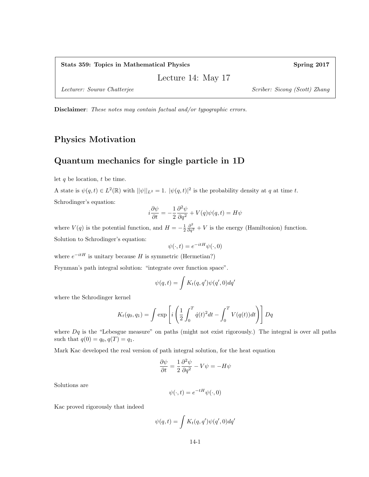Lecture 14: May 17

Lecturer: Sourav Chatterjee Scriber: Sicong (Scott) Zhang

Disclaimer: These notes may contain factual and/or typographic errors.

## Physics Motivation

## Quantum mechanics for single particle in 1D

let  $q$  be location,  $t$  be time.

A state is  $\psi(q,t) \in L^2(\mathbb{R})$  with  $||\psi||_{L^2} = 1$ .  $|\psi(q,t)|^2$  is the probability density at q at time t. Schrodinger's equation:

$$
i\frac{\partial \psi}{\partial t} = -\frac{1}{2}\frac{\partial^2 \psi}{\partial q^2} + V(q)\psi(q, t) = H\psi
$$

where  $V(q)$  is the potential function, and  $H = -\frac{1}{2} \frac{\partial^2}{\partial q^2} + V$  is the energy (Hamiltonion) function. Solution to Schrodinger's equation:

$$
\psi(\cdot,t) = e^{-itH}\psi(\cdot,0)
$$

where  $e^{-itH}$  is unitary because H is symmetric (Hermetian?)

Feynman's path integral solution: "integrate over function space".

$$
\psi(q,t) = \int K_t(q,q')\psi(q',0)dq'
$$

where the Schrodinger kernel

$$
K_t(q_0, q_1) = \int \exp \left[ i \left( \frac{1}{2} \int_0^T \dot{q}(t)^2 dt - \int_0^T V(q(t)) dt \right) \right] Dq
$$

where  $Dq$  is the "Lebesgue measure" on paths (might not exist rigorously.) The integral is over all paths such that  $q(0) = q_0, q(T) = q_1$ .

Mark Kac developed the real version of path integral solution, for the heat equation

$$
\frac{\partial \psi}{\partial t} = \frac{1}{2} \frac{\partial^2 \psi}{\partial q^2} - V\psi = -H\psi
$$

Solutions are

$$
\psi(\cdot, t) = e^{-tH}\psi(\cdot, 0)
$$

Kac proved rigorously that indeed

$$
\psi(q,t) = \int K_t(q,q')\psi(q',0)dq'
$$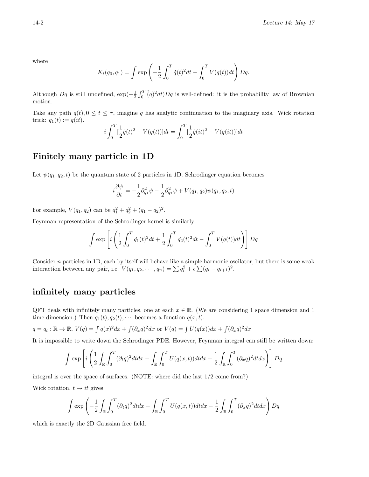where

$$
K_t(q_0, q_1) = \int \exp\left(-\frac{1}{2} \int_0^T \dot{q}(t)^2 dt - \int_0^T V(q(t)) dt\right) Dq.
$$

Although  $Dq$  is still undefined,  $\exp(-\frac{1}{2}\int_0^T(q)^2dt)Dq$  is well-defined: it is the probability law of Brownian motion.

Take any path  $q(t)$ ,  $0 \le t \le \tau$ , imagine q has analytic continuation to the imaginary axis. Wick rotation trick:  $q_1(t) := q(it)$ .

$$
i\int_0^T \left[\frac{1}{2}\dot{q}(t)^2 - V(q(t))\right]dt = \int_0^T \left[\frac{1}{2}\dot{q}(it)^2 - V(q(it))\right]dt
$$

#### Finitely many particle in 1D

Let  $\psi(q_1, q_2, t)$  be the quantum state of 2 particles in 1D. Schrodinger equation becomes

$$
i\frac{\partial \psi}{\partial t} = -\frac{1}{2}\partial_{q_1}^2 \psi - \frac{1}{2}\partial_{q_2}^2 \psi + V(q_1, q_2)\psi(q_1, q_2, t)
$$

For example,  $V(q_1, q_2)$  can be  $q_1^2 + q_2^2 + (q_1 - q_2)^2$ .

Feynman representation of the Schrodinger kernel is similarly

$$
\int \exp \left[ i \left( \frac{1}{2} \int_0^T \dot{q_1}(t)^2 dt + \frac{1}{2} \int_0^T \dot{q_2}(t)^2 dt - \int_0^T V(q(t)) dt \right) \right] Dq
$$

Consider  $n$  particles in 1D, each by itself will behave like a simple harmonic oscilator, but there is some weak interaction between any pair, i.e.  $V(q_1, q_2, \dots, q_n) = \sum q_i^2 + \epsilon \sum (q_i - q_{i+1})^2$ .

#### infinitely many particles

QFT deals with infinitely many particles, one at each  $x \in \mathbb{R}$ . (We are considering 1 space dimension and 1 time dimension.) Then  $q_1(t), q_2(t), \cdots$  becomes a function  $q(x, t)$ .

$$
q = q_t : \mathbb{R} \to \mathbb{R}, V(q) = \int q(x)^2 dx + \int (\partial_x q)^2 dx \text{ or } V(q) = \int U(q(x)) dx + \int (\partial_x q)^2 dx
$$

It is impossible to write down the Schrodinger PDE. However, Feynman integral can still be written down:

$$
\int \exp\left[i\left(\frac{1}{2}\int_{\mathbb{R}}\int_0^T(\partial_t q)^2dtdx - \int_{\mathbb{R}}\int_0^T U(q(x,t))dtdx - \frac{1}{2}\int_{\mathbb{R}}\int_0^T(\partial_x q)^2dtdx\right)\right]Dq
$$

integral is over the space of surfaces. (NOTE: where did the last 1/2 come from?)

Wick rotation,  $t \rightarrow it$  gives

$$
\int \exp\left(-\frac{1}{2}\int_{\mathbb{R}}\int_0^T(\partial_t q)^2dtdx - \int_{\mathbb{R}}\int_0^T U(q(x,t))dtdx - \frac{1}{2}\int_{\mathbb{R}}\int_0^T(\partial_x q)^2dtdx\right)Dq
$$

which is exactly the 2D Gaussian free field.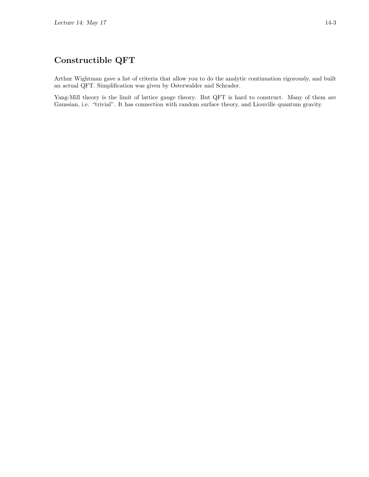Arthur Wightman gave a list of criteria that allow you to do the analytic continuation rigorously, and built an actual QFT. Simplification was given by Osterwalder and Schrader.

Yang-Mill theory is the limit of lattice gauge theory. But QFT is hard to construct. Many of them are Gaussian, i.e. "trivial". It has connection with random surface theory, and Liouville quantum gravity.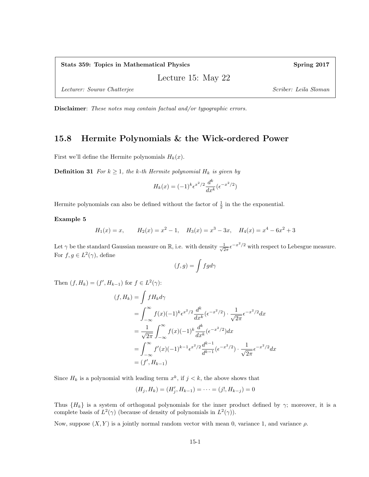Lecture 15: May 22

Lecturer: Sourav Chatterjee Scriber: Leila Sloman Scriber: Leila Sloman Scriber: Leila Sloman

Disclaimer: These notes may contain factual and/or typographic errors.

#### 15.8 Hermite Polynomials & the Wick-ordered Power

First we'll define the Hermite polynomials  $H_k(x)$ .

**Definition 31** For  $k \geq 1$ , the k-th Hermite polynomial  $H_k$  is given by

$$
H_k(x) = (-1)^k \epsilon^{x^2/2} \frac{d^k}{dx^k} (\epsilon^{-x^2/2})
$$

Hermite polynomials can also be defined without the factor of  $\frac{1}{2}$  in the the exponential.

Example 5

$$
H_1(x) = x
$$
,  $H_2(x) = x^2 - 1$ ,  $H_3(x) = x^3 - 3x$ ,  $H_4(x) = x^4 - 6x^2 + 3$ 

Let  $\gamma$  be the standard Gaussian measure on R, i.e. with density  $\frac{1}{\sqrt{2}}$  $\frac{1}{2\pi} \epsilon^{-x^2/2}$  with respect to Lebesgue measure. For  $f, g \in L^2(\gamma)$ , define

$$
(f,g)=\int fg d\gamma
$$

Then  $(f, H_k) = (f', H_{k-1})$  for  $f \in L^2(\gamma)$ :

$$
(f, H_k) = \int f H_k d\gamma
$$
  
= 
$$
\int_{-\infty}^{\infty} f(x)(-1)^k e^{x^2/2} \frac{d^k}{dx^k} (e^{-x^2/2}) \cdot \frac{1}{\sqrt{2\pi}} e^{-x^2/2} dx
$$
  
= 
$$
\frac{1}{\sqrt{2\pi}} \int_{-\infty}^{\infty} f(x)(-1)^k \frac{d^k}{dx^k} (e^{-x^2/2}) dx
$$
  
= 
$$
\int_{-\infty}^{\infty} f'(x)(-1)^{k-1} e^{x^2/2} \frac{d^{k-1}}{d^{k-1}} (e^{-x^2/2}) \cdot \frac{1}{\sqrt{2\pi}} e^{-x^2/2} dx
$$
  
= 
$$
(f', H_{k-1})
$$

Since  $H_k$  is a polynomial with leading term  $x^k$ , if  $j < k$ , the above shows that

$$
(H_j, H_k) = (H'_j, H_{k-1}) = \dots = (j!, H_{k-j}) = 0
$$

Thus  ${H_k}$  is a system of orthogonal polynomials for the inner product defined by  $\gamma$ ; moreover, it is a complete basis of  $L^2(\gamma)$  (because of density of polynomials in  $L^2(\gamma)$ ).

Now, suppose  $(X, Y)$  is a jointly normal random vector with mean 0, variance 1, and variance  $\rho$ .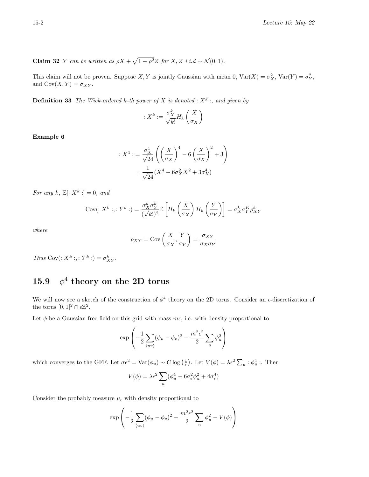**Claim 32** Y can be written as  $\rho X + \sqrt{1 - \rho^2} Z$  for X, Z i.i.d ~  $\mathcal{N}(0, 1)$ .

This claim will not be proven. Suppose X, Y is jointly Gaussian with mean 0,  $\text{Var}(X) = \sigma_X^2$ ,  $\text{Var}(Y) = \sigma_Y^2$ , and  $Cov(X, Y) = \sigma_{XY}$ .

**Definition 33** The Wick-ordered k-th power of X is denoted :  $X^k$  :, and given by

$$
: X^k := \frac{\sigma_X^k}{\sqrt{k!}} H_k\left(\frac{X}{\sigma_X}\right)
$$

Example 6

$$
:X^4: = \frac{\sigma_X^4}{\sqrt{24}} \left( \left( \frac{X}{\sigma_X} \right)^4 - 6 \left( \frac{X}{\sigma_X} \right)^2 + 3 \right)
$$

$$
= \frac{1}{\sqrt{24}} (X^4 - 6\sigma_X^2 X^2 + 3\sigma_X^4)
$$

For any k,  $\mathbb{E}[:X^k:] = 0$ , and

$$
Cov(:X^k:,:Y^k:) = \frac{\sigma_X^k \sigma_Y^k}{(\sqrt{k!})^2} \mathbb{E}\left[H_k\left(\frac{X}{\sigma_X}\right)H_k\left(\frac{Y}{\sigma_Y}\right)\right] = \sigma_X^k \sigma_Y^K \rho_{XY}^k
$$

where

$$
\rho_{XY} = \text{Cov}\left(\frac{X}{\sigma_X}, \frac{Y}{\sigma_Y}\right) = \frac{\sigma_{XY}}{\sigma_X \sigma_Y}
$$

Thus Cov $(: X^k : , : Y^k : ) = \sigma_{XY}^k$ .

#### 15.9  $^4$  theory on the 2D torus

We will now see a sketch of the construction of  $\phi^4$  theory on the 2D torus. Consider an  $\epsilon$ -discretization of the torus  $[0, 1]^2 \cap \epsilon \mathbb{Z}^2$ .

Let  $\phi$  be a Gaussian free field on this grid with mass  $m\epsilon$ , i.e. with density proportional to

$$
\exp\left(-\frac{1}{2}\sum_{\langle uv\rangle}(\phi_u-\phi_v)^2-\frac{m^2\epsilon^2}{2}\sum_u\phi_u^2\right)
$$

which converges to the GFF. Let  $\sigma \epsilon^2 = \text{Var}(\phi_u) \sim C \log\left(\frac{1}{\epsilon}\right)$ . Let  $V(\phi) = \lambda \epsilon^2 \sum_u : \phi_u^4$ . Then

$$
V(\phi) = \lambda \epsilon^2 \sum_{u} (\phi_u^4 - 6\sigma_\epsilon^2 \phi_u^2 + 4\sigma_\epsilon^4)
$$

Consider the probably measure  $\mu_{\epsilon}$  with density proportional to

$$
\exp\left(-\frac{1}{2}\sum_{\langle uv\rangle}(\phi_u-\phi_v)^2-\frac{m^2\epsilon^2}{2}\sum_u\phi_u^2-V(\phi)\right)
$$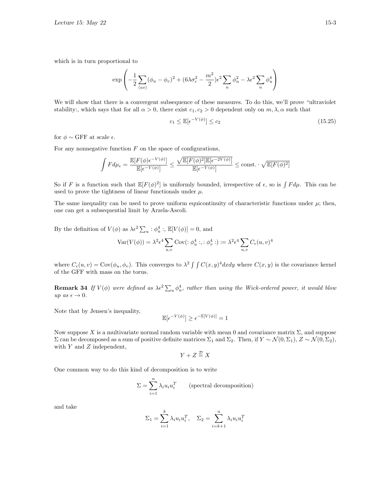which is in turn proportional to

$$
\exp\left(-\frac{1}{2}\sum_{\langle uv\rangle}(\phi_u-\phi_v)^2+(6\lambda\sigma_\epsilon^2-\frac{m^2}{2})\epsilon^2\sum_u\phi_u^2-\lambda\epsilon^2\sum_u\phi_u^4\right)
$$

We will show that there is a convergent subsequence of these measures. To do this, we'll prove "ultraviolet stability:, which says that for all  $\alpha > 0$ , there exist  $c_1, c_2 > 0$  dependent only on  $m, \lambda, \alpha$  such that

$$
c_1 \le \mathbb{E}[\epsilon^{-V(\phi)}] \le c_2 \tag{15.25}
$$

for  $\phi \sim$  GFF at scale  $\epsilon$ .

For any nonnegative function  $F$  on the space of configurations,

$$
\int F d\mu_\epsilon = \frac{\mathbb{E}[F(\phi)\epsilon^{-V(\phi)}]}{\mathbb{E}[\epsilon^{-V(\phi)}]} \leq \frac{\sqrt{\mathbb{E}[F(\phi)^2]\mathbb{E}[\epsilon^{-2V(\phi)}]}}{\mathbb{E}[\epsilon^{-V(\phi)}]} \leq \text{const.} \cdot \sqrt{\mathbb{E}[F(\phi)^2]}
$$

So if F is a function such that  $\mathbb{E}[F(\phi)^2]$  is uniformly bounded, irrespective of  $\epsilon$ , so is  $\int F d\mu$ . This can be used to prove the tightness of linear functionals under  $\mu$ .

The same inequality can be used to prove uniform equicontinuity of characteristic functions under  $\mu$ ; then, one can get a subsequential limit by Arzela-Ascoli.

By the definition of  $V(\phi)$  as  $\lambda \epsilon^2 \sum_u : \phi_u^4 : \mathbb{E}[V(\phi)] = 0$ , and

$$
\text{Var}(V(\phi)) = \lambda^2 \epsilon^4 \sum_{u,v} \text{Cov}(\Phi_u^4 \circ \Phi_v^4 \circ \Phi_v^4) := \lambda^2 \epsilon^4 \sum_{u,v} C_{\epsilon}(u,v)^4
$$

where  $C_{\epsilon}(u, v) = \text{Cov}(\phi_u, \phi_v)$ . This converges to  $\lambda^2 \int \int C(x, y)^4 dx dy$  where  $C(x, y)$  is the covariance kernel of the GFF with mass on the torus.

**Remark 34** If  $V(\phi)$  were defined as  $\lambda \epsilon^2 \sum_u \phi_u^4$ , rather than using the Wick-ordered power, it would blow up as  $\epsilon \to 0$ .

Note that by Jensen's inequality,

$$
\mathbb{E}[\epsilon^{-V(\phi)}] \ge \epsilon^{-\mathbb{E}[V(\phi)]} = 1
$$

Now suppose X is a multivariate normal random variable with mean 0 and covariance matrix  $\Sigma$ , and suppose Σ can be decomposed as a sum of positive definite matrices  $\Sigma_1$  and  $\Sigma_2$ . Then, if  $Y \sim \mathcal{N}(0, \Sigma_1)$ ,  $Z \sim \mathcal{N}(0, \Sigma_2)$ , with  $Y$  and  $Z$  independent,

$$
Y + Z \stackrel{\mathcal{D}}{=} X
$$

One common way to do this kind of decomposition is to write

$$
\Sigma = \sum_{i=1}^{n} \lambda_i u_i u_i^T
$$
 (spectral decomposition)

and take

$$
\Sigma_1 = \sum_{i=1}^k \lambda_i u_i u_i^T, \quad \Sigma_2 = \sum_{i=k+1}^n \lambda_i u_i u_i^T
$$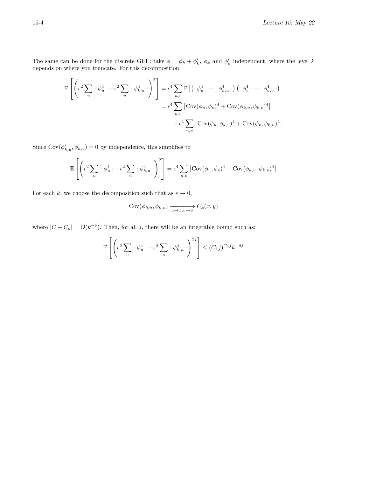The same can be done for the discrete GFF: take  $\phi = \phi_k + \phi'_k$ ,  $\phi_k$  and  $\phi'_k$  independent, where the level k depends on where you truncate. For this decomposition,

$$
\mathbb{E}\left[\left(\epsilon^2 \sum_u : \phi_u^4 : -\epsilon^2 \sum_u : \phi_{k,u}^4 : \right)^2\right] = \epsilon^4 \sum_{u,v} \mathbb{E}\left[\left(:\phi_u^4 : - :\phi_{k,u}^4 : \right) \left(:\phi_v^4 : - :\phi_{k,v}^4 : \right)\right]
$$

$$
= \epsilon^4 \sum_{u,v} \left[\text{Cov}(\phi_u, \phi_v)^4 + \text{Cov}(\phi_{k,u}, \phi_{k,v})^4\right]
$$

$$
- \epsilon^4 \sum_{u,v} \left[\text{Cov}(\phi_u, \phi_{k,v})^4 + \text{Cov}(\phi_v, \phi_{k,u})^4\right]
$$

Since  $Cov(\phi'_{k,u}, \phi_{k,v}) = 0$  by independence, this simplifies to

$$
\mathbb{E}\left[\left(\epsilon^2 \sum_u : \phi_u^4 : -\epsilon^2 \sum_u : \phi_{k,u}^4 : \right)^2\right] = \epsilon^4 \sum_{u,v} \left[\text{Cov}(\phi_u, \phi_v)^4 - \text{Cov}(\phi_{k,u}, \phi_{k,v})^4\right]
$$

For each  $k,$  we choose the decomposition such that as  $\epsilon \to 0,$ 

$$
Cov(\phi_{k,u}, \phi_{k,v}) \xrightarrow[u \to x, v \to y]{} C_k(x, y)
$$

where  $|C - C_k| = O(k^{-\delta})$ . Then, for all j, there will be an integrable bound such as:

$$
\mathbb{E}\left[\left(\epsilon^2 \sum_u : \phi_u^4 : -\epsilon^2 \sum_u : \phi_{k,u}^4 : \right)^{2j}\right] \le (C_1 j)^{C_2 j} k^{-\delta j}
$$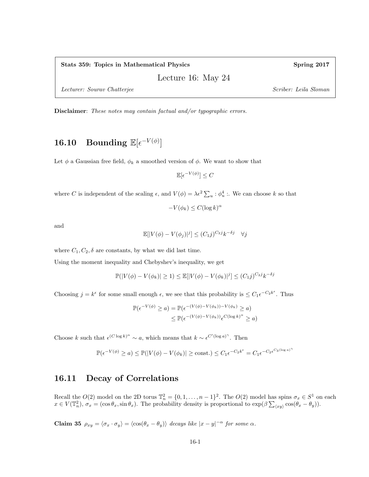#### Stats 359: Topics in Mathematical Physics Spring 2017

Lecture 16: May 24

Lecturer: Sourav Chatterjee Scriber: Leila Sloman Scriber: Leila Sloman Scriber: Leila Sloman

Disclaimer: These notes may contain factual and/or typographic errors.

# 16.10 Bounding  $\mathbb{E}[\epsilon^{-V(\phi)}]$

Let  $\phi$  a Gaussian free field,  $\phi_k$  a smoothed version of  $\phi$ . We want to show that

 $\mathbb{E}[\epsilon^{-V(\phi)}] \leq C$ 

where C is independent of the scaling  $\epsilon$ , and  $V(\phi) = \lambda \epsilon^2 \sum_u : \phi_u^4$ . We can choose k so that

 $-V(\phi_k) \leq C(\log k)^{\alpha}$ 

and

$$
\mathbb{E}[|V(\phi) - V(\phi_j)|^j] \le (C_1 j)^{C_2 j} k^{-\delta j} \quad \forall j
$$

where  $C_1, C_2, \delta$  are constants, by what we did last time.

Using the moment inequality and Chebyshev's inequality, we get

$$
\mathbb{P}(|V(\phi) - V(\phi_k)| \ge 1) \le \mathbb{E}[|V(\phi) - V(\phi_k)|^j] \le (C_1 j)^{C_2 j} k^{-\delta j}
$$

Choosing  $j = k^{\epsilon}$  for some small enough  $\epsilon$ , we see that this probability is  $\leq C_1 \epsilon^{-C_2 k^{\epsilon}}$ . Thus

$$
\mathbb{P}(\epsilon^{-V(\phi)} \ge a) = \mathbb{P}(\epsilon^{-(V(\phi) - V(\phi_k)) - V(\phi_k)} \ge a)
$$
  

$$
\le \mathbb{P}(\epsilon^{-(V(\phi) - V(\phi_k))}\epsilon^{C(\log k)^{\alpha}} \ge a)
$$

Choose k such that  $\epsilon^{(C \log k)^{\alpha}} \sim a$ , which means that  $k \sim \epsilon^{C'(\log a)^{\gamma}}$ . Then

$$
\mathbb{P}(\epsilon^{-V(\phi)} \ge a) \le \mathbb{P}(|V(\phi) - V(\phi_k)| \ge \text{const.}) \le C_1 \epsilon^{-C_2 k^{\epsilon}} = C_1 \epsilon^{-C_2 \epsilon^{C_3 (\log a)^{\gamma}}}
$$

### 16.11 Decay of Correlations

Recall the  $O(2)$  model on the 2D torus  $\mathbb{T}_n^2 = \{0, 1, \ldots, n-1\}^2$ . The  $O(2)$  model has spins  $\sigma_x \in S^1$  on each  $x \in V(\mathbb{T}_n^2)$ ,  $\sigma_x = (\cos \theta_x, \sin \theta_x)$ . The probability density is proportional to  $\exp(\beta \sum_{\langle xy \rangle} \cos(\theta_x - \theta_y))$ .

Claim 35  $\rho_{xy} = \langle \sigma_x \cdot \sigma_y \rangle = \langle \cos(\theta_x - \theta_y) \rangle$  decays like  $|x - y|^{-\alpha}$  for some  $\alpha$ .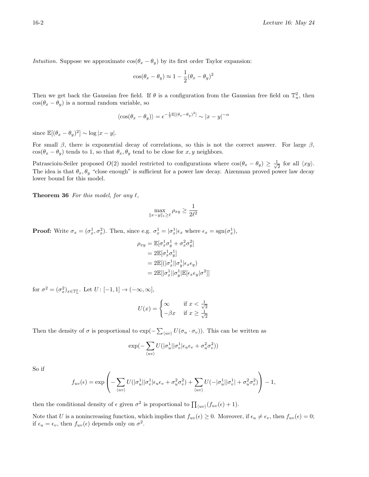*Intuition.* Suppose we approximate  $cos(\theta_x - \theta_y)$  by its first order Taylor expansion:

$$
\cos(\theta_x - \theta_y) \approx 1 - \frac{1}{2}(\theta_x - \theta_y)^2
$$

Then we get back the Gaussian free field. If  $\theta$  is a configuration from the Gaussian free field on  $\mathbb{T}_n^2$ , then  $cos(\theta_x - \theta_y)$  is a normal random variable, so

$$
\langle \cos(\theta_x - \theta_y) \rangle = \epsilon^{-\frac{1}{2} \mathbb{E}[(\theta_x - \theta_y)^2]} \sim |x - y|^{-\alpha}
$$

since  $\mathbb{E}[(\theta_x - \theta_y)^2] \sim \log |x - y|$ .

For small  $\beta$ , there is exponential decay of correlations, so this is not the correct answer. For large  $\beta$ ,  $cos(\theta_x - \theta_y)$  tends to 1, so that  $\theta_x, \theta_y$  tend to be close for x, y neighbors.

Patrascioiu-Seiler proposed  $O(2)$  model restricted to configurations where  $\cos(\theta_x - \theta_y) \geq \frac{1}{\sqrt{2}}$  $\overline{z}$  for all  $\langle xy \rangle$ . The idea is that  $\theta_x, \theta_y$  "close enough" is sufficient for a power law decay. Aizenman proved power law decay lower bound for this model.

**Theorem 36** For this model, for any  $\ell$ ,

$$
\max_{\|x-y\|_1\geq \ell} \rho_{xy} \geq \frac{1}{2\ell^2}
$$

**Proof:** Write  $\sigma_x = (\sigma_x^1, \sigma_x^2)$ . Then, since e.g.  $\sigma_x^1 = |\sigma_x^1| \epsilon_x$  where  $\epsilon_x = \text{sgn}(\sigma_x^1)$ ,

$$
\rho_{xy} = \mathbb{E}[\sigma_x^1 \sigma_y^1 + \sigma_x^2 \sigma_y^2]
$$
  
=  $2\mathbb{E}[\sigma_x^1 \sigma_y^1]$   
=  $2\mathbb{E}[(|\sigma_x^1||\sigma_y^1|\epsilon_x \epsilon_y)$   
=  $2\mathbb{E}[|\sigma_x^1||\sigma_y^1|\mathbb{E}[\epsilon_x \epsilon_y|\sigma^2]]$ 

for  $\sigma^2 = (\sigma_x^2)_{x \in \mathbb{T}_n^2}$ . Let  $U: [-1, 1] \to (-\infty, \infty]$ ,

$$
U(x) = \begin{cases} \infty & \text{if } x < \frac{1}{\sqrt{2}}\\ -\beta x & \text{if } x \ge \frac{1}{\sqrt{2}} \end{cases}
$$

Then the density of  $\sigma$  is proportional to  $\exp(-\sum_{\langle uv\rangle}U(\sigma_u \cdot \sigma_v))$ . This can be written as

$$
\exp(-\sum_{\langle uv\rangle}U(|\sigma^1_u||\sigma^1_v|\epsilon_u\epsilon_v+\sigma^2_u\sigma^2_v))
$$

So if

$$
f_{uv}(\epsilon) = \exp\left(-\sum_{\langle uv\rangle} U(|\sigma^1_u||\sigma^1_v|\epsilon_u\epsilon_v + \sigma^2_u\sigma^2_v) + \sum_{\langle uv\rangle} U(-|\sigma^1_u||\sigma^1_v| + \sigma^2_u\sigma^2_v)\right) - 1,
$$

then the conditional density of  $\epsilon$  given  $\sigma^2$  is proportional to  $\prod_{\langle uv \rangle}(f_{uv}(\epsilon) + 1)$ .

Note that U is a nonincreasing function, which implies that  $f_{uv}(\epsilon) \geq 0$ . Moreover, if  $\epsilon_u \neq \epsilon_v$ , then  $f_{uv}(\epsilon) = 0$ ; if  $\epsilon_u = \epsilon_v$ , then  $f_{uv}(\epsilon)$  depends only on  $\sigma^2$ .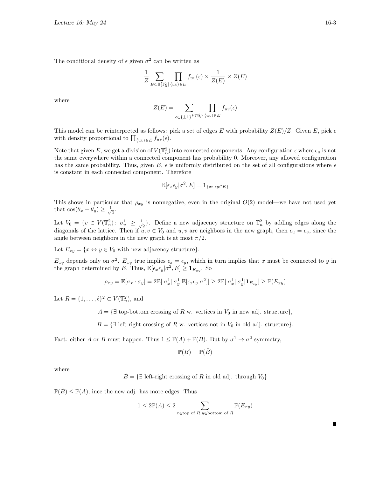The conditional density of  $\epsilon$  given  $\sigma^2$  can be written as

$$
\frac{1}{Z} \sum_{E \subset \mathbb{E}[\mathbb{T}_n^2]} \prod_{\langle uv \rangle \in E} f_{uv}(\epsilon) \times \frac{1}{Z(E)} \times Z(E)
$$

where

$$
Z(E) = \sum_{\epsilon \in \{\pm 1\}^{V(\mathbb{T}_n^2)} \langle uv \rangle \in E} f_{uv}(\epsilon)
$$

This model can be reinterpreted as follows: pick a set of edges E with probability  $Z(E)/Z$ . Given E, pick  $\epsilon$ with density proportional to  $\prod_{\langle uv \rangle \in E} f_{uv}(\epsilon)$ .

Note that given E, we get a division of  $V(\mathbb{T}_n^2)$  into connected components. Any configuration  $\epsilon$  where  $\epsilon_u$  is not the same everywhere within a connected component has probability 0. Moreover, any allowed configuration has the same probability. Thus, given E,  $\epsilon$  is uniformly distributed on the set of all configurations where  $\epsilon$ is constant in each connected component. Therefore

$$
\mathbb{E}[\epsilon_x \epsilon_y | \sigma^2, E] = \mathbf{1}_{\{x \leftrightarrow y \in E\}}
$$

This shows in particular that  $\rho_{xy}$  is nonnegative, even in the original  $O(2)$  model—we have not used yet that  $\cos(\theta_x - \theta_y) \geq \frac{1}{\sqrt{2}}$  $\frac{1}{2}$ .

Let  $V_0 = \{v \in V(\mathbb{T}_n^2) : |\sigma_v^1| \geq \frac{1}{\sqrt{n}}\}$  $\mathbb{E}_{\overline{2}}$ . Define a new adjacency structure on  $\mathbb{T}_n^2$  by adding edges along the diagonals of the lattice. Then if  $u, v \in V_0$  and  $u, v$  are neighbors in the new graph, then  $\epsilon_u = \epsilon_v$ , since the angle between neighbors in the new graph is at most  $\pi/2$ .

Let  $E_{xy} = \{x \leftrightarrow y \in V_0 \text{ with new adjacency structure}\}.$ 

 $E_{xy}$  depends only on  $\sigma^2$ .  $E_{xy}$  true implies  $\epsilon_x = \epsilon_y$ , which in turn implies that x must be connected to y in the graph determined by E. Thus,  $\mathbb{E}[\epsilon_x \epsilon_y | \sigma^2, E] \geq \mathbf{1}_{E_{xy}}$ . So

$$
\rho_{xy} = \mathbb{E}[\sigma_x \cdot \sigma_y] = 2\mathbb{E}[|\sigma_x^1||\sigma_y^1|\mathbb{E}[\epsilon_x \epsilon_y|\sigma^2]] \ge 2\mathbb{E}[|\sigma_x^1||\sigma_y^1|\mathbf{1}_{E_{xy}}] \ge \mathbb{P}(E_{xy})
$$

Let  $R = \{1, \ldots, \ell\}^2 \subset V(\mathbb{T}_n^2)$ , and

 $A = \{ \exists$  top-bottom crossing of R w. vertices in  $V_0$  in new adj. structure},

 $B = \{ \exists \text{ left-right crossing of } R \text{ w. vertices not in } V_0 \text{ in old adj. structure} \}.$ 

Fact: either A or B must happen. Thus  $1 \leq \mathbb{P}(A) + \mathbb{P}(B)$ . But by  $\sigma^1 \to \sigma^2$  symmetry,

$$
\mathbb{P}(B) = \mathbb{P}(\tilde{B})
$$

where

 $\tilde{B} = \{\exists \text{ left-right crossing of } R \text{ in old adj. through } V_0\}$ 

 $\mathbb{P}(\tilde{B}) \leq \mathbb{P}(A)$ , ince the new adj. has more edges. Thus

$$
1 \le 2\mathbb{P}(A) \le 2 \sum_{x \in \text{top of } R, y \in \text{bottom of } R} \mathbb{P}(E_{xy})
$$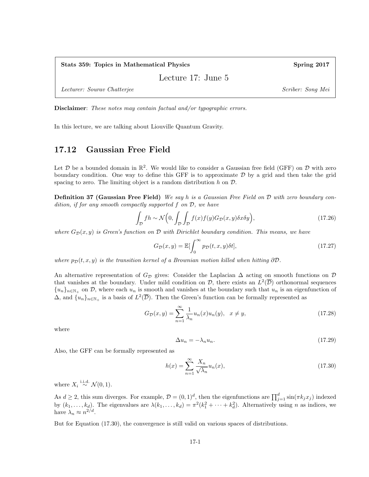Stats 359: Topics in Mathematical Physics Spring 2017

Lecture 17: June 5

Lecturer: Sourav Chatterjee Scriber: Song Mei

Disclaimer: These notes may contain factual and/or typographic errors.

In this lecture, we are talking about Liouville Quantum Gravity.

### 17.12 Gaussian Free Field

Let  $\mathcal D$  be a bounded domain in  $\mathbb R^2$ . We would like to consider a Gaussian free field (GFF) on  $\mathcal D$  with zero boundary condition. One way to define this GFF is to approximate  $D$  by a grid and then take the grid spacing to zero. The limiting object is a random distribution  $h$  on  $\mathcal{D}$ .

**Definition 37 (Gaussian Free Field)** We say h is a Gaussian Free Field on  $D$  with zero boundary condition, if for any smooth compactly supported  $f$  on  $D$ , we have

$$
\int_{\mathcal{D}} f h \sim \mathcal{N}\Big(0, \int_{\mathcal{D}} \int_{\mathcal{D}} f(x) f(y) G_{\mathcal{D}}(x, y) \delta x \delta y\Big),\tag{17.26}
$$

where  $G_{\mathcal{D}}(x, y)$  is Green's function on D with Dirichlet boundary condition. This means, we have

$$
G_{\mathcal{D}}(x,y) = \mathbb{E}[\int_0^\infty p_{\mathcal{D}}(t,x,y)\delta t],\tag{17.27}
$$

where  $p_{\mathcal{D}}(t, x, y)$  is the transition kernel of a Brownian motion killed when hitting  $\partial \mathcal{D}$ .

An alternative representation of  $G_{\mathcal{D}}$  gives: Consider the Laplacian  $\Delta$  acting on smooth functions on  $\mathcal{D}$ that vanishes at the boundary. Under mild condition on  $D$ , there exists an  $L^2(\overline{D})$  orthonormal sequences  ${u_n}_{n\in\mathbb{N}_+}$  on D, where each  $u_n$  is smooth and vanishes at the boundary such that  $u_n$  is an eigenfunction of  $\Delta$ , and  $\{u_n\}_{n\in\mathbb{N}_+}$  is a basis of  $L^2(\overline{\mathcal{D}})$ . Then the Green's function can be formally represented as

$$
G_{\mathcal{D}}(x,y) = \sum_{n=1}^{\infty} \frac{1}{\lambda_n} u_n(x) u_n(y), \quad x \neq y,
$$
\n(17.28)

where

$$
\Delta u_n = -\lambda_n u_n. \tag{17.29}
$$

Also, the GFF can be formally represented as

$$
h(x) = \sum_{n=1}^{\infty} \frac{X_n}{\sqrt{\lambda_n}} u_n(x),\tag{17.30}
$$

where  $X_i \stackrel{\text{i.i.d.}}{\sim} \mathcal{N}(0, 1)$ .

As  $d \geq 2$ , this sum diverges. For example,  $\mathcal{D} = (0, 1)^d$ , then the eigenfunctions are  $\prod_{j=1}^d \sin(\pi k_j x_j)$  indexed by  $(k_1, \ldots, k_d)$ . The eigenvalues are  $\lambda(k_1, \ldots, k_d) = \pi^2(k_1^2 + \cdots + k_d^2)$ . Alternatively using *n* as indices, we have  $\lambda_n \approx n^{2/d}$ .

But for Equation (17.30), the convergence is still valid on various spaces of distributions.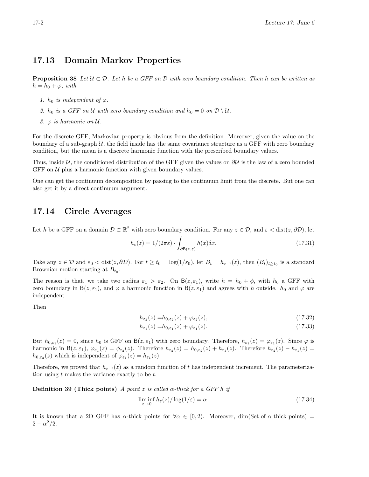#### 17.13 Domain Markov Properties

**Proposition 38** Let  $\mathcal{U} \subset \mathcal{D}$ . Let h be a GFF on D with zero boundary condition. Then h can be written as  $h = h_0 + \varphi$ , with

- 1.  $h_0$  is independent of  $\varphi$ .
- 2.  $h_0$  is a GFF on U with zero boundary condition and  $h_0 = 0$  on  $\mathcal{D} \setminus \mathcal{U}$ .
- 3.  $\varphi$  is harmonic on  $\mathcal{U}$ .

For the discrete GFF, Markovian property is obvious from the definition. Moreover, given the value on the boundary of a sub-graph  $U$ , the field inside has the same covariance structure as a GFF with zero boundary condition, but the mean is a discrete harmonic function with the prescribed boundary values.

Thus, inside  $U$ , the conditioned distribution of the GFF given the values on  $\partial U$  is the law of a zero bounded GFF on  $U$  plus a harmonic function with given boundary values.

One can get the continuum decomposition by passing to the continuum limit from the discrete. But one can also get it by a direct continuum argument.

#### 17.14 Circle Averages

Let h be a GFF on a domain  $\mathcal{D} \subset \mathbb{R}^2$  with zero boundary condition. For any  $z \in \mathcal{D}$ , and  $\varepsilon < \text{dist}(z, \partial \mathcal{D})$ , let

$$
h_{\varepsilon}(z) = 1/(2\pi\varepsilon) \cdot \int_{\partial B(z,\varepsilon)} h(x)\delta x. \tag{17.31}
$$

Take any  $z \in \mathcal{D}$  and  $\varepsilon_0 < \text{dist}(z, \partial D)$ . For  $t \ge t_0 = \log(1/\varepsilon_0)$ , let  $B_t = h_{e^{-t}}(z)$ , then  $(B_t)_{t \ge t_0}$  is a standard Brownian motion starting at  $B_{t_0}$ .

The reason is that, we take two radius  $\varepsilon_1 > \varepsilon_2$ . On  $B(z, \varepsilon_1)$ , write  $h = h_0 + \phi$ , with  $h_0$  a GFF with zero boundary in  $B(z, \varepsilon_1)$ , and  $\varphi$  a harmonic function in  $B(z, \varepsilon_1)$  and agrees with h outside.  $h_0$  and  $\varphi$  are independent.

Then

$$
h_{\varepsilon_2}(z) = h_{0,\varepsilon_2}(z) + \varphi_{\varepsilon_2}(z),\tag{17.32}
$$

$$
h_{\varepsilon_1}(z) = h_{0,\varepsilon_1}(z) + \varphi_{\varepsilon_1}(z). \tag{17.33}
$$

But  $h_{0,\varepsilon_1}(z) = 0$ , since  $h_0$  is GFF on  $B(z,\varepsilon_1)$  with zero boundary. Therefore,  $h_{\varepsilon_1}(z) = \varphi_{\varepsilon_1}(z)$ . Since  $\varphi$  is harmonic in  $B(z, \varepsilon_1)$ ,  $\varphi_{\varepsilon_1}(z) = \varphi_{\varepsilon_2}(z)$ . Therefore  $h_{\varepsilon_2}(z) = h_{0, \varepsilon_2}(z) + h_{\varepsilon_1}(z)$ . Therefore  $h_{\varepsilon_2}(z) - h_{\varepsilon_1}(z) =$  $h_{0,\varepsilon_2}(z)$  which is independent of  $\varphi_{\varepsilon_1}(z) = h_{\varepsilon_1}(z)$ .

Therefore, we proved that  $h_{e-t}(z)$  as a random function of t has independent increment. The parameterization using  $t$  makes the variance exactly to be  $t$ .

Definition 39 (Thick points) A point z is called  $\alpha$ -thick for a GFF h if

$$
\liminf_{\varepsilon \to 0} h_{\varepsilon}(z) / \log(1/\varepsilon) = \alpha.
$$
\n(17.34)

It is known that a 2D GFF has  $\alpha$ -thick points for  $\forall \alpha \in [0, 2)$ . Moreover, dim(Set of  $\alpha$  thick points) =  $2 - \alpha^2/2$ .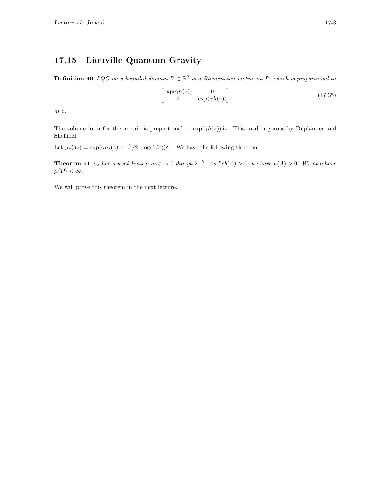## 17.15 Liouville Quantum Gravity

**Definition 40** LQG on a bounded domain  $D \subset \mathbb{R}^2$  is a Riemannian metric on D, which is proportional to

$$
\begin{bmatrix} \exp(\gamma h(z)) & 0\\ 0 & \exp(\gamma h(z)) \end{bmatrix}
$$
 (17.35)

at z.

The volume form for this metric is proportional to  $\exp(\gamma h(z))\delta z$ . This made rigorous by Duplantier and Sheffield.

Let  $\mu_{\varepsilon}(\delta z) = \exp(\gamma h_{\varepsilon}(z) - \gamma^2/2 \cdot \log(1/\varepsilon)) \delta z$ . We have the following theorem

**Theorem 41**  $\mu_{\varepsilon}$  has a weak limit  $\mu$  as  $\varepsilon \to 0$  though  $2^{-k}$ . As Leb(A) > 0, we have  $\mu(A) > 0$ . We also have  $\mu(\mathcal{D}) < \infty$ .

We will prove this theorem in the next lecture.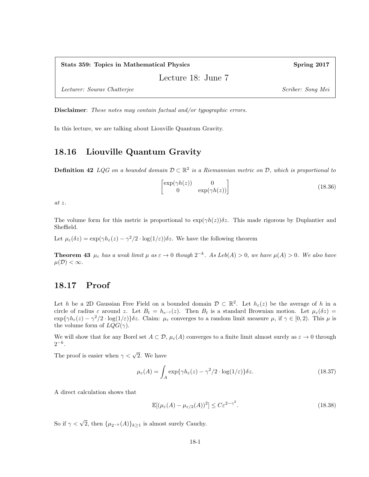Stats 359: Topics in Mathematical Physics Spring 2017

Lecture 18: June 7

Lecturer: Sourav Chatterjee Scriber: Song Mei

Disclaimer: These notes may contain factual and/or typographic errors.

In this lecture, we are talking about Liouville Quantum Gravity.

#### 18.16 Liouville Quantum Gravity

**Definition 42** LQG on a bounded domain  $D \subset \mathbb{R}^2$  is a Riemannian metric on D, which is proportional to

$$
\begin{bmatrix} \exp(\gamma h(z)) & 0\\ 0 & \exp(\gamma h(z)) \end{bmatrix}
$$
 (18.36)

at z.

The volume form for this metric is proportional to  $\exp(\gamma h(z))\delta z$ . This made rigorous by Duplantier and Sheffield.

Let  $\mu_{\varepsilon}(\delta z) = \exp(\gamma h_{\varepsilon}(z) - \gamma^2/2 \cdot \log(1/\varepsilon)) \delta z$ . We have the following theorem

**Theorem 43**  $\mu_{\varepsilon}$  has a weak limit  $\mu$  as  $\varepsilon \to 0$  though  $2^{-k}$ . As Leb(A) > 0, we have  $\mu(A) > 0$ . We also have  $\mu(\mathcal{D}) < \infty$ .

#### 18.17 Proof

Let h be a 2D Gaussian Free Field on a bounded domain  $\mathcal{D} \subset \mathbb{R}^2$ . Let  $h_{\varepsilon}(z)$  be the average of h in a circle of radius  $\varepsilon$  around z. Let  $B_t = h_{e^{-t}}(z)$ . Then  $B_t$  is a standard Brownian motion. Let  $\mu_{\varepsilon}(\delta z)$  $\exp{\{\gamma h_{\varepsilon}(z) - \gamma^2/2 \cdot \log(1/\varepsilon)\}\delta z}$ . Claim:  $\mu_{\varepsilon}$  converges to a random limit measure  $\mu$ , if  $\gamma \in [0, 2)$ . This  $\mu$  is the volume form of  $LQG(\gamma)$ .

We will show that for any Borel set  $A \subset \mathcal{D}$ ,  $\mu_{\varepsilon}(A)$  converges to a finite limit almost surely as  $\varepsilon \to 0$  through  $2^{-k}$ .

The proof is easier when  $\gamma < \sqrt{2}$ . We have

$$
\mu_{\varepsilon}(A) = \int_{A} \exp\{\gamma h_{\varepsilon}(z) - \gamma^2/2 \cdot \log(1/\varepsilon)\} \delta z.
$$
 (18.37)

A direct calculation shows that

$$
\mathbb{E}[(\mu_{\varepsilon}(A) - \mu_{\varepsilon/2}(A))^2] \le C\varepsilon^{2-\gamma^2}.
$$
\n(18.38)

So if  $\gamma < \sqrt{2}$ , then  $\{\mu_{2^{-k}}(A)\}_{k \ge 1}$  is almost surely Cauchy.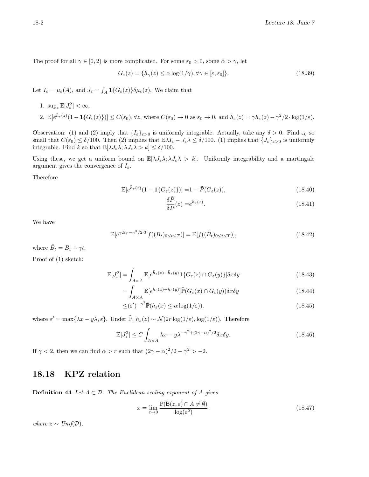The proof for all  $\gamma \in [0, 2)$  is more complicated. For some  $\varepsilon_0 > 0$ , some  $\alpha > \gamma$ , let

$$
G_{\varepsilon}(z) = \{ h_{\gamma}(z) \le \alpha \log(1/\gamma), \forall \gamma \in [\varepsilon, \varepsilon_0] \}. \tag{18.39}
$$

Let  $I_{\varepsilon} = \mu_{\varepsilon}(A)$ , and  $J_{\varepsilon} = \int_{A} \mathbf{1}\{G_{\varepsilon}(z)\}\delta\mu_{\varepsilon}(z)$ . We claim that

1.  $\sup_{\varepsilon} \mathbb{E}[J_{\varepsilon}^2] < \infty$ , 2.  $\mathbb{E}[e^{\bar{h}_{\varepsilon}(z)}(1-\mathbf{1}\{G_{\varepsilon}(z)\})] \leq C(\varepsilon_0), \forall z$ , where  $C(\varepsilon_0) \to 0$  as  $\varepsilon_0 \to 0$ , and  $\bar{h}_{\varepsilon}(z) = \gamma h_{\varepsilon}(z) - \gamma^2/2 \cdot \log(1/\varepsilon)$ .

Observation: (1) and (2) imply that  $\{I_{\varepsilon}\}_{{\varepsilon}>0}$  is uniformly integrable. Actually, take any  $\delta > 0$ . Find  $\varepsilon_0$  so small that  $C(\varepsilon_0) \leq \delta/100$ . Then (2) implies that  $\mathbb{E}\lambda I_{\varepsilon} - J_{\varepsilon}\lambda \leq \delta/100$ . (1) implies that  $\{J_{\varepsilon}\}_{{\varepsilon}>0}$  is uniformly integrable. Find k so that  $\mathbb{E}[\lambda J_{\varepsilon}\lambda; \lambda J_{\varepsilon}\lambda > k] \leq \delta/100$ .

Using these, we get a uniform bound on  $\mathbb{E}[\lambda J_{\varepsilon}\lambda;\lambda J_{\varepsilon}\lambda > k]$ . Uniformly integrability and a martingale argument gives the convergence of  $I_{\varepsilon}$ .

Therefore

$$
\mathbb{E}[e^{\bar{h}_{\varepsilon}(z)}(1 - \mathbf{1}\{G_{\varepsilon}(z)\})] = 1 - \tilde{P}(G_{\varepsilon}(z)),\tag{18.40}
$$

$$
\frac{\delta \tilde{P}}{\delta P}(z) = e^{\bar{h}_{\varepsilon}(z)}.
$$
\n(18.41)

We have

$$
\mathbb{E}[e^{\gamma B_T - \gamma^2/2 \cdot T} f((B_t)_{0 \le t \le T})] = \mathbb{E}[f((\tilde{B}_t)_{0 \le t \le T})],
$$
\n(18.42)

where  $\tilde{B}_t = B_t + \gamma t$ .

Proof of (1) sketch:

$$
\mathbb{E}[J_{\varepsilon}^{2}] = \int_{A \times A} \mathbb{E}[e^{\bar{h}_{\varepsilon}(z) + \bar{h}_{\varepsilon}(y)} \mathbf{1}\{G_{\varepsilon}(z) \cap G_{\varepsilon}(y)\}] \delta x \delta y \tag{18.43}
$$

$$
= \int_{A \times A} \mathbb{E}[e^{\bar{h}_{\varepsilon}(z) + \bar{h}_{\varepsilon}(y)}] \tilde{\mathbb{P}}(G_{\varepsilon}(x) \cap G_{\varepsilon}(y)) \delta x \delta y \tag{18.44}
$$

$$
\leq (\varepsilon')^{-\gamma^2} \tilde{\mathbb{P}}(h_{\varepsilon}(x) \leq \alpha \log(1/\varepsilon)). \tag{18.45}
$$

where  $\varepsilon' = \max\{\lambda x - y\lambda, \varepsilon\}$ . Under  $\tilde{\mathbb{P}}, h_{\varepsilon}(z) \sim \mathcal{N}(2r \log(1/\varepsilon), \log(1/\varepsilon))$ . Therefore

$$
\mathbb{E}[J_{\varepsilon}^{2}] \le C \int_{A \times A} \lambda x - y \lambda^{-\gamma^{2} + (2\gamma - \alpha)^{2}/2} \delta x \delta y.
$$
 (18.46)

If  $\gamma < 2$ , then we can find  $\alpha > r$  such that  $(2\gamma - \alpha)^2/2 - \gamma^2 > -2$ .

#### 18.18 KPZ relation

**Definition 44** Let  $A \subset \mathcal{D}$ . The Euclidean scaling exponent of A gives

$$
x = \lim_{\varepsilon \to 0} \frac{\mathbb{P}(\mathsf{B}(z,\varepsilon) \cap A \neq \emptyset)}{\log(\varepsilon^2)}.
$$
\n(18.47)

where  $z \sim Unif(\mathcal{D})$ .